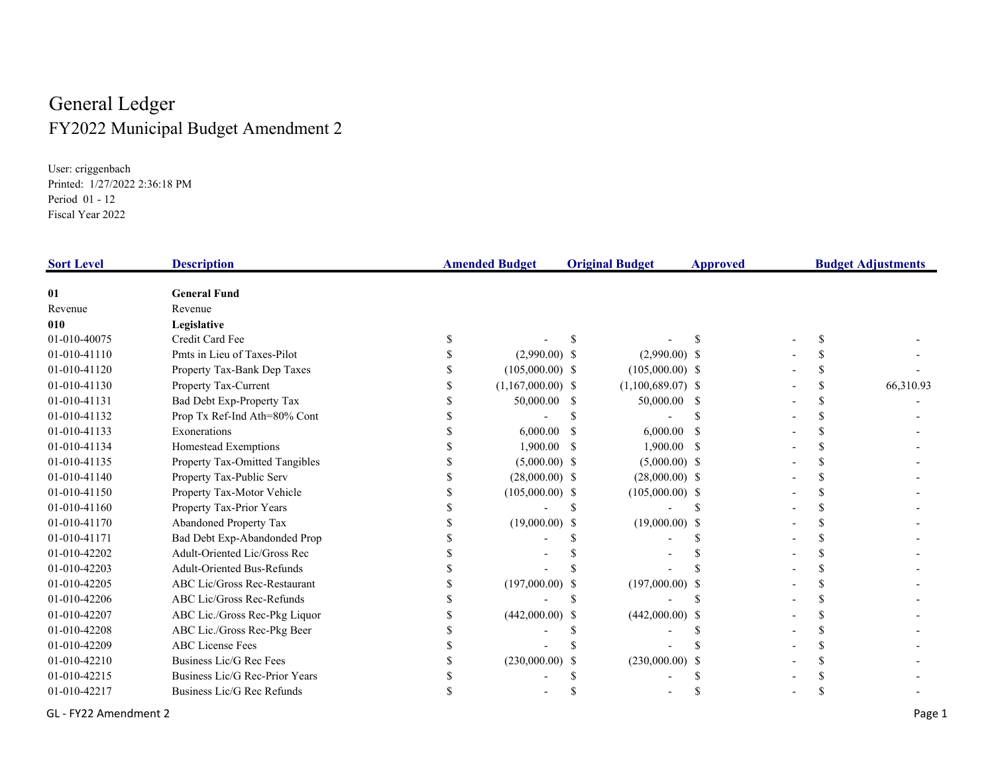## General Ledger FY2022 Municipal Budget Amendment 2

User: criggenbach Printed: 1/27/2022 2:36:18 PM Period 01 - 12 Fiscal Year 2022

| <b>Sort Level</b> | <b>Description</b>                  | <b>Amended Budget</b> |                     | <b>Original Budget</b> |                     | <b>Approved</b> |  | <b>Budget Adjustments</b> |           |
|-------------------|-------------------------------------|-----------------------|---------------------|------------------------|---------------------|-----------------|--|---------------------------|-----------|
| 01                | <b>General Fund</b>                 |                       |                     |                        |                     |                 |  |                           |           |
| Revenue           | Revenue                             |                       |                     |                        |                     |                 |  |                           |           |
| 010               | Legislative                         |                       |                     |                        |                     |                 |  |                           |           |
| 01-010-40075      | Credit Card Fee                     |                       |                     |                        |                     |                 |  |                           |           |
| 01-010-41110      | Pmts in Lieu of Taxes-Pilot         |                       | $(2,990.00)$ \$     |                        | $(2,990.00)$ \$     |                 |  |                           |           |
| 01-010-41120      | Property Tax-Bank Dep Taxes         |                       | $(105,000.00)$ \$   |                        | $(105,000.00)$ \$   |                 |  |                           |           |
| 01-010-41130      | Property Tax-Current                |                       | $(1,167,000.00)$ \$ |                        | $(1,100,689.07)$ \$ |                 |  |                           | 66,310.93 |
| 01-010-41131      | Bad Debt Exp-Property Tax           |                       | 50,000.00 \$        |                        | 50,000.00 \$        |                 |  |                           |           |
| 01-010-41132      | Prop Tx Ref-Ind Ath=80% Cont        |                       |                     |                        |                     |                 |  |                           |           |
| 01-010-41133      | Exonerations                        |                       | 6,000.00            |                        | 6,000.00            |                 |  |                           |           |
| 01-010-41134      | Homestead Exemptions                |                       | $1,900.00$ \$       |                        | $1,900.00$ \$       |                 |  |                           |           |
| 01-010-41135      | Property Tax-Omitted Tangibles      |                       | $(5,000.00)$ \$     |                        | $(5,000.00)$ \$     |                 |  |                           |           |
| 01-010-41140      | Property Tax-Public Serv            |                       | $(28,000.00)$ \$    |                        | $(28,000.00)$ \$    |                 |  |                           |           |
| 01-010-41150      | Property Tax-Motor Vehicle          |                       | $(105,000.00)$ \$   |                        | $(105,000.00)$ \$   |                 |  |                           |           |
| 01-010-41160      | Property Tax-Prior Years            |                       |                     |                        |                     |                 |  |                           |           |
| 01-010-41170      | Abandoned Property Tax              |                       | $(19,000.00)$ \$    |                        | $(19,000.00)$ \$    |                 |  |                           |           |
| 01-010-41171      | Bad Debt Exp-Abandonded Prop        |                       |                     |                        |                     |                 |  |                           |           |
| 01-010-42202      | Adult-Oriented Lic/Gross Rec        |                       |                     |                        |                     |                 |  |                           |           |
| 01-010-42203      | <b>Adult-Oriented Bus-Refunds</b>   |                       |                     |                        |                     |                 |  |                           |           |
| 01-010-42205      | <b>ABC Lic/Gross Rec-Restaurant</b> |                       | $(197,000.00)$ \$   |                        | $(197,000.00)$ \$   |                 |  |                           |           |
| 01-010-42206      | ABC Lic/Gross Rec-Refunds           |                       |                     |                        |                     |                 |  |                           |           |
| 01-010-42207      | ABC Lic./Gross Rec-Pkg Liquor       |                       | $(442,000.00)$ \$   |                        | $(442,000.00)$ \$   |                 |  |                           |           |
| 01-010-42208      | ABC Lic./Gross Rec-Pkg Beer         |                       |                     |                        |                     |                 |  |                           |           |
| 01-010-42209      | <b>ABC</b> License Fees             |                       |                     |                        |                     |                 |  |                           |           |
| 01-010-42210      | Business Lic/G Rec Fees             |                       | $(230,000.00)$ \$   |                        | (230,000.00)        |                 |  |                           |           |
| 01-010-42215      | Business Lic/G Rec-Prior Years      |                       |                     |                        |                     |                 |  |                           |           |
| 01-010-42217      | Business Lic/G Rec Refunds          |                       |                     |                        |                     |                 |  |                           |           |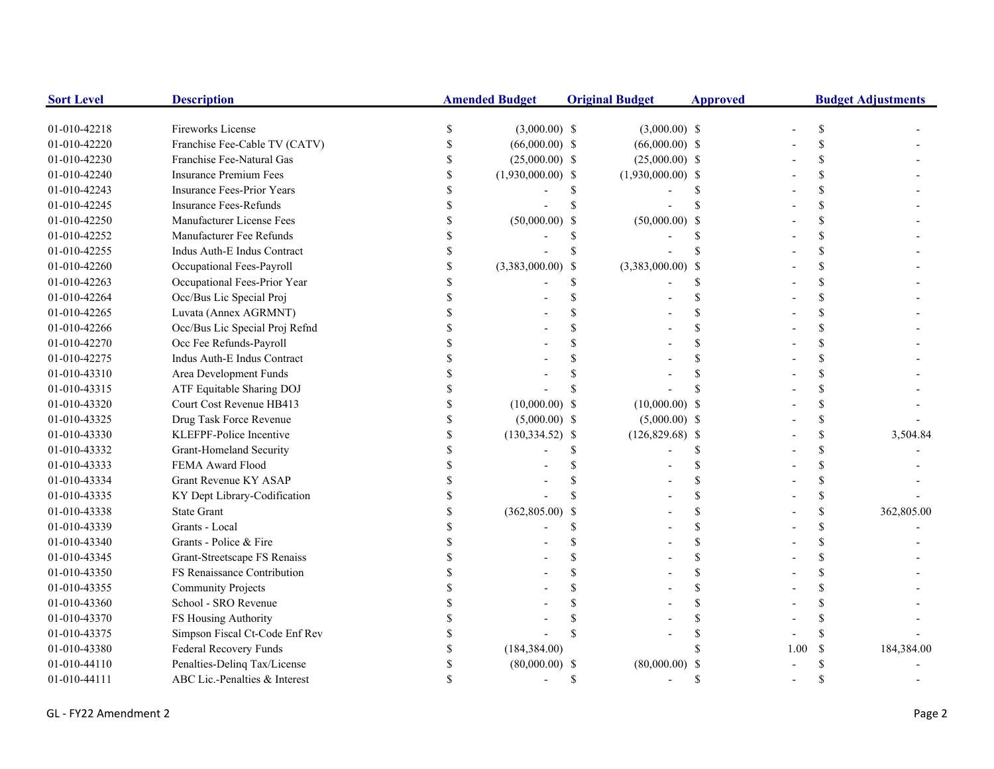| <b>Sort Level</b> | <b>Description</b>             |               | <b>Amended Budget</b> |     | <b>Original Budget</b> | <b>Approved</b> | <b>Budget Adjustments</b> |               |            |
|-------------------|--------------------------------|---------------|-----------------------|-----|------------------------|-----------------|---------------------------|---------------|------------|
| 01-010-42218      | Fireworks License              | <sup>\$</sup> | $(3,000.00)$ \$       |     | $(3,000.00)$ \$        |                 |                           |               |            |
| 01-010-42220      | Franchise Fee-Cable TV (CATV)  |               | $(66,000.00)$ \$      |     | $(66,000.00)$ \$       |                 |                           |               |            |
| 01-010-42230      | Franchise Fee-Natural Gas      |               | $(25,000.00)$ \$      |     | $(25,000.00)$ \$       |                 |                           |               |            |
| 01-010-42240      | Insurance Premium Fees         |               | $(1,930,000.00)$ \$   |     | $(1,930,000.00)$ \$    |                 |                           |               |            |
| 01-010-42243      | Insurance Fees-Prior Years     |               |                       |     |                        |                 |                           |               |            |
| 01-010-42245      | Insurance Fees-Refunds         |               |                       |     |                        |                 |                           |               |            |
| 01-010-42250      | Manufacturer License Fees      |               | $(50,000.00)$ \$      |     | (50,000.00)            |                 |                           |               |            |
| 01-010-42252      | Manufacturer Fee Refunds       |               |                       |     |                        |                 |                           |               |            |
| 01-010-42255      | Indus Auth-E Indus Contract    |               |                       |     |                        |                 |                           |               |            |
| 01-010-42260      | Occupational Fees-Payroll      |               | $(3,383,000.00)$ \$   |     | $(3,383,000.00)$ \$    |                 |                           |               |            |
| 01-010-42263      | Occupational Fees-Prior Year   |               |                       | \$  |                        |                 |                           |               |            |
| 01-010-42264      | Occ/Bus Lic Special Proj       |               |                       |     |                        |                 |                           |               |            |
| 01-010-42265      | Luvata (Annex AGRMNT)          |               |                       |     |                        |                 |                           |               |            |
| 01-010-42266      | Occ/Bus Lic Special Proj Refnd |               |                       |     |                        |                 |                           |               |            |
| 01-010-42270      | Occ Fee Refunds-Payroll        |               |                       |     |                        |                 |                           |               |            |
| 01-010-42275      | Indus Auth-E Indus Contract    |               |                       |     |                        |                 |                           |               |            |
| 01-010-43310      | Area Development Funds         |               |                       |     |                        |                 |                           |               |            |
| 01-010-43315      | ATF Equitable Sharing DOJ      |               |                       |     |                        |                 |                           |               |            |
| 01-010-43320      | Court Cost Revenue HB413       |               | $(10,000.00)$ \$      |     | $(10,000.00)$ \$       |                 |                           |               |            |
| 01-010-43325      | Drug Task Force Revenue        |               | $(5,000.00)$ \$       |     | $(5,000.00)$ \$        |                 |                           | \$            |            |
| 01-010-43330      | KLEFPF-Police Incentive        |               | $(130, 334.52)$ \$    |     | $(126,829.68)$ \$      |                 |                           |               | 3,504.84   |
| 01-010-43332      | Grant-Homeland Security        |               |                       |     |                        |                 |                           |               |            |
| 01-010-43333      | FEMA Award Flood               |               |                       |     |                        |                 |                           |               |            |
| 01-010-43334      | Grant Revenue KY ASAP          |               |                       |     |                        |                 |                           |               |            |
| 01-010-43335      | KY Dept Library-Codification   |               |                       |     |                        |                 |                           |               |            |
| 01-010-43338      | <b>State Grant</b>             |               | (362, 805.00)         | -\$ |                        |                 |                           |               | 362,805.00 |
| 01-010-43339      | Grants - Local                 |               |                       |     |                        |                 |                           |               |            |
| 01-010-43340      | Grants - Police & Fire         |               |                       |     |                        |                 |                           |               |            |
| 01-010-43345      | Grant-Streetscape FS Renaiss   |               |                       |     |                        |                 |                           |               |            |
| 01-010-43350      | FS Renaissance Contribution    |               |                       |     |                        |                 |                           |               |            |
| 01-010-43355      | <b>Community Projects</b>      |               |                       |     |                        |                 |                           |               |            |
| 01-010-43360      | School - SRO Revenue           |               |                       |     |                        |                 |                           |               |            |
| 01-010-43370      | FS Housing Authority           |               |                       |     |                        |                 |                           |               |            |
| 01-010-43375      | Simpson Fiscal Ct-Code Enf Rev |               |                       |     |                        |                 |                           |               |            |
| 01-010-43380      | Federal Recovery Funds         |               | (184, 384.00)         |     |                        |                 | 1.00                      | <sup>\$</sup> | 184,384.00 |
| 01-010-44110      | Penalties-Delinq Tax/License   |               | $(80,000.00)$ \$      |     | (80,000.00)            |                 |                           |               |            |
| 01-010-44111      | ABC Lic.-Penalties & Interest  |               |                       | S   |                        |                 |                           |               |            |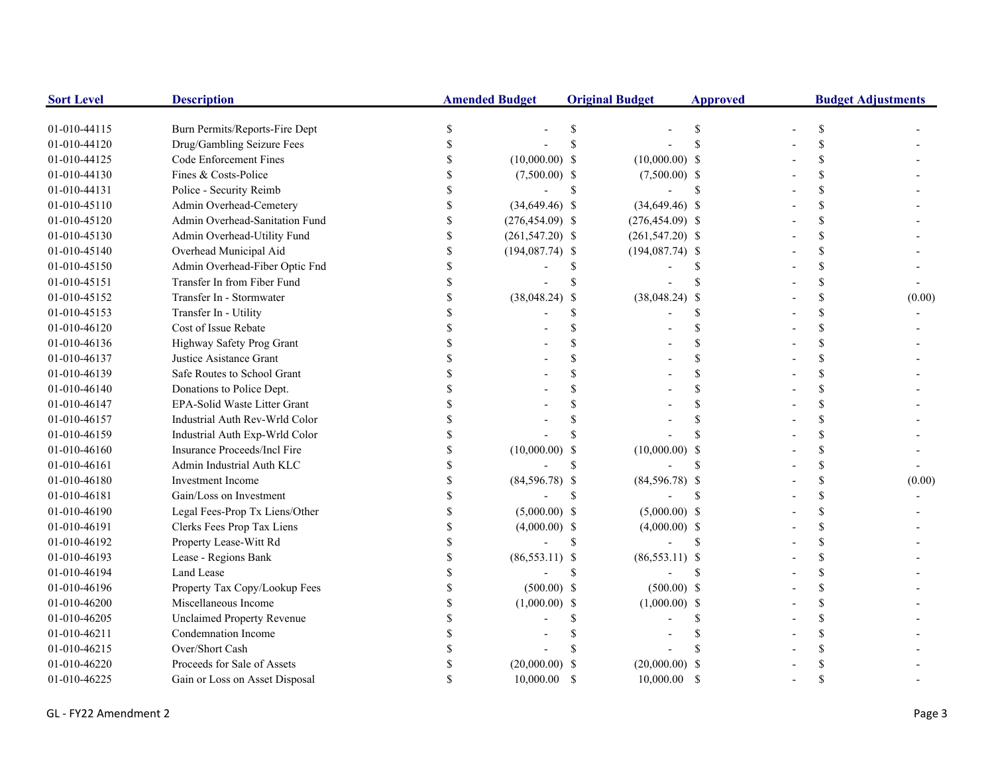| <b>Sort Level</b> | <b>Description</b>                |               | <b>Amended Budget</b> |               | <b>Original Budget</b> | <b>Approved</b> | <b>Budget Adjustments</b> |               |        |
|-------------------|-----------------------------------|---------------|-----------------------|---------------|------------------------|-----------------|---------------------------|---------------|--------|
| 01-010-44115      | Burn Permits/Reports-Fire Dept    |               |                       | \$.           |                        |                 |                           | \$            |        |
| 01-010-44120      | Drug/Gambling Seizure Fees        |               |                       |               |                        |                 |                           | \$            |        |
| 01-010-44125      | Code Enforcement Fines            |               | $(10,000.00)$ \$      |               | $(10,000.00)$ \$       |                 |                           | \$.           |        |
| 01-010-44130      | Fines & Costs-Police              |               | $(7,500.00)$ \$       |               | $(7,500.00)$ \$        |                 |                           | \$.           |        |
| 01-010-44131      | Police - Security Reimb           |               |                       | <sup>\$</sup> |                        | <b>S</b>        |                           | $\mathcal{S}$ |        |
| 01-010-45110      | Admin Overhead-Cemetery           |               | $(34,649.46)$ \$      |               | $(34,649.46)$ \$       |                 |                           | \$            |        |
| 01-010-45120      | Admin Overhead-Sanitation Fund    |               | $(276, 454.09)$ \$    |               | $(276, 454.09)$ \$     |                 |                           | \$            |        |
| 01-010-45130      | Admin Overhead-Utility Fund       | <sup>\$</sup> | $(261, 547.20)$ \$    |               | $(261, 547.20)$ \$     |                 |                           | \$.           |        |
| 01-010-45140      | Overhead Municipal Aid            | \$            | $(194,087.74)$ \$     |               | $(194,087.74)$ \$      |                 |                           | $\mathcal{S}$ |        |
| 01-010-45150      | Admin Overhead-Fiber Optic Fnd    | \$            |                       |               |                        |                 |                           | <sup>\$</sup> |        |
| 01-010-45151      | Transfer In from Fiber Fund       | \$            |                       |               |                        |                 |                           | <sup>\$</sup> |        |
| 01-010-45152      | Transfer In - Stormwater          |               | $(38,048.24)$ \$      |               | $(38,048.24)$ \$       |                 |                           | \$            | (0.00) |
| 01-010-45153      | Transfer In - Utility             |               |                       |               |                        |                 |                           | \$            |        |
| 01-010-46120      | Cost of Issue Rebate              |               |                       |               |                        |                 |                           | \$            |        |
| 01-010-46136      | Highway Safety Prog Grant         |               |                       |               |                        |                 |                           | $\mathcal{S}$ |        |
| 01-010-46137      | Justice Asistance Grant           |               |                       |               |                        |                 |                           | \$.           |        |
| 01-010-46139      | Safe Routes to School Grant       |               |                       |               |                        |                 |                           | \$            |        |
| 01-010-46140      | Donations to Police Dept.         |               |                       |               |                        |                 |                           | \$            |        |
| 01-010-46147      | EPA-Solid Waste Litter Grant      |               |                       |               |                        |                 |                           | \$.           |        |
| 01-010-46157      | Industrial Auth Rev-Wrld Color    |               |                       |               |                        |                 |                           | \$.           |        |
| 01-010-46159      | Industrial Auth Exp-Wrld Color    |               |                       |               |                        |                 |                           | $\mathcal{S}$ |        |
| 01-010-46160      | Insurance Proceeds/Incl Fire      |               | $(10,000.00)$ \$      |               | $(10,000.00)$ \$       |                 |                           | \$            |        |
| 01-010-46161      | Admin Industrial Auth KLC         |               |                       |               |                        |                 |                           | \$            |        |
| 01-010-46180      | Investment Income                 |               | $(84,596.78)$ \$      |               | $(84,596.78)$ \$       |                 |                           | <sup>\$</sup> | (0.00) |
| 01-010-46181      | Gain/Loss on Investment           |               |                       |               |                        |                 |                           | \$            |        |
| 01-010-46190      | Legal Fees-Prop Tx Liens/Other    |               | $(5,000.00)$ \$       |               | $(5,000.00)$ \$        |                 |                           | \$            |        |
| 01-010-46191      | Clerks Fees Prop Tax Liens        |               | $(4,000.00)$ \$       |               | $(4,000.00)$ \$        |                 |                           | \$            |        |
| 01-010-46192      | Property Lease-Witt Rd            |               |                       | \$.           |                        | \$.             |                           | \$.           |        |
| 01-010-46193      | Lease - Regions Bank              |               | $(86,553.11)$ \$      |               | $(86,553.11)$ \$       |                 |                           | \$            |        |
| 01-010-46194      | Land Lease                        |               |                       | \$            |                        |                 |                           | \$.           |        |
| 01-010-46196      | Property Tax Copy/Lookup Fees     |               | $(500.00)$ \$         |               | $(500.00)$ \$          |                 |                           | \$.           |        |
| 01-010-46200      | Miscellaneous Income              |               | $(1,000.00)$ \$       |               | $(1,000.00)$ \$        |                 |                           | \$            |        |
| 01-010-46205      | <b>Unclaimed Property Revenue</b> |               |                       |               |                        |                 |                           | $\mathcal{S}$ |        |
| 01-010-46211      | Condemnation Income               |               |                       |               |                        |                 |                           | \$.           |        |
| 01-010-46215      | Over/Short Cash                   |               |                       |               |                        |                 |                           | \$            |        |
| 01-010-46220      | Proceeds for Sale of Assets       |               | $(20,000.00)$ \$      |               | $(20,000.00)$ \$       |                 |                           | \$.           |        |
| 01-010-46225      | Gain or Loss on Asset Disposal    |               | 10,000.00             | <sup>\$</sup> | $10,000.00$ \$         |                 |                           | $\mathbf S$   |        |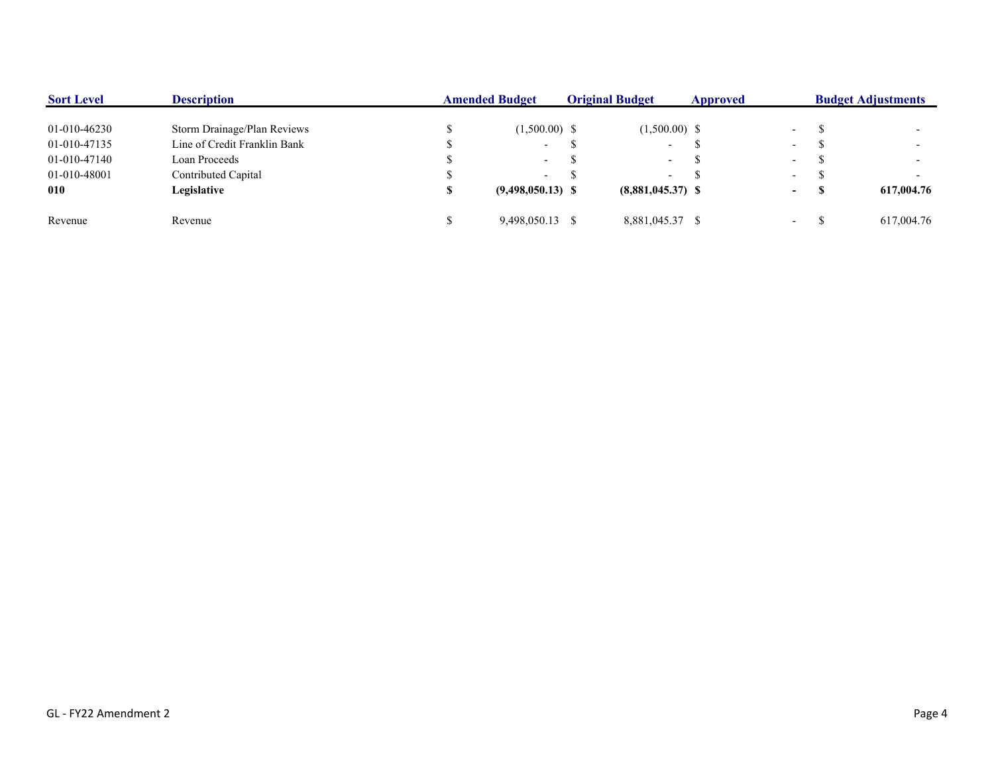| <b>Sort Level</b> | <b>Description</b>           | <b>Amended Budget</b> |                     | <b>Original Budget</b> |                          | Approved |                          | <b>Budget Adjustments</b> |            |  |
|-------------------|------------------------------|-----------------------|---------------------|------------------------|--------------------------|----------|--------------------------|---------------------------|------------|--|
| 01-010-46230      | Storm Drainage/Plan Reviews  |                       | $(1,500.00)$ \$     |                        | $(1,500.00)$ \$          |          | $\overline{\phantom{0}}$ |                           |            |  |
| 01-010-47135      | Line of Credit Franklin Bank |                       | $\sim$              |                        | $\overline{\phantom{0}}$ |          | $\overline{\phantom{a}}$ |                           |            |  |
| 01-010-47140      | Loan Proceeds                |                       | $\sim$              |                        | $\sim$                   |          | $\overline{\phantom{a}}$ |                           |            |  |
| 01-010-48001      | Contributed Capital          |                       | $\sim$              |                        | $\overline{\phantom{a}}$ |          | $\overline{\phantom{0}}$ |                           |            |  |
| 010               | Legislative                  |                       | $(9,498,050.13)$ \$ |                        | $(8,881,045.37)$ \$      |          | $\sim$                   | - 70                      | 617,004.76 |  |
| Revenue           | Revenue                      |                       | 9.498.050.13 \$     |                        | 8,881,045.37 \$          |          | $\overline{\phantom{0}}$ |                           | 617,004.76 |  |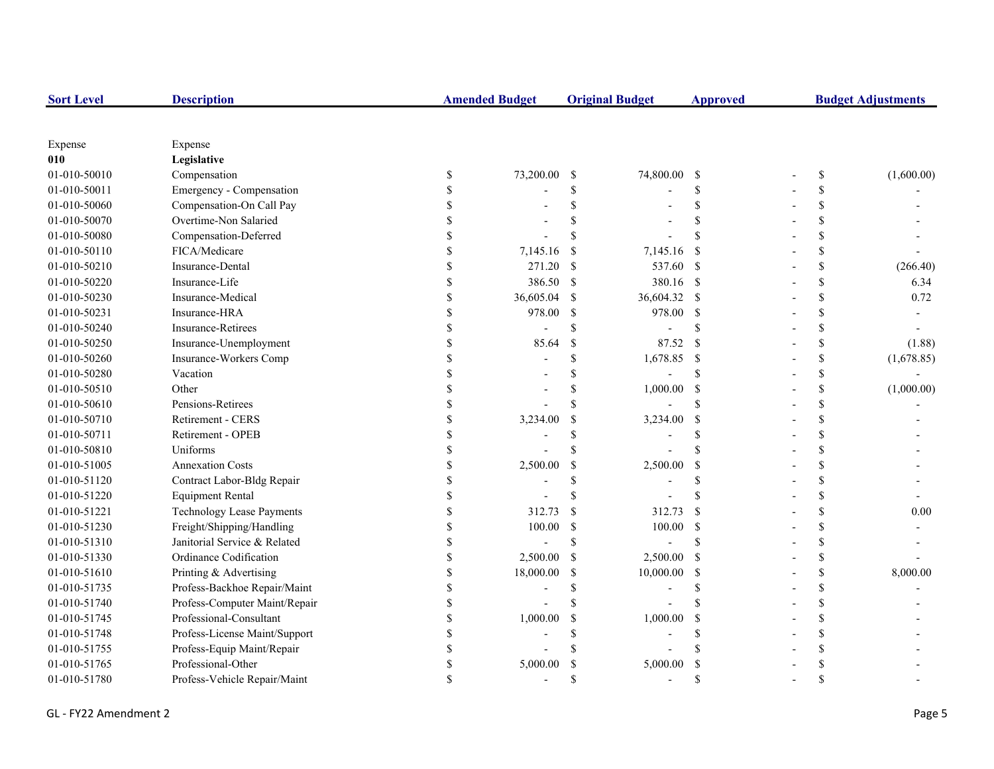| <b>Sort Level</b> | <b>Description</b>               |             | <b>Amended Budget</b> |                    | <b>Original Budget</b> | <b>Approved</b>    | <b>Budget Adjustments</b> |            |  |
|-------------------|----------------------------------|-------------|-----------------------|--------------------|------------------------|--------------------|---------------------------|------------|--|
|                   |                                  |             |                       |                    |                        |                    |                           |            |  |
| Expense           | Expense                          |             |                       |                    |                        |                    |                           |            |  |
| 010               | Legislative                      |             |                       |                    |                        |                    |                           |            |  |
| 01-010-50010      | Compensation                     | \$          | 73,200.00             | <sup>\$</sup>      | 74,800.00              | - \$               | \$                        | (1,600.00) |  |
| 01-010-50011      | Emergency - Compensation         |             |                       | \$                 |                        | \$                 | \$                        |            |  |
| 01-010-50060      | Compensation-On Call Pay         |             |                       | \$                 |                        | \$                 | \$                        |            |  |
| 01-010-50070      | Overtime-Non Salaried            |             |                       |                    |                        | <sup>\$</sup>      | \$                        |            |  |
| 01-010-50080      | Compensation-Deferred            |             |                       | \$                 |                        | <b>S</b>           | \$                        |            |  |
| 01-010-50110      | FICA/Medicare                    |             | 7,145.16              | <sup>\$</sup>      | 7,145.16               | -S                 | \$                        |            |  |
| 01-010-50210      | Insurance-Dental                 |             | 271.20                | <sup>\$</sup>      | 537.60 \$              |                    | \$                        | (266.40)   |  |
| 01-010-50220      | Insurance-Life                   |             | 386.50                | $\mathcal{S}$      | 380.16 \$              |                    | \$                        | 6.34       |  |
| 01-010-50230      | Insurance-Medical                | $\mathbf S$ | 36,605.04             | <sup>\$</sup>      | 36,604.32              | $\mathbf{\hat{s}}$ | \$                        | 0.72       |  |
| 01-010-50231      | Insurance-HRA                    | \$          | 978.00                | <sup>\$</sup>      | 978.00 \$              |                    | \$                        |            |  |
| 01-010-50240      | <b>Insurance-Retirees</b>        | S           |                       | \$                 |                        | <sup>\$</sup>      | \$                        |            |  |
| 01-010-50250      | Insurance-Unemployment           | \$          | 85.64                 | $\mathcal{S}$      | 87.52                  | -S                 | \$                        | (1.88)     |  |
| 01-010-50260      | Insurance-Workers Comp           |             |                       | \$                 | 1,678.85               | $\mathbf{\hat{s}}$ | \$                        | (1,678.85) |  |
| 01-010-50280      | Vacation                         |             |                       | $\mathbf{\hat{S}}$ |                        | <sup>\$</sup>      | \$                        |            |  |
| 01-010-50510      | Other                            |             |                       | \$                 | 1,000.00               | <sup>\$</sup>      | \$                        | (1,000.00) |  |
| 01-010-50610      | Pensions-Retirees                |             |                       | $\mathbf{\hat{S}}$ |                        | <sup>\$</sup>      | \$                        |            |  |
| 01-010-50710      | Retirement - CERS                |             | 3,234.00              | <sup>\$</sup>      | 3,234.00               | <sup>\$</sup>      | \$                        |            |  |
| 01-010-50711      | Retirement - OPEB                |             |                       | \$                 |                        | <sup>\$</sup>      | \$                        |            |  |
| 01-010-50810      | Uniforms                         |             |                       | \$                 |                        | <sup>\$</sup>      | \$                        |            |  |
| 01-010-51005      | <b>Annexation Costs</b>          |             | 2,500.00              | \$                 | 2,500.00               | <sup>\$</sup>      | \$                        |            |  |
| 01-010-51120      | Contract Labor-Bldg Repair       | S           |                       | \$.                |                        | \$.                | \$                        |            |  |
| 01-010-51220      | <b>Equipment Rental</b>          | S           |                       | \$.                |                        | $\mathbf{\hat{S}}$ | \$                        |            |  |
| 01-010-51221      | <b>Technology Lease Payments</b> | S           | 312.73                | <sup>S</sup>       | 312.73                 | -S                 | \$                        | 0.00       |  |
| 01-010-51230      | Freight/Shipping/Handling        | \$          | 100.00                | <sup>\$</sup>      | 100.00                 | - \$               | \$                        |            |  |
| 01-010-51310      | Janitorial Service & Related     |             |                       | <sup>\$</sup>      |                        | \$                 | \$                        |            |  |
| 01-010-51330      | Ordinance Codification           |             | 2,500.00              | <sup>\$</sup>      | 2,500.00               | - \$               | \$                        |            |  |
| 01-010-51610      | Printing & Advertising           |             | 18,000.00             | <sup>\$</sup>      | 10,000.00              | -S                 | \$                        | 8,000.00   |  |
| 01-010-51735      | Profess-Backhoe Repair/Maint     |             |                       | <sup>\$</sup>      |                        | <sup>\$</sup>      | \$                        |            |  |
| 01-010-51740      | Profess-Computer Maint/Repair    |             |                       | \$.                |                        |                    | \$                        |            |  |
| 01-010-51745      | Professional-Consultant          |             | 1,000.00              | <sup>\$</sup>      | 1,000.00               | <sup>\$</sup>      | \$                        |            |  |
| 01-010-51748      | Profess-License Maint/Support    |             |                       | \$                 |                        | <sup>\$</sup>      | \$                        |            |  |
| 01-010-51755      | Profess-Equip Maint/Repair       |             |                       |                    |                        |                    | \$                        |            |  |
| 01-010-51765      | Professional-Other               |             | 5,000.00              | <sup>\$</sup>      | 5,000.00               | <sup>\$</sup>      | \$                        |            |  |
| 01-010-51780      | Profess-Vehicle Repair/Maint     |             |                       | \$.                |                        | $\mathcal{S}$      | $\mathbf{\hat{S}}$        |            |  |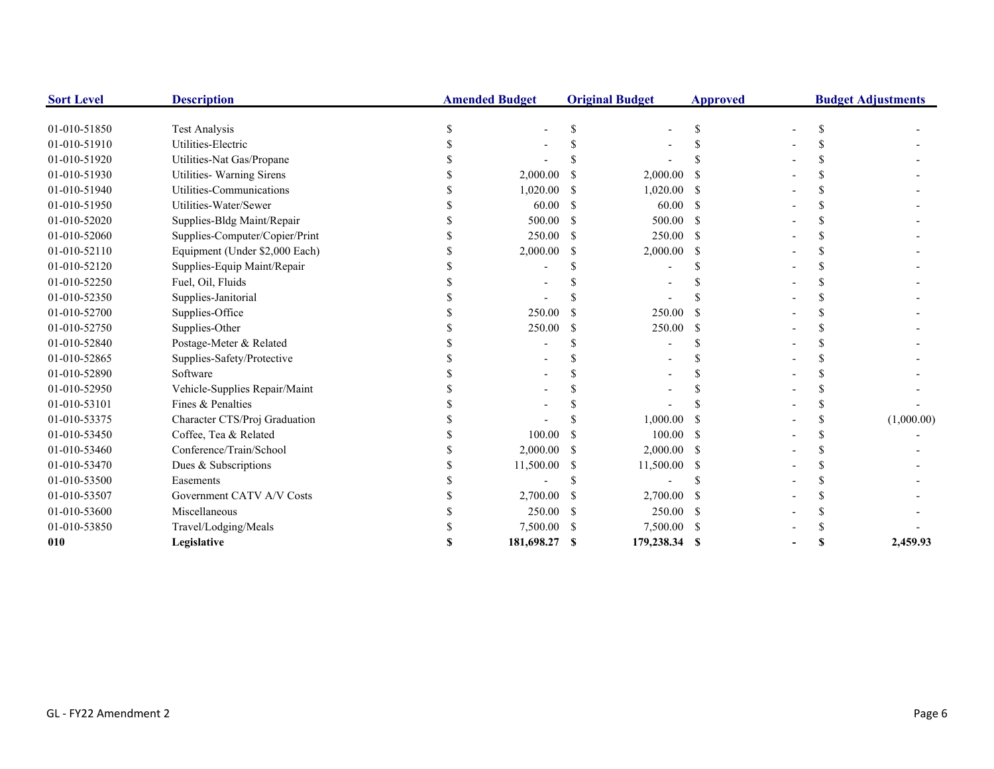| <b>Sort Level</b> | <b>Description</b>             | <b>Amended Budget</b> |               | <b>Original Budget</b> | <b>Approved</b> |  | <b>Budget Adjustments</b> |
|-------------------|--------------------------------|-----------------------|---------------|------------------------|-----------------|--|---------------------------|
| 01-010-51850      | <b>Test Analysis</b>           |                       |               |                        |                 |  |                           |
| 01-010-51910      | Utilities-Electric             |                       |               |                        |                 |  |                           |
| 01-010-51920      | Utilities-Nat Gas/Propane      |                       |               |                        |                 |  |                           |
| 01-010-51930      | Utilities- Warning Sirens      | 2,000.00              |               | 2,000.00               |                 |  |                           |
| 01-010-51940      | Utilities-Communications       | 1,020.00              |               | 1,020.00               |                 |  |                           |
| 01-010-51950      | Utilities-Water/Sewer          | 60.00                 | <sup>\$</sup> | 60.00                  | -S              |  |                           |
| 01-010-52020      | Supplies-Bldg Maint/Repair     | 500.00                | -S            | 500.00                 | - S             |  |                           |
| 01-010-52060      | Supplies-Computer/Copier/Print | 250.00                | -S            | $250.00$ \$            |                 |  |                           |
| 01-010-52110      | Equipment (Under \$2,000 Each) | 2,000.00              | -S            | 2,000.00               | -S              |  |                           |
| 01-010-52120      | Supplies-Equip Maint/Repair    |                       |               |                        |                 |  |                           |
| 01-010-52250      | Fuel, Oil, Fluids              |                       |               |                        |                 |  |                           |
| 01-010-52350      | Supplies-Janitorial            |                       |               |                        |                 |  |                           |
| 01-010-52700      | Supplies-Office                | 250.00                |               | 250.00                 |                 |  |                           |
| 01-010-52750      | Supplies-Other                 | 250.00                |               | 250.00                 |                 |  |                           |
| 01-010-52840      | Postage-Meter & Related        |                       |               |                        |                 |  |                           |
| 01-010-52865      | Supplies-Safety/Protective     |                       |               |                        |                 |  |                           |
| 01-010-52890      | Software                       |                       |               |                        |                 |  |                           |
| 01-010-52950      | Vehicle-Supplies Repair/Maint  |                       |               |                        |                 |  |                           |
| 01-010-53101      | Fines & Penalties              |                       |               |                        |                 |  |                           |
| 01-010-53375      | Character CTS/Proj Graduation  |                       |               | 1,000.00               |                 |  | (1,000.00)                |
| 01-010-53450      | Coffee, Tea & Related          | 100.00                |               | 100.00                 | - S             |  |                           |
| 01-010-53460      | Conference/Train/School        | 2,000.00              |               | $2,000.00$ \$          |                 |  |                           |
| 01-010-53470      | Dues & Subscriptions           | 11,500.00             |               | 11,500.00 \$           |                 |  |                           |
| 01-010-53500      | Easements                      |                       |               |                        |                 |  |                           |
| 01-010-53507      | Government CATV A/V Costs      | 2,700.00              |               | 2,700.00               |                 |  |                           |
| 01-010-53600      | Miscellaneous                  | 250.00                |               | 250.00                 |                 |  |                           |
| 01-010-53850      | Travel/Lodging/Meals           | 7,500.00              |               | 7,500.00 \$            |                 |  |                           |
| 010               | Legislative                    | 181,698.27            | S             | 179,238.34 \$          |                 |  | 2,459.93                  |
|                   |                                |                       |               |                        |                 |  |                           |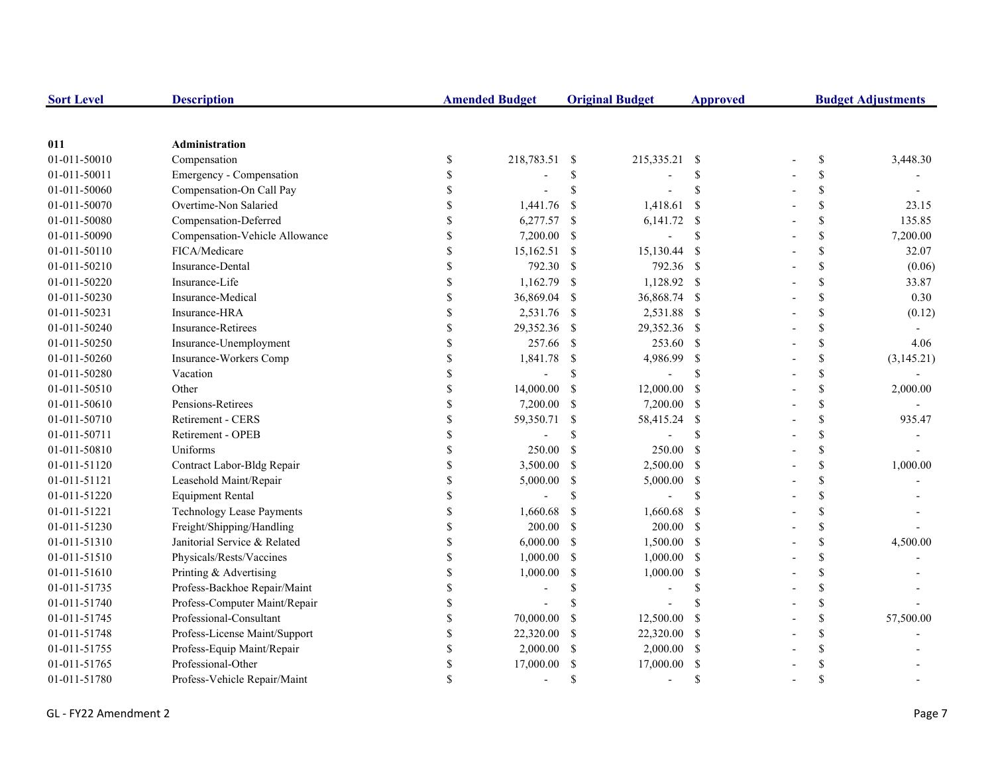| <b>Sort Level</b> | <b>Description</b>               |                    | <b>Amended Budget</b> |                           | <b>Original Budget</b> | <b>Approved</b> | <b>Budget Adjustments</b> |              |            |
|-------------------|----------------------------------|--------------------|-----------------------|---------------------------|------------------------|-----------------|---------------------------|--------------|------------|
|                   |                                  |                    |                       |                           |                        |                 |                           |              |            |
| 011               | Administration                   |                    |                       |                           |                        |                 |                           |              |            |
| 01-011-50010      | Compensation                     | \$                 | 218,783.51 \$         |                           | 215,335.21             | - \$            |                           | \$           | 3,448.30   |
| 01-011-50011      | Emergency - Compensation         | \$                 |                       | \$                        |                        | <sup>\$</sup>   |                           | \$           |            |
| 01-011-50060      | Compensation-On Call Pay         | \$                 |                       | \$                        |                        | <sup>\$</sup>   |                           | \$           |            |
| 01-011-50070      | Overtime-Non Salaried            |                    | 1,441.76              | -\$                       | 1,418.61               | <sup>\$</sup>   |                           | \$           | 23.15      |
| 01-011-50080      | Compensation-Deferred            |                    | 6,277.57              | -S                        | $6,141.72$ \$          |                 |                           | \$           | 135.85     |
| 01-011-50090      | Compensation-Vehicle Allowance   |                    | 7,200.00              | -\$                       |                        | <sup>\$</sup>   |                           | \$           | 7,200.00   |
| 01-011-50110      | FICA/Medicare                    |                    | $15,162.51$ \$        |                           | 15,130.44              | -S              |                           | \$           | 32.07      |
| 01-011-50210      | Insurance-Dental                 | $\mathbf{\hat{S}}$ | 792.30                | -S                        | 792.36 \$              |                 |                           | $\mathbb{S}$ | (0.06)     |
| 01-011-50220      | Insurance-Life                   | \$                 | 1,162.79              | -S                        | 1,128.92 \$            |                 |                           | \$           | 33.87      |
| 01-011-50230      | Insurance-Medical                | \$                 | 36,869.04             | -S                        | 36,868.74 \$           |                 |                           | $\mathbb{S}$ | 0.30       |
| 01-011-50231      | Insurance-HRA                    | \$                 | 2,531.76              | -S                        | 2,531.88 \$            |                 |                           | \$           | (0.12)     |
| 01-011-50240      | <b>Insurance-Retirees</b>        | \$                 | 29,352.36             | -S                        | 29,352.36 \$           |                 |                           | \$           |            |
| 01-011-50250      | Insurance-Unemployment           | S                  | 257.66                | -S                        | 253.60 \$              |                 |                           | \$           | 4.06       |
| 01-011-50260      | Insurance-Workers Comp           |                    | 1,841.78              | $\boldsymbol{\mathsf{S}}$ | 4,986.99               | -\$             |                           | \$           | (3,145.21) |
| 01-011-50280      | Vacation                         |                    |                       | $\mathbf S$               |                        | <sup>\$</sup>   |                           | \$           |            |
| 01-011-50510      | Other                            |                    | 14,000.00             | <sup>\$</sup>             | 12,000.00              | <sup>S</sup>    |                           | \$           | 2,000.00   |
| 01-011-50610      | Pensions-Retirees                |                    | 7,200.00              | <sup>\$</sup>             | 7,200.00 \$            |                 |                           | \$           |            |
| 01-011-50710      | Retirement - CERS                |                    | 59,350.71             | \$                        | 58,415.24 \$           |                 |                           | \$           | 935.47     |
| 01-011-50711      | Retirement - OPEB                |                    |                       | <sup>\$</sup>             |                        | <sup>\$</sup>   |                           | \$           |            |
| 01-011-50810      | Uniforms                         |                    | 250.00                | <sup>S</sup>              | 250.00                 | $\mathcal{S}$   |                           | $\mathbb{S}$ |            |
| 01-011-51120      | Contract Labor-Bldg Repair       | \$                 | 3,500.00              | <sup>\$</sup>             | 2,500.00 \$            |                 |                           | $\mathbb{S}$ | 1,000.00   |
| 01-011-51121      | Leasehold Maint/Repair           | \$                 | 5,000.00              | \$                        | 5,000.00 \$            |                 |                           | \$           |            |
| 01-011-51220      | <b>Equipment Rental</b>          | \$                 |                       | \$                        |                        | -S              |                           | \$           |            |
| 01-011-51221      | <b>Technology Lease Payments</b> | \$                 | 1,660.68              | -S                        | 1,660.68               | - \$            |                           | \$           |            |
| 01-011-51230      | Freight/Shipping/Handling        | \$                 | 200.00                | -S                        | $200.00$ \$            |                 |                           | \$           |            |
| 01-011-51310      | Janitorial Service & Related     |                    | 6,000.00              | <sup>\$</sup>             | 1,500.00 \$            |                 |                           | \$           | 4,500.00   |
| 01-011-51510      | Physicals/Rests/Vaccines         |                    | 1,000.00              | <sup>\$</sup>             | $1,000.00$ \$          |                 |                           | \$           |            |
| 01-011-51610      | Printing & Advertising           |                    | 1,000.00              | \$                        | 1,000.00               | $\mathbb{S}$    |                           | \$           |            |
| 01-011-51735      | Profess-Backhoe Repair/Maint     |                    |                       | $\mathcal{S}$             |                        | <sup>\$</sup>   |                           | \$           |            |
| 01-011-51740      | Profess-Computer Maint/Repair    |                    |                       |                           |                        |                 |                           | \$           |            |
| 01-011-51745      | Professional-Consultant          |                    | 70,000.00             | -S                        | 12,500.00              | <sup>\$</sup>   |                           | \$           | 57,500.00  |
| 01-011-51748      | Profess-License Maint/Support    |                    | 22,320.00             | -S                        | 22,320.00              | - \$            |                           | \$           |            |
| 01-011-51755      | Profess-Equip Maint/Repair       | \$                 | 2,000.00              | <sup>\$</sup>             | 2,000.00               | -S              |                           | \$           |            |
| 01-011-51765      | Professional-Other               | \$.                | 17,000.00             | <sup>\$</sup>             | 17,000.00              | <sup>S</sup>    |                           | \$           |            |
| 01-011-51780      | Profess-Vehicle Repair/Maint     |                    |                       | \$.                       |                        | -S              |                           | \$           |            |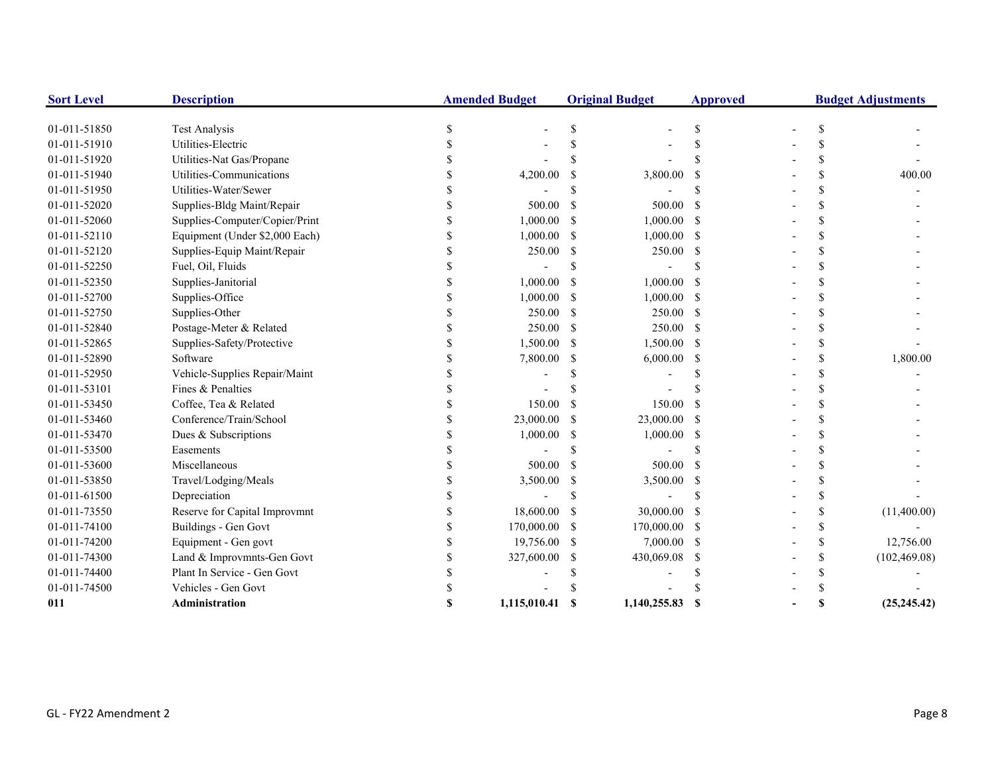| <b>Sort Level</b> | <b>Description</b>             | <b>Amended Budget</b> |              |               | <b>Original Budget</b> | <b>Approved</b> | <b>Budget Adjustments</b> |               |               |
|-------------------|--------------------------------|-----------------------|--------------|---------------|------------------------|-----------------|---------------------------|---------------|---------------|
| 01-011-51850      | <b>Test Analysis</b>           |                       |              |               |                        |                 |                           | S.            |               |
| 01-011-51910      | Utilities-Electric             |                       |              |               |                        |                 |                           |               |               |
| 01-011-51920      | Utilities-Nat Gas/Propane      |                       |              |               |                        |                 |                           |               |               |
| 01-011-51940      | Utilities-Communications       |                       | 4,200.00     |               | 3,800.00               |                 |                           | \$            | 400.00        |
| 01-011-51950      | Utilities-Water/Sewer          |                       |              |               |                        |                 |                           | \$.           |               |
| 01-011-52020      | Supplies-Bldg Maint/Repair     |                       | 500.00       |               | 500.00                 |                 |                           | \$            |               |
| 01-011-52060      | Supplies-Computer/Copier/Print |                       | 1,000.00     | S             | 1,000.00               | -S              |                           | \$            |               |
| 01-011-52110      | Equipment (Under \$2,000 Each) |                       | 1,000.00     | -S            | $1,000.00$ \$          |                 |                           | \$            |               |
| 01-011-52120      | Supplies-Equip Maint/Repair    |                       | 250.00       | -S            | 250.00                 | -S              |                           | \$            |               |
| 01-011-52250      | Fuel, Oil, Fluids              |                       |              |               |                        |                 |                           | \$.           |               |
| 01-011-52350      | Supplies-Janitorial            |                       | 1,000.00     |               | 1,000.00               | - \$            |                           |               |               |
| 01-011-52700      | Supplies-Office                |                       | 1,000.00     | -S            | $1,000.00$ \$          |                 |                           | \$.           |               |
| 01-011-52750      | Supplies-Other                 |                       | 250.00       | -S            | $250.00$ \$            |                 |                           | <sup>\$</sup> |               |
| 01-011-52840      | Postage-Meter & Related        |                       | 250.00       | <sup>\$</sup> | 250.00 \$              |                 |                           | \$            |               |
| 01-011-52865      | Supplies-Safety/Protective     |                       | 1,500.00     | -S            | 1,500.00 \$            |                 |                           | \$.           |               |
| 01-011-52890      | Software                       |                       | 7,800.00     | S             | 6,000.00               | -S              |                           | \$            | 1,800.00      |
| 01-011-52950      | Vehicle-Supplies Repair/Maint  |                       |              |               |                        |                 |                           | \$            |               |
| 01-011-53101      | Fines & Penalties              |                       |              |               |                        |                 |                           | \$            |               |
| 01-011-53450      | Coffee, Tea & Related          |                       | 150.00       |               | 150.00                 | -S              |                           | \$            |               |
| 01-011-53460      | Conference/Train/School        |                       | 23,000.00    |               | 23,000.00              | - \$            |                           | \$.           |               |
| 01-011-53470      | Dues & Subscriptions           |                       | 1,000.00     |               | 1,000.00               | - \$            |                           |               |               |
| 01-011-53500      | Easements                      |                       |              |               |                        |                 |                           | \$.           |               |
| 01-011-53600      | Miscellaneous                  |                       | 500.00       |               | 500.00                 | - \$            |                           | <sup>\$</sup> |               |
| 01-011-53850      | Travel/Lodging/Meals           |                       | 3,500.00     | \$            | 3,500.00               | - \$            |                           | \$            |               |
| 01-011-61500      | Depreciation                   |                       |              |               |                        |                 |                           | \$.           |               |
| 01-011-73550      | Reserve for Capital Improvmnt  |                       | 18,600.00    |               | 30,000.00              | -S              |                           | \$.           | (11,400.00)   |
| 01-011-74100      | <b>Buildings - Gen Govt</b>    |                       | 170,000.00   | -S            | 170,000.00 \$          |                 |                           | \$            |               |
| 01-011-74200      | Equipment - Gen govt           |                       | 19,756.00    | -S            | $7,000.00$ \$          |                 |                           | <sup>\$</sup> | 12,756.00     |
| 01-011-74300      | Land & Improvmnts-Gen Govt     |                       | 327,600.00   | S             | 430,069.08             | -S              |                           | <sup>\$</sup> | (102, 469.08) |
| 01-011-74400      | Plant In Service - Gen Govt    |                       |              |               |                        |                 |                           | \$.           |               |
| 01-011-74500      | Vehicles - Gen Govt            |                       |              |               |                        |                 |                           |               |               |
| 011               | Administration                 |                       | 1,115,010.41 |               | 1,140,255.83           | -S              |                           | S             | (25, 245.42)  |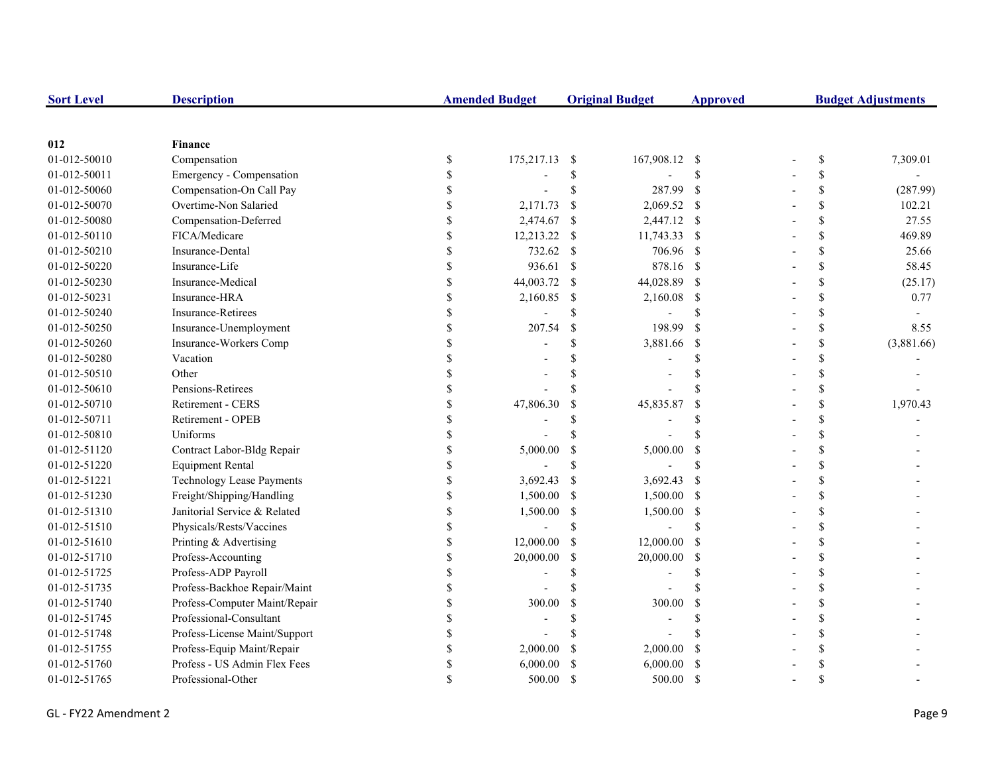| <b>Sort Level</b> | <b>Description</b>            |               | <b>Amended Budget</b> |                           | <b>Original Budget</b> | <b>Approved</b> | <b>Budget Adjustments</b> |            |  |
|-------------------|-------------------------------|---------------|-----------------------|---------------------------|------------------------|-----------------|---------------------------|------------|--|
|                   |                               |               |                       |                           |                        |                 |                           |            |  |
| 012               | <b>Finance</b>                |               |                       |                           |                        |                 |                           |            |  |
| 01-012-50010      | Compensation                  | \$            | 175,217.13            | -\$                       | 167,908.12 \$          |                 | \$                        | 7,309.01   |  |
| 01-012-50011      | Emergency - Compensation      | \$            |                       | \$                        |                        | \$              | \$                        |            |  |
| 01-012-50060      | Compensation-On Call Pay      |               |                       | $\mathcal{S}$             | 287.99                 | $\mathbf{s}$    | \$                        | (287.99)   |  |
| 01-012-50070      | Overtime-Non Salaried         |               | 2,171.73              | $\mathcal{S}$             | 2,069.52 \$            |                 | \$                        | 102.21     |  |
| 01-012-50080      | Compensation-Deferred         |               | 2,474.67              | <sup>\$</sup>             | 2,447.12 \$            |                 | \$                        | 27.55      |  |
| 01-012-50110      | FICA/Medicare                 |               | 12,213.22             | \$                        | 11,743.33 \$           |                 | \$                        | 469.89     |  |
| 01-012-50210      | <b>Insurance-Dental</b>       | $\mathcal{S}$ | 732.62                | <sup>S</sup>              | 706.96 \$              |                 | \$                        | 25.66      |  |
| 01-012-50220      | Insurance-Life                | \$            | 936.61                | $\mathbb{S}$              | 878.16 \$              |                 | \$                        | 58.45      |  |
| 01-012-50230      | Insurance-Medical             | \$            | 44,003.72             | <sup>\$</sup>             | 44,028.89 \$           |                 | \$                        | (25.17)    |  |
| 01-012-50231      | Insurance-HRA                 | \$            | 2,160.85              | <sup>\$</sup>             | 2,160.08 \$            |                 | \$                        | 0.77       |  |
| 01-012-50240      | Insurance-Retirees            | \$            |                       | <sup>\$</sup>             |                        | \$              | \$                        |            |  |
| 01-012-50250      | Insurance-Unemployment        | \$            | 207.54                | $\boldsymbol{\mathsf{S}}$ | 198.99                 | $\mathcal{S}$   | \$                        | 8.55       |  |
| 01-012-50260      | Insurance-Workers Comp        |               |                       | \$                        | 3,881.66               | - \$            | \$                        | (3,881.66) |  |
| 01-012-50280      | Vacation                      |               |                       | \$                        |                        | \$              | \$                        |            |  |
| 01-012-50510      | Other                         |               |                       | \$                        |                        | \$              | \$                        |            |  |
| 01-012-50610      | Pensions-Retirees             |               |                       | <sup>\$</sup>             |                        | \$              | \$                        |            |  |
| 01-012-50710      | Retirement - CERS             |               | 47,806.30             | \$                        | 45,835.87              | \$              | \$                        | 1,970.43   |  |
| 01-012-50711      | Retirement - OPEB             |               |                       | \$                        |                        | \$              | \$                        |            |  |
| 01-012-50810      | Uniforms                      |               |                       | \$                        |                        | $\mathbf S$     | \$                        |            |  |
| 01-012-51120      | Contract Labor-Bldg Repair    |               | 5,000.00              | <sup>\$</sup>             | 5,000.00               | -S              | $\mathbf S$               |            |  |
| 01-012-51220      | <b>Equipment Rental</b>       | \$            |                       | <sup>\$</sup>             |                        | \$              | \$                        |            |  |
| 01-012-51221      | Technology Lease Payments     | \$            | 3,692.43              | <sup>\$</sup>             | 3,692.43               | -S              | \$                        |            |  |
| 01-012-51230      | Freight/Shipping/Handling     | \$            | 1,500.00              | <sup>\$</sup>             | 1,500.00 \$            |                 | \$                        |            |  |
| 01-012-51310      | Janitorial Service & Related  | \$            | 1,500.00              | \$                        | 1,500.00               | $\mathcal{S}$   | \$                        |            |  |
| 01-012-51510      | Physicals/Rests/Vaccines      |               |                       | <sup>\$</sup>             |                        | \$              | \$                        |            |  |
| 01-012-51610      | Printing & Advertising        | <sup>\$</sup> | 12,000.00             | <sup>\$</sup>             | 12,000.00              | -S              | \$                        |            |  |
| 01-012-51710      | Profess-Accounting            | <sup>\$</sup> | 20,000.00             | <sup>\$</sup>             | 20,000.00              | - \$            | \$                        |            |  |
| 01-012-51725      | Profess-ADP Payroll           |               |                       | \$                        |                        | \$              | \$                        |            |  |
| 01-012-51735      | Profess-Backhoe Repair/Maint  |               |                       | $\mathcal{S}$             |                        | $\mathbf S$     | $\mathbb{S}$              |            |  |
| 01-012-51740      | Profess-Computer Maint/Repair |               | 300.00                | \$                        | 300.00                 | \$              | \$                        |            |  |
| 01-012-51745      | Professional-Consultant       |               |                       | \$                        | $\overline{a}$         | \$              | \$                        |            |  |
| 01-012-51748      | Profess-License Maint/Support |               |                       | \$                        |                        |                 | \$                        |            |  |
| 01-012-51755      | Profess-Equip Maint/Repair    | \$.           | 2,000.00              | <sup>\$</sup>             | 2,000.00               | -S              | \$                        |            |  |
| 01-012-51760      | Profess - US Admin Flex Fees  | \$.           | 6,000.00              | <sup>\$</sup>             | 6,000.00               | -S              | \$                        |            |  |
| 01-012-51765      | Professional-Other            |               | 500.00                | <sup>\$</sup>             | 500.00                 | -S              | $\mathcal{S}$             |            |  |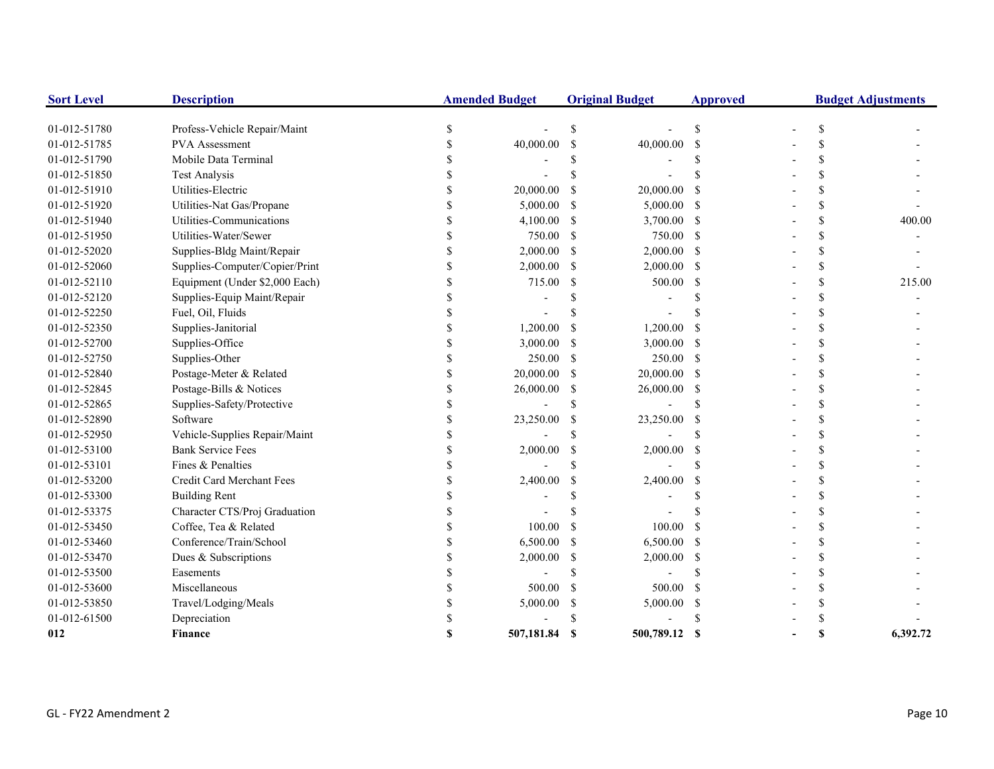| <b>Sort Level</b> | <b>Description</b>             | <b>Amended Budget</b> |            | <b>Original Budget</b> |               | <b>Approved</b> | <b>Budget Adjustments</b> |    |          |
|-------------------|--------------------------------|-----------------------|------------|------------------------|---------------|-----------------|---------------------------|----|----------|
| 01-012-51780      | Profess-Vehicle Repair/Maint   | \$                    |            | <sup>\$</sup>          |               | \$              |                           | \$ |          |
| 01-012-51785      | PVA Assessment                 | \$                    | 40,000.00  | \$                     | 40,000.00     | <sup>\$</sup>   |                           | S  |          |
| 01-012-51790      | Mobile Data Terminal           |                       |            | S                      |               |                 |                           |    |          |
| 01-012-51850      | <b>Test Analysis</b>           |                       |            |                        |               |                 |                           |    |          |
| 01-012-51910      | Utilities-Electric             |                       | 20,000.00  | <sup>\$</sup>          | 20,000.00     |                 |                           |    |          |
| 01-012-51920      | Utilities-Nat Gas/Propane      |                       | 5,000.00   | <sup>\$</sup>          | 5,000.00      | -S              |                           |    |          |
| 01-012-51940      | Utilities-Communications       |                       | 4,100.00   | S                      | 3,700.00      | -S              |                           |    | 400.00   |
| 01-012-51950      | Utilities-Water/Sewer          |                       | 750.00     | <sup>\$</sup>          | 750.00        | <sup>\$</sup>   |                           |    |          |
| 01-012-52020      | Supplies-Bldg Maint/Repair     |                       | 2,000.00   | $\mathcal{S}$          | $2,000.00$ \$ |                 |                           |    |          |
| 01-012-52060      | Supplies-Computer/Copier/Print |                       | 2,000.00   | <sup>\$</sup>          | 2,000.00      | - \$            |                           | \$ |          |
| 01-012-52110      | Equipment (Under \$2,000 Each) |                       | 715.00     | \$                     | 500.00        | \$              |                           |    | 215.00   |
| 01-012-52120      | Supplies-Equip Maint/Repair    |                       |            | \$                     |               |                 |                           |    |          |
| 01-012-52250      | Fuel, Oil, Fluids              |                       |            |                        |               |                 |                           | \$ |          |
| 01-012-52350      | Supplies-Janitorial            | \$                    | 1,200.00   | \$                     | 1,200.00      |                 |                           | \$ |          |
| 01-012-52700      | Supplies-Office                | <sup>\$</sup>         | 3,000.00   | \$                     | 3,000.00      | -S              |                           | \$ |          |
| 01-012-52750      | Supplies-Other                 |                       | 250.00     | -S                     | 250.00 \$     |                 |                           | S  |          |
| 01-012-52840      | Postage-Meter & Related        | \$                    | 20,000.00  | S                      | 20,000.00     | -S              |                           |    |          |
| 01-012-52845      | Postage-Bills & Notices        |                       | 26,000.00  | \$                     | 26,000.00     | -S              |                           |    |          |
| 01-012-52865      | Supplies-Safety/Protective     |                       |            | <sup>\$</sup>          |               | \$.             |                           |    |          |
| 01-012-52890      | Software                       |                       | 23,250.00  | \$                     | 23,250.00     | <sup>\$</sup>   |                           |    |          |
| 01-012-52950      | Vehicle-Supplies Repair/Maint  |                       |            | \$                     |               | \$              |                           |    |          |
| 01-012-53100      | <b>Bank Service Fees</b>       |                       | 2,000.00   | $\mathcal{S}$          | 2,000.00      | <sup>\$</sup>   |                           |    |          |
| 01-012-53101      | Fines & Penalties              |                       |            | $\mathcal{S}$          |               | $\mathcal{S}$   |                           |    |          |
| 01-012-53200      | Credit Card Merchant Fees      |                       | 2,400.00   | \$                     | 2,400.00      | <sup>\$</sup>   |                           |    |          |
| 01-012-53300      | <b>Building Rent</b>           |                       |            |                        |               |                 |                           |    |          |
| 01-012-53375      | Character CTS/Proj Graduation  | \$.                   |            | \$                     |               |                 |                           |    |          |
| 01-012-53450      | Coffee, Tea & Related          | S                     | 100.00     | <sup>\$</sup>          | 100.00        | -S              |                           | \$ |          |
| 01-012-53460      | Conference/Train/School        | <sup>\$</sup>         | 6,500.00   | \$                     | 6,500.00      | -S              |                           | \$ |          |
| 01-012-53470      | Dues & Subscriptions           | S                     | 2,000.00   | \$                     | 2,000.00      | -S              |                           |    |          |
| 01-012-53500      | Easements                      |                       |            | \$                     |               | <sup>\$</sup>   |                           |    |          |
| 01-012-53600      | Miscellaneous                  |                       | 500.00     | \$                     | 500.00        | $\mathcal{S}$   |                           |    |          |
| 01-012-53850      | Travel/Lodging/Meals           |                       | 5,000.00   | \$                     | 5,000.00      | <sup>\$</sup>   |                           |    |          |
| 01-012-61500      | Depreciation                   |                       |            | \$.                    |               |                 |                           |    |          |
| 012               | <b>Finance</b>                 | \$.                   | 507,181.84 | - \$                   | 500,789.12    | <b>S</b>        |                           | S  | 6,392.72 |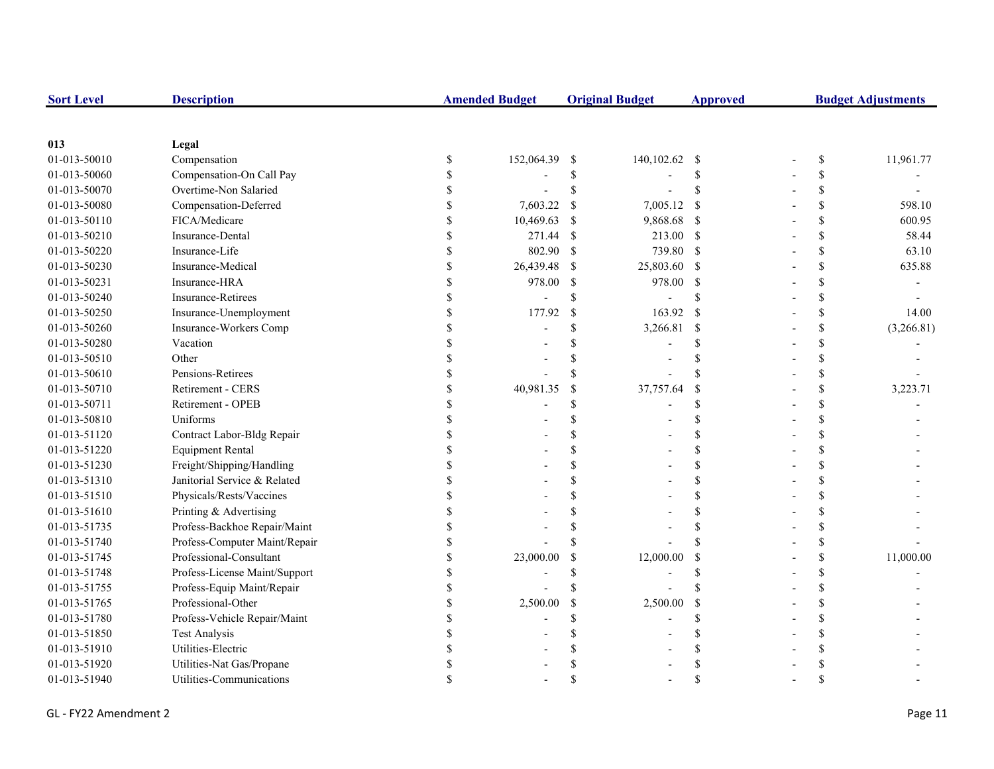| <b>Sort Level</b> | <b>Description</b>            | <b>Amended Budget</b> |               | <b>Original Budget</b> | <b>Approved</b>    | <b>Budget Adjustments</b> |                    |            |
|-------------------|-------------------------------|-----------------------|---------------|------------------------|--------------------|---------------------------|--------------------|------------|
|                   |                               |                       |               |                        |                    |                           |                    |            |
| 013               | Legal                         |                       |               |                        |                    |                           |                    |            |
| 01-013-50010      | Compensation                  | \$<br>152,064.39 \$   |               | 140,102.62 \$          |                    |                           | \$                 | 11,961.77  |
| 01-013-50060      | Compensation-On Call Pay      |                       | \$            |                        | <sup>S</sup>       |                           | \$                 |            |
| 01-013-50070      | Overtime-Non Salaried         |                       | \$            |                        | \$                 |                           | \$                 |            |
| 01-013-50080      | Compensation-Deferred         | 7,603.22              | <sup>\$</sup> | 7,005.12               | -S                 |                           | \$                 | 598.10     |
| 01-013-50110      | FICA/Medicare                 | 10,469.63             | <sup>\$</sup> | 9,868.68               | $\mathbf s$        |                           | \$                 | 600.95     |
| 01-013-50210      | Insurance-Dental              | 271.44                | -\$           | 213.00 \$              |                    |                           | \$                 | 58.44      |
| 01-013-50220      | Insurance-Life                | 802.90                | -S            | 739.80 \$              |                    |                           | \$                 | 63.10      |
| 01-013-50230      | Insurance-Medical             | 26,439.48             | -\$           | 25,803.60 \$           |                    |                           | \$                 | 635.88     |
| 01-013-50231      | Insurance-HRA                 | 978.00                | -S            | 978.00                 | <sup>\$</sup>      |                           | \$                 |            |
| 01-013-50240      | Insurance-Retirees            |                       | \$            |                        | <sup>\$</sup>      |                           | \$                 |            |
| 01-013-50250      | Insurance-Unemployment        | 177.92                | $\mathcal{S}$ | 163.92                 | <sup>S</sup>       |                           | \$                 | 14.00      |
| 01-013-50260      | Insurance-Workers Comp        |                       | \$.           | 3,266.81               | $\mathcal{S}$      |                           | \$                 | (3,266.81) |
| 01-013-50280      | Vacation                      |                       |               |                        | \$.                |                           | \$                 |            |
| 01-013-50510      | Other                         |                       |               |                        | S                  |                           | \$                 |            |
| 01-013-50610      | Pensions-Retirees             |                       |               |                        | \$.                |                           | \$                 |            |
| 01-013-50710      | Retirement - CERS             | 40,981.35             | $\mathcal{S}$ | 37,757.64              | <sup>\$</sup>      |                           | \$                 | 3,223.71   |
| 01-013-50711      | Retirement - OPEB             |                       | S             |                        | \$                 |                           | \$                 |            |
| 01-013-50810      | Uniforms                      |                       |               |                        | <sup>\$</sup>      |                           | \$                 |            |
| 01-013-51120      | Contract Labor-Bldg Repair    |                       |               |                        | <sup>\$</sup>      |                           | \$                 |            |
| 01-013-51220      | <b>Equipment Rental</b>       |                       |               |                        | <sup>\$</sup>      |                           | \$                 |            |
| 01-013-51230      | Freight/Shipping/Handling     |                       |               |                        | $\mathcal{S}$      |                           | \$                 |            |
| 01-013-51310      | Janitorial Service & Related  |                       |               |                        | \$                 |                           | \$                 |            |
| 01-013-51510      | Physicals/Rests/Vaccines      |                       |               |                        | <sup>\$</sup>      |                           | \$                 |            |
| 01-013-51610      | Printing & Advertising        |                       |               |                        | <sup>\$</sup>      |                           | \$                 |            |
| 01-013-51735      | Profess-Backhoe Repair/Maint  |                       |               |                        | <sup>\$</sup>      |                           | \$                 |            |
| 01-013-51740      | Profess-Computer Maint/Repair |                       |               |                        | <sup>\$</sup>      |                           | \$                 |            |
| 01-013-51745      | Professional-Consultant       | 23,000.00             | \$            | 12,000.00              | $\mathcal{S}$      |                           | \$                 | 11,000.00  |
| 01-013-51748      | Profess-License Maint/Support |                       |               |                        | <sup>\$</sup>      |                           | \$                 |            |
| 01-013-51755      | Profess-Equip Maint/Repair    |                       |               |                        | \$.                |                           | \$                 |            |
| 01-013-51765      | Professional-Other            | 2,500.00              | \$            | 2,500.00               | \$                 |                           | \$                 |            |
| 01-013-51780      | Profess-Vehicle Repair/Maint  |                       | S             |                        | <sup>\$</sup>      |                           | \$                 |            |
| 01-013-51850      | <b>Test Analysis</b>          |                       |               |                        | \$.                |                           | \$                 |            |
| 01-013-51910      | Utilities-Electric            |                       |               |                        |                    |                           | \$                 |            |
| 01-013-51920      | Utilities-Nat Gas/Propane     |                       |               |                        |                    |                           | \$                 |            |
| 01-013-51940      | Utilities-Communications      |                       |               |                        | $\mathbf{\hat{S}}$ |                           | $\mathbf{\hat{S}}$ |            |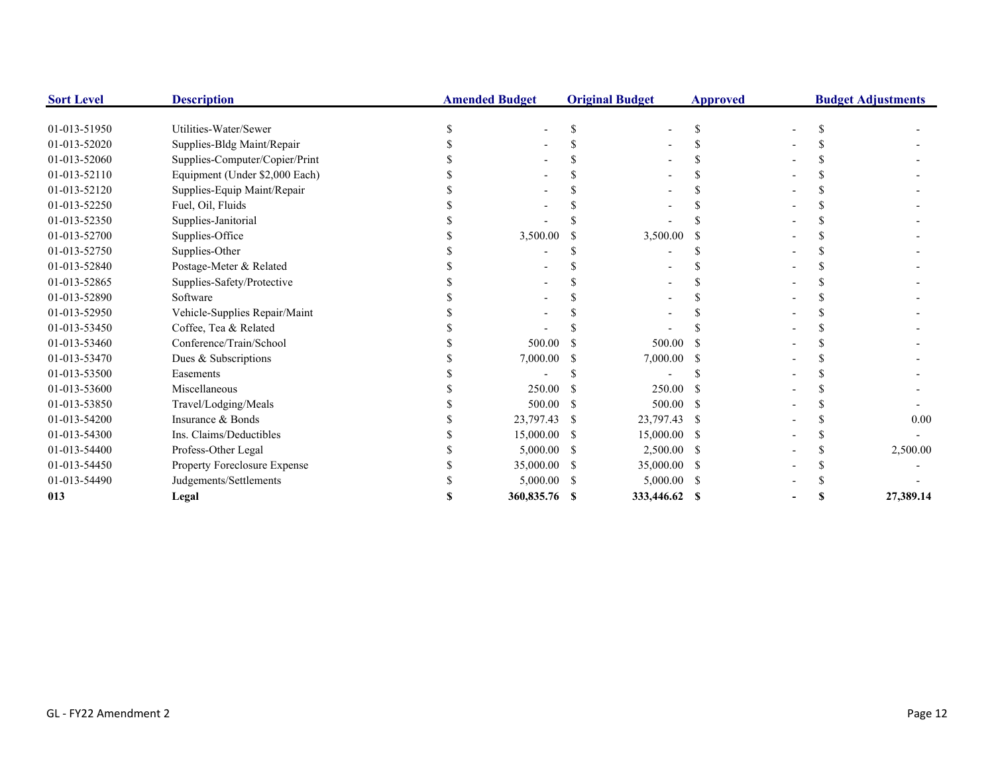| <b>Sort Level</b> | <b>Description</b>             | <b>Amended Budget</b> |      | <b>Original Budget</b> | <b>Approved</b> | <b>Budget Adjustments</b> |  |           |
|-------------------|--------------------------------|-----------------------|------|------------------------|-----------------|---------------------------|--|-----------|
| 01-013-51950      | Utilities-Water/Sewer          |                       |      |                        | <sup>\$</sup>   |                           |  |           |
| 01-013-52020      | Supplies-Bldg Maint/Repair     |                       |      |                        |                 |                           |  |           |
| 01-013-52060      | Supplies-Computer/Copier/Print |                       |      |                        |                 |                           |  |           |
| 01-013-52110      | Equipment (Under \$2,000 Each) |                       |      |                        |                 |                           |  |           |
| 01-013-52120      | Supplies-Equip Maint/Repair    |                       |      |                        |                 |                           |  |           |
| 01-013-52250      | Fuel, Oil, Fluids              |                       |      |                        |                 |                           |  |           |
| 01-013-52350      | Supplies-Janitorial            |                       |      |                        |                 |                           |  |           |
| 01-013-52700      | Supplies-Office                | 3,500.00              |      | 3,500.00               |                 |                           |  |           |
| 01-013-52750      | Supplies-Other                 |                       |      |                        |                 |                           |  |           |
| 01-013-52840      | Postage-Meter & Related        |                       |      |                        |                 |                           |  |           |
| 01-013-52865      | Supplies-Safety/Protective     |                       |      |                        |                 |                           |  |           |
| 01-013-52890      | Software                       |                       |      |                        |                 |                           |  |           |
| 01-013-52950      | Vehicle-Supplies Repair/Maint  |                       |      |                        |                 |                           |  |           |
| 01-013-53450      | Coffee, Tea & Related          |                       |      |                        |                 |                           |  |           |
| 01-013-53460      | Conference/Train/School        | 500.00                |      | 500.00                 |                 |                           |  |           |
| 01-013-53470      | Dues & Subscriptions           | 7,000.00              |      | 7,000.00               |                 |                           |  |           |
| 01-013-53500      | Easements                      |                       |      |                        |                 |                           |  |           |
| 01-013-53600      | Miscellaneous                  | 250.00                |      | 250.00                 |                 |                           |  |           |
| 01-013-53850      | Travel/Lodging/Meals           | 500.00                |      | 500.00                 | -S              |                           |  |           |
| 01-013-54200      | Insurance & Bonds              | 23,797.43             | -S   | 23,797.43 \$           |                 |                           |  | 0.00      |
| 01-013-54300      | Ins. Claims/Deductibles        | 15,000.00             | -S   | 15,000.00 \$           |                 |                           |  |           |
| 01-013-54400      | Profess-Other Legal            | 5,000.00              |      | 2,500.00 \$            |                 |                           |  | 2,500.00  |
| 01-013-54450      | Property Foreclosure Expense   | 35,000.00             |      | 35,000.00 \$           |                 |                           |  |           |
| 01-013-54490      | Judgements/Settlements         | 5,000.00              | - \$ | $5,000.00$ \$          |                 |                           |  |           |
| 013               | Legal                          | 360,835.76 \$         |      | 333,446.62 \$          |                 |                           |  | 27,389.14 |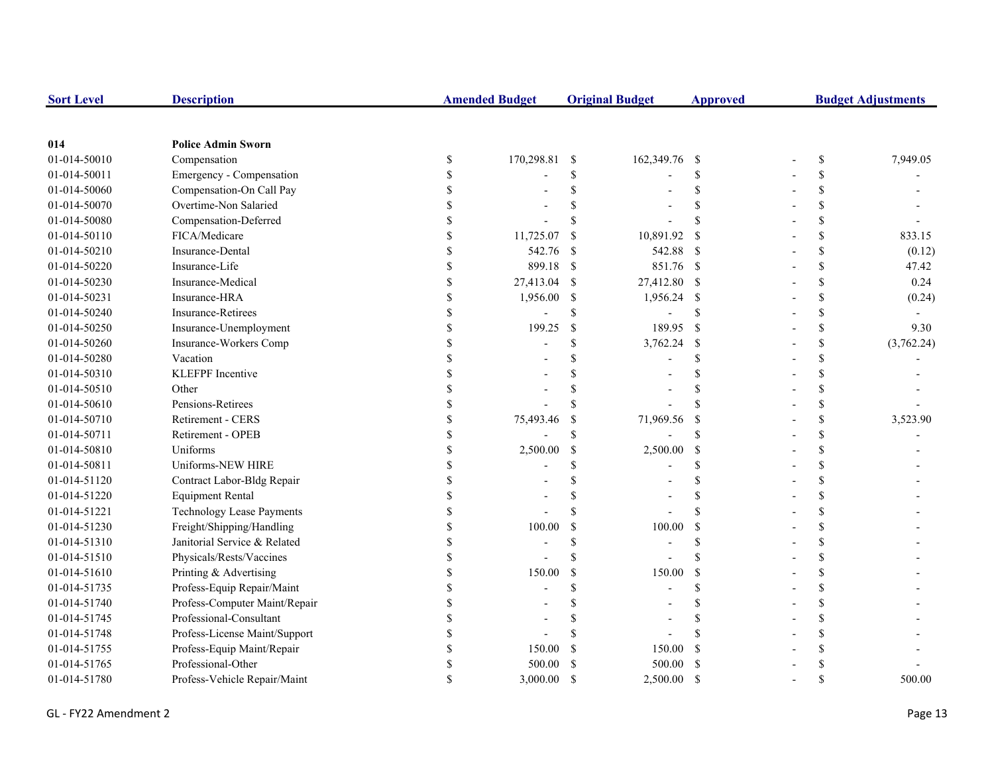| <b>Sort Level</b> | <b>Description</b>               |               | <b>Amended Budget</b> |               | <b>Original Budget</b> | <b>Approved</b>    | <b>Budget Adjustments</b> |    |            |
|-------------------|----------------------------------|---------------|-----------------------|---------------|------------------------|--------------------|---------------------------|----|------------|
|                   |                                  |               |                       |               |                        |                    |                           |    |            |
| 014               | <b>Police Admin Sworn</b>        |               |                       |               |                        |                    |                           |    |            |
| 01-014-50010      | Compensation                     | \$            | 170,298.81            | -S            | 162,349.76 \$          |                    |                           | \$ | 7,949.05   |
| 01-014-50011      | Emergency - Compensation         | \$            |                       | \$            |                        | <sup>\$</sup>      |                           | \$ |            |
| 01-014-50060      | Compensation-On Call Pay         |               |                       | $\mathcal{S}$ |                        | $\mathcal{S}$      |                           | \$ |            |
| 01-014-50070      | Overtime-Non Salaried            |               |                       |               |                        | $\mathcal{S}$      |                           | \$ |            |
| 01-014-50080      | Compensation-Deferred            |               |                       | \$            |                        | $\mathbf{\hat{S}}$ |                           | \$ |            |
| 01-014-50110      | FICA/Medicare                    |               | 11,725.07             | <sup>\$</sup> | 10,891.92              | <sup>\$</sup>      |                           | \$ | 833.15     |
| 01-014-50210      | Insurance-Dental                 |               | 542.76                | -S            | 542.88                 | - \$               |                           | \$ | (0.12)     |
| 01-014-50220      | Insurance-Life                   |               | 899.18                | -\$           | 851.76 \$              |                    |                           | \$ | 47.42      |
| 01-014-50230      | Insurance-Medical                | \$            | 27,413.04             | -S            | 27,412.80 \$           |                    |                           | \$ | 0.24       |
| 01-014-50231      | Insurance-HRA                    | \$            | 1,956.00              | -S            | 1,956.24               | -S                 |                           | \$ | (0.24)     |
| 01-014-50240      | <b>Insurance-Retirees</b>        | <sup>\$</sup> |                       | <sup>\$</sup> |                        | <sup>\$</sup>      |                           | \$ |            |
| 01-014-50250      | Insurance-Unemployment           | <sup>\$</sup> | 199.25                | $\mathbb{S}$  | 189.95                 | <sup>S</sup>       |                           | \$ | 9.30       |
| 01-014-50260      | Insurance-Workers Comp           |               |                       | \$            | 3,762.24               | \$                 |                           | \$ | (3,762.24) |
| 01-014-50280      | Vacation                         |               |                       |               |                        | $\mathcal{S}$      |                           | \$ |            |
| 01-014-50310      | <b>KLEFPF</b> Incentive          |               |                       |               |                        |                    |                           | \$ |            |
| 01-014-50510      | Other                            |               |                       |               |                        | $\mathbf{\hat{S}}$ |                           | \$ |            |
| 01-014-50610      | Pensions-Retirees                |               |                       | \$.           |                        | $\mathbf{\hat{S}}$ |                           | \$ |            |
| 01-014-50710      | Retirement - CERS                |               | 75,493.46             | <sup>\$</sup> | 71,969.56              | <sup>\$</sup>      |                           | \$ | 3,523.90   |
| 01-014-50711      | Retirement - OPEB                |               |                       | \$            |                        | $\mathcal{S}$      |                           | \$ |            |
| 01-014-50810      | Uniforms                         |               | 2,500.00              | <sup>\$</sup> | 2,500.00               | \$                 |                           | \$ |            |
| 01-014-50811      | Uniforms-NEW HIRE                |               |                       | \$.           |                        | <sup>\$</sup>      |                           | \$ |            |
| 01-014-51120      | Contract Labor-Bldg Repair       | \$            |                       | \$            |                        | $\mathbf S$        |                           | \$ |            |
| 01-014-51220      | <b>Equipment Rental</b>          | <sup>\$</sup> |                       | \$.           |                        | <sup>\$</sup>      |                           | \$ |            |
| 01-014-51221      | <b>Technology Lease Payments</b> |               |                       | $\mathcal{S}$ |                        | $\mathbf{\hat{S}}$ |                           | \$ |            |
| 01-014-51230      | Freight/Shipping/Handling        |               | 100.00                | $\mathcal{S}$ | 100.00                 | \$                 |                           | \$ |            |
| 01-014-51310      | Janitorial Service & Related     |               |                       | \$            |                        | <sup>\$</sup>      |                           | \$ |            |
| 01-014-51510      | Physicals/Rests/Vaccines         |               |                       | $\mathbf S$   |                        | $\mathbf{\hat{S}}$ |                           | \$ |            |
| 01-014-51610      | Printing & Advertising           |               | 150.00                | $\mathcal{S}$ | 150.00                 | $\mathcal{S}$      |                           | \$ |            |
| 01-014-51735      | Profess-Equip Repair/Maint       |               |                       | \$.           |                        | $\mathcal{S}$      |                           | \$ |            |
| 01-014-51740      | Profess-Computer Maint/Repair    |               |                       |               |                        | $\mathcal{S}$      |                           | \$ |            |
| 01-014-51745      | Professional-Consultant          |               |                       |               |                        | $\mathcal{S}$      |                           | \$ |            |
| 01-014-51748      | Profess-License Maint/Support    |               |                       |               |                        |                    |                           | \$ |            |
| 01-014-51755      | Profess-Equip Maint/Repair       | \$.           | 150.00                |               | 150.00                 | $\mathcal{S}$      |                           | \$ |            |
| 01-014-51765      | Professional-Other               |               | 500.00                |               | 500.00                 | <sup>\$</sup>      |                           | \$ |            |
| 01-014-51780      | Profess-Vehicle Repair/Maint     |               | 3,000.00              | $\mathcal{S}$ | 2,500.00               | <sup>\$</sup>      |                           | \$ | 500.00     |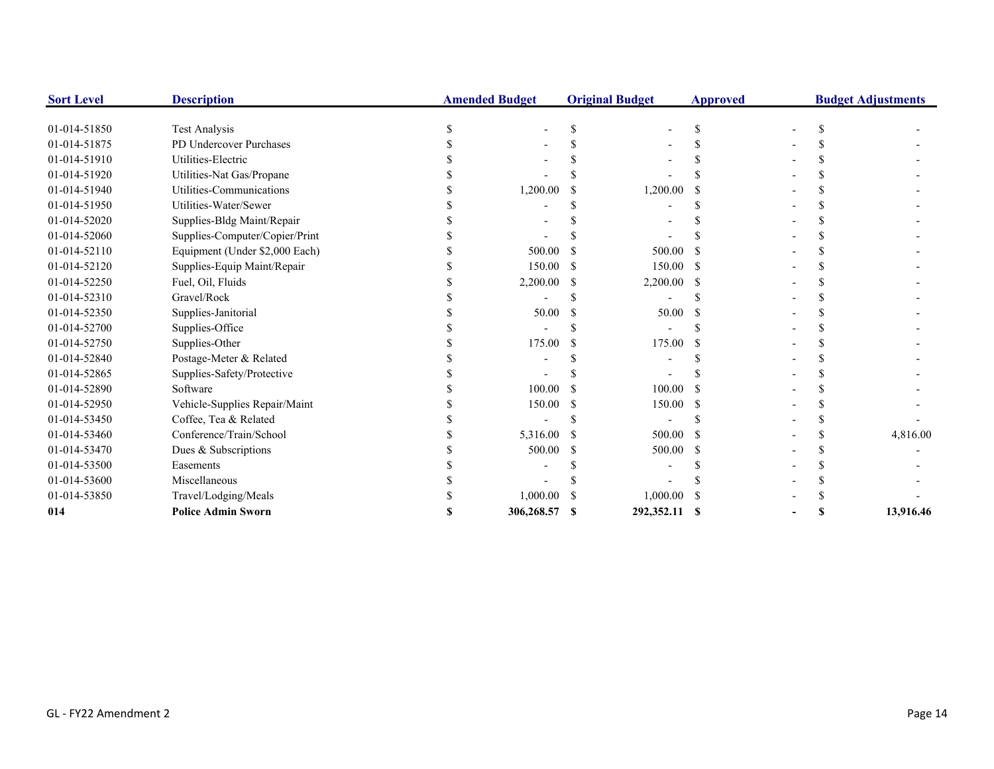| <b>Sort Level</b> | <b>Description</b>             |   | <b>Amended Budget</b> | <b>Original Budget</b> | <b>Approved</b> |   | <b>Budget Adjustments</b> |
|-------------------|--------------------------------|---|-----------------------|------------------------|-----------------|---|---------------------------|
| 01-014-51850      | <b>Test Analysis</b>           | S |                       |                        | S               |   |                           |
| 01-014-51875      | PD Undercover Purchases        |   |                       |                        |                 |   |                           |
| 01-014-51910      | Utilities-Electric             |   |                       |                        |                 |   |                           |
| 01-014-51920      | Utilities-Nat Gas/Propane      |   |                       |                        |                 |   |                           |
| 01-014-51940      | Utilities-Communications       |   | 1,200.00              | 1,200.00               |                 |   |                           |
| 01-014-51950      | Utilities-Water/Sewer          |   |                       |                        |                 |   |                           |
| 01-014-52020      | Supplies-Bldg Maint/Repair     |   |                       |                        |                 |   |                           |
| 01-014-52060      | Supplies-Computer/Copier/Print |   |                       |                        |                 |   |                           |
| 01-014-52110      | Equipment (Under \$2,000 Each) |   | 500.00                | 500.00                 |                 |   |                           |
| 01-014-52120      | Supplies-Equip Maint/Repair    |   | 150.00                | 150.00                 |                 |   |                           |
| 01-014-52250      | Fuel, Oil, Fluids              |   | 2,200.00              | 2,200.00               |                 |   |                           |
| 01-014-52310      | Gravel/Rock                    |   |                       |                        |                 |   |                           |
| 01-014-52350      | Supplies-Janitorial            |   | 50.00                 | 50.00                  |                 |   |                           |
| 01-014-52700      | Supplies-Office                |   |                       |                        |                 |   |                           |
| 01-014-52750      | Supplies-Other                 |   | 175.00                | 175.00                 |                 |   |                           |
| 01-014-52840      | Postage-Meter & Related        |   |                       |                        |                 |   |                           |
| 01-014-52865      | Supplies-Safety/Protective     |   |                       |                        |                 |   |                           |
| 01-014-52890      | Software                       |   | 100.00                | 100.00                 |                 |   |                           |
| 01-014-52950      | Vehicle-Supplies Repair/Maint  |   | 150.00                | 150.00                 |                 |   |                           |
| 01-014-53450      | Coffee, Tea & Related          |   |                       |                        |                 |   |                           |
| 01-014-53460      | Conference/Train/School        |   | 5,316.00              | 500.00                 |                 |   | 4,816.00                  |
| 01-014-53470      | Dues & Subscriptions           |   | 500.00                | 500.00                 |                 |   |                           |
| 01-014-53500      | Easements                      |   |                       |                        |                 |   |                           |
| 01-014-53600      | Miscellaneous                  |   |                       |                        |                 |   |                           |
| 01-014-53850      | Travel/Lodging/Meals           |   | 1,000.00              | 1,000.00               |                 |   |                           |
| 014               | <b>Police Admin Sworn</b>      |   | 306,268.57            | 292,352.11 \$          |                 | S | 13,916.46                 |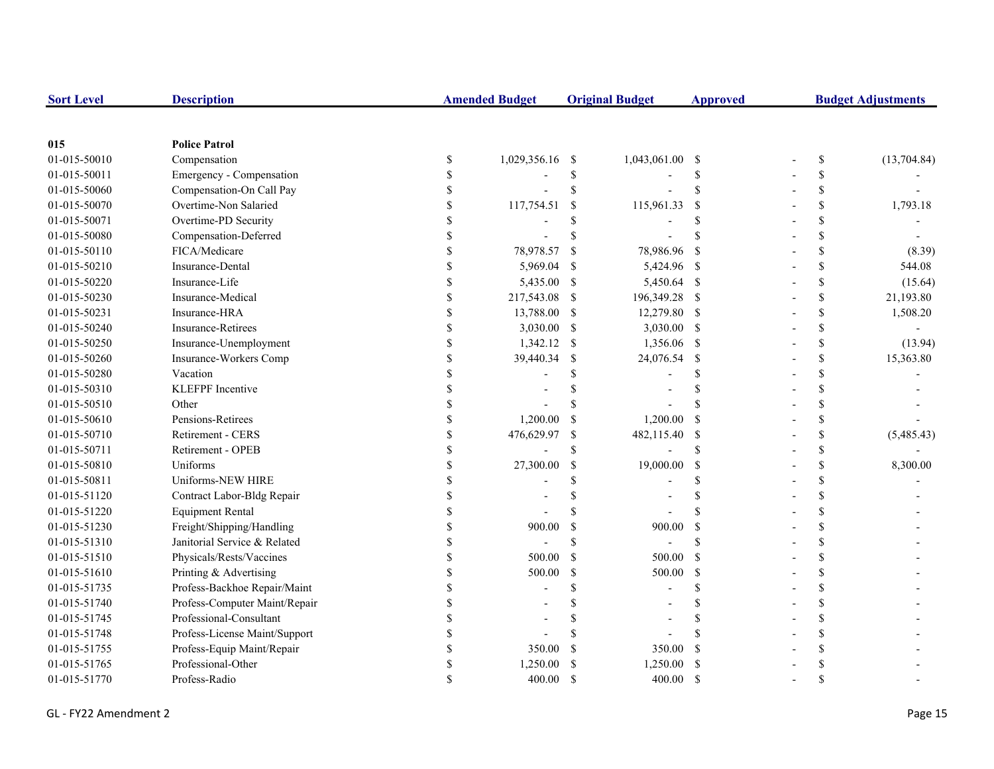| <b>Sort Level</b> | <b>Description</b>            |    | <b>Amended Budget</b> |               | <b>Original Budget</b> | <b>Approved</b> | <b>Budget Adjustments</b> |             |  |
|-------------------|-------------------------------|----|-----------------------|---------------|------------------------|-----------------|---------------------------|-------------|--|
|                   |                               |    |                       |               |                        |                 |                           |             |  |
| 015               | <b>Police Patrol</b>          |    |                       |               |                        |                 |                           |             |  |
| 01-015-50010      | Compensation                  | \$ | 1,029,356.16          | -\$           | 1,043,061.00 \$        |                 | \$                        | (13,704.84) |  |
| 01-015-50011      | Emergency - Compensation      | \$ |                       | \$            |                        | <sup>\$</sup>   | \$                        |             |  |
| 01-015-50060      | Compensation-On Call Pay      | S  |                       | \$            |                        | <sup>\$</sup>   | \$                        |             |  |
| 01-015-50070      | Overtime-Non Salaried         |    | 117,754.51            | $\mathcal{S}$ | 115,961.33             | <sup>\$</sup>   | \$                        | 1,793.18    |  |
| 01-015-50071      | Overtime-PD Security          |    |                       | \$            |                        | <sup>\$</sup>   | \$                        |             |  |
| 01-015-50080      | Compensation-Deferred         |    |                       | <sup>\$</sup> |                        |                 | \$                        |             |  |
| 01-015-50110      | FICA/Medicare                 |    | 78,978.57             | <sup>\$</sup> | 78,986.96              | - S             | \$                        | (8.39)      |  |
| 01-015-50210      | Insurance-Dental              |    | 5,969.04              | -\$           | 5,424.96 \$            |                 | \$                        | 544.08      |  |
| 01-015-50220      | Insurance-Life                |    | 5,435.00 \$           |               | 5,450.64 \$            |                 | \$                        | (15.64)     |  |
| 01-015-50230      | Insurance-Medical             | \$ | 217,543.08            | -S            | 196,349.28 \$          |                 | \$                        | 21,193.80   |  |
| 01-015-50231      | Insurance-HRA                 | \$ | 13,788.00             | -S            | 12,279.80 \$           |                 | \$                        | 1,508.20    |  |
| 01-015-50240      | <b>Insurance-Retirees</b>     | \$ | 3,030.00              | -\$           | 3,030.00 \$            |                 | \$                        |             |  |
| 01-015-50250      | Insurance-Unemployment        | \$ | 1,342.12              | -\$           | 1,356.06 \$            |                 | \$                        | (13.94)     |  |
| 01-015-50260      | Insurance-Workers Comp        | S  | 39,440.34             | <sup>\$</sup> | 24,076.54              | - \$            | \$                        | 15,363.80   |  |
| 01-015-50280      | Vacation                      |    |                       | <sup>\$</sup> |                        | <sup>\$</sup>   | \$                        |             |  |
| 01-015-50310      | <b>KLEFPF</b> Incentive       |    |                       |               |                        | <sup>\$</sup>   | \$                        |             |  |
| 01-015-50510      | Other                         |    |                       | <sup>\$</sup> |                        | \$.             | \$                        |             |  |
| 01-015-50610      | Pensions-Retirees             |    | 1,200.00              | -S            | 1,200.00               | -S              | \$                        |             |  |
| 01-015-50710      | Retirement - CERS             |    | 476,629.97            | \$            | 482,115.40             | - \$            | \$                        | (5,485.43)  |  |
| 01-015-50711      | Retirement - OPEB             |    |                       | <sup>\$</sup> |                        | <sup>\$</sup>   | \$                        |             |  |
| 01-015-50810      | Uniforms                      |    | 27,300.00             | <sup>\$</sup> | 19,000.00              | -S              | \$                        | 8,300.00    |  |
| 01-015-50811      | Uniforms-NEW HIRE             | \$ |                       | \$            |                        | \$              | \$                        |             |  |
| 01-015-51120      | Contract Labor-Bldg Repair    | \$ |                       | \$            |                        | <sup>\$</sup>   | \$                        |             |  |
| 01-015-51220      | <b>Equipment Rental</b>       | S  |                       | <sup>\$</sup> |                        |                 | \$                        |             |  |
| 01-015-51230      | Freight/Shipping/Handling     |    | 900.00                | <sup>\$</sup> | 900.00                 | <sup>\$</sup>   | \$                        |             |  |
| 01-015-51310      | Janitorial Service & Related  |    |                       | \$            |                        | $\mathcal{S}$   | \$                        |             |  |
| 01-015-51510      | Physicals/Rests/Vaccines      |    | 500.00                | $\mathcal{S}$ | 500.00                 | - \$            | \$                        |             |  |
| 01-015-51610      | Printing & Advertising        |    | 500.00                | $\mathbb{S}$  | 500.00                 | -S              | \$                        |             |  |
| 01-015-51735      | Profess-Backhoe Repair/Maint  |    |                       | \$            |                        | <sup>\$</sup>   | \$                        |             |  |
| 01-015-51740      | Profess-Computer Maint/Repair |    |                       |               |                        | <sup>\$</sup>   | \$                        |             |  |
| 01-015-51745      | Professional-Consultant       |    |                       | \$.           |                        | <sup>\$</sup>   | \$                        |             |  |
| 01-015-51748      | Profess-License Maint/Support |    |                       |               |                        |                 | \$                        |             |  |
| 01-015-51755      | Profess-Equip Maint/Repair    |    | 350.00                | <sup>\$</sup> | 350.00                 | <sup>\$</sup>   | \$                        |             |  |
| 01-015-51765      | Professional-Other            |    | 1,250.00              |               | 1,250.00               | -S              | \$                        |             |  |
| 01-015-51770      | Profess-Radio                 |    | 400.00                | -S            | 400.00                 | <sup>S</sup>    | \$                        |             |  |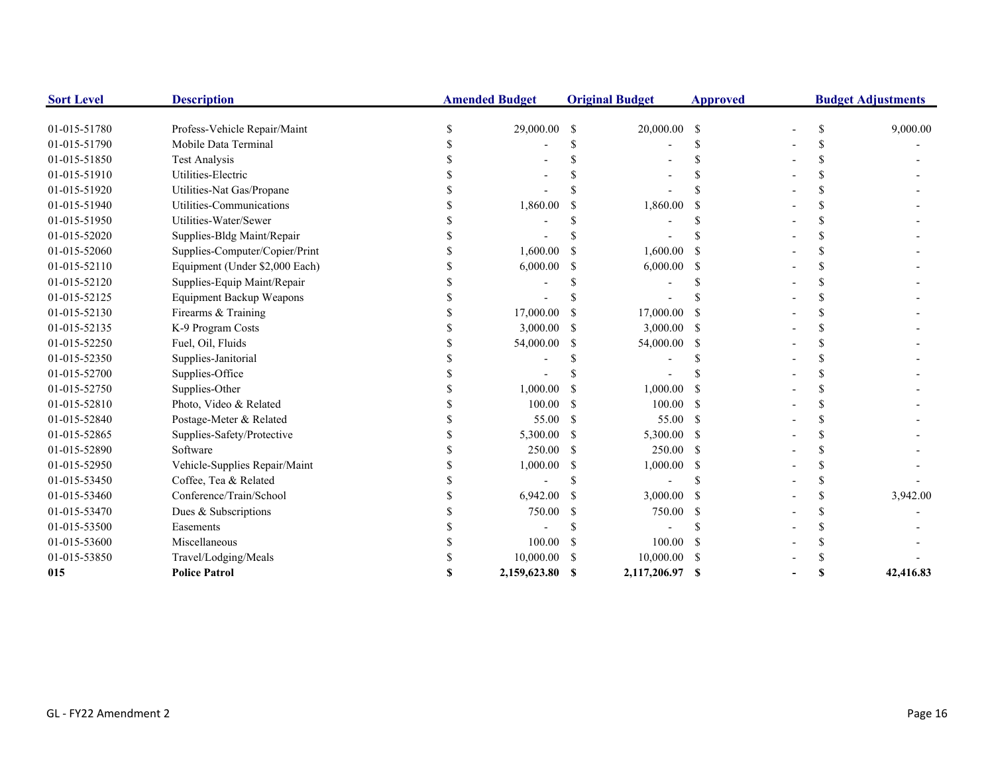| <b>Sort Level</b> | <b>Description</b>              | <b>Amended Budget</b> |               | <b>Original Budget</b> | <b>Approved</b> |  | <b>Budget Adjustments</b> |
|-------------------|---------------------------------|-----------------------|---------------|------------------------|-----------------|--|---------------------------|
| 01-015-51780      | Profess-Vehicle Repair/Maint    | 29,000.00             | -S            | 20,000.00              | -S              |  | 9,000.00                  |
| 01-015-51790      | Mobile Data Terminal            |                       |               |                        |                 |  |                           |
| 01-015-51850      | <b>Test Analysis</b>            |                       |               |                        |                 |  |                           |
| 01-015-51910      | Utilities-Electric              |                       |               |                        |                 |  |                           |
| 01-015-51920      | Utilities-Nat Gas/Propane       |                       |               |                        |                 |  |                           |
| 01-015-51940      | Utilities-Communications        | 1,860.00              |               | 1,860.00               |                 |  |                           |
| 01-015-51950      | Utilities-Water/Sewer           |                       |               |                        |                 |  |                           |
| 01-015-52020      | Supplies-Bldg Maint/Repair      |                       |               |                        |                 |  |                           |
| 01-015-52060      | Supplies-Computer/Copier/Print  | 1,600.00              |               | 1,600.00               |                 |  |                           |
| 01-015-52110      | Equipment (Under \$2,000 Each)  | 6,000.00              | S             | 6,000.00               |                 |  |                           |
| 01-015-52120      | Supplies-Equip Maint/Repair     |                       |               |                        |                 |  |                           |
| 01-015-52125      | <b>Equipment Backup Weapons</b> |                       |               |                        |                 |  |                           |
| 01-015-52130      | Firearms & Training             | 17,000.00             |               | 17,000.00              |                 |  |                           |
| 01-015-52135      | K-9 Program Costs               | 3,000.00              |               | 3,000.00               |                 |  |                           |
| 01-015-52250      | Fuel, Oil, Fluids               | 54,000.00             | -S            | 54,000.00              |                 |  |                           |
| 01-015-52350      | Supplies-Janitorial             |                       |               |                        |                 |  |                           |
| 01-015-52700      | Supplies-Office                 |                       |               |                        |                 |  |                           |
| 01-015-52750      | Supplies-Other                  | 1,000.00              |               | 1,000.00               |                 |  |                           |
| 01-015-52810      | Photo, Video & Related          | 100.00                | \$.           | 100.00                 |                 |  |                           |
| 01-015-52840      | Postage-Meter & Related         | 55.00                 | S             | 55.00                  | -S              |  |                           |
| 01-015-52865      | Supplies-Safety/Protective      | 5,300.00              | <sup>\$</sup> | 5,300.00               | -8              |  |                           |
| 01-015-52890      | Software                        | 250.00                | \$.           | 250.00                 |                 |  |                           |
| 01-015-52950      | Vehicle-Supplies Repair/Maint   | 1,000.00              | S             | 1,000.00               |                 |  |                           |
| 01-015-53450      | Coffee, Tea & Related           |                       |               |                        |                 |  |                           |
| 01-015-53460      | Conference/Train/School         | 6,942.00              | <sup>\$</sup> | 3,000.00               |                 |  | 3,942.00                  |
| 01-015-53470      | Dues & Subscriptions            | 750.00                | <sup>\$</sup> | 750.00                 |                 |  |                           |
| 01-015-53500      | Easements                       |                       |               |                        |                 |  |                           |
| 01-015-53600      | Miscellaneous                   | 100.00                | <sup>\$</sup> | 100.00                 |                 |  |                           |
| 01-015-53850      | Travel/Lodging/Meals            | 10,000.00             |               | 10,000.00              |                 |  |                           |
| 015               | <b>Police Patrol</b>            | 2.159,623.80          | -8            | 2,117,206.97           | -S              |  | 42,416.83                 |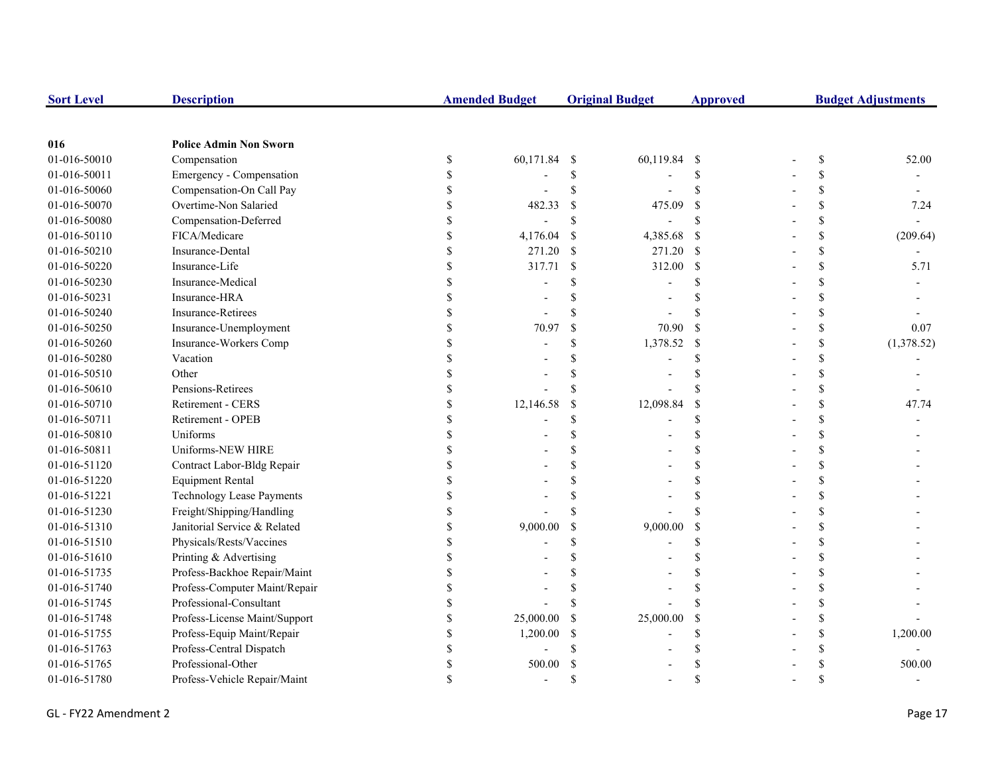| <b>Sort Level</b> | <b>Description</b>               |             | <b>Amended Budget</b> |                           | <b>Original Budget</b> | <b>Approved</b>           | <b>Budget Adjustments</b> |    |            |
|-------------------|----------------------------------|-------------|-----------------------|---------------------------|------------------------|---------------------------|---------------------------|----|------------|
|                   |                                  |             |                       |                           |                        |                           |                           |    |            |
| 016               | <b>Police Admin Non Sworn</b>    |             |                       |                           |                        |                           |                           |    |            |
| 01-016-50010      | Compensation                     | $\$$        | 60,171.84             | - \$                      | 60,119.84 \$           |                           |                           | \$ | 52.00      |
| 01-016-50011      | Emergency - Compensation         | \$          |                       | \$                        |                        | <sup>\$</sup>             |                           | \$ |            |
| 01-016-50060      | Compensation-On Call Pay         | \$          |                       | \$                        |                        | $\mathcal{S}$             |                           | \$ |            |
| 01-016-50070      | Overtime-Non Salaried            | \$          | 482.33                | <sup>\$</sup>             | 475.09                 | <sup>\$</sup>             |                           | \$ | 7.24       |
| 01-016-50080      | Compensation-Deferred            | \$          |                       | \$                        |                        | <sup>\$</sup>             |                           | \$ |            |
| 01-016-50110      | FICA/Medicare                    | \$          | 4,176.04              | $\boldsymbol{\mathsf{S}}$ | 4,385.68               | $\mathcal{S}$             |                           | \$ | (209.64)   |
| 01-016-50210      | Insurance-Dental                 | \$          | 271.20                | $\mathcal{S}$             | 271.20                 | $\mathbf{s}$              |                           | \$ |            |
| 01-016-50220      | Insurance-Life                   | \$          | 317.71                | $\mathcal{S}$             | 312.00                 | <sup>\$</sup>             |                           | \$ | 5.71       |
| 01-016-50230      | Insurance-Medical                | \$          |                       |                           |                        | £.                        |                           | \$ |            |
| 01-016-50231      | Insurance-HRA                    | \$          |                       |                           |                        |                           |                           | \$ |            |
| 01-016-50240      | <b>Insurance-Retirees</b>        | \$          |                       |                           |                        |                           |                           | \$ |            |
| 01-016-50250      | Insurance-Unemployment           | \$          | 70.97                 | $\mathcal{S}$             | 70.90                  | <sup>\$</sup>             |                           | \$ | 0.07       |
| 01-016-50260      | Insurance-Workers Comp           | \$          |                       | \$                        | 1,378.52               | $\boldsymbol{\mathsf{S}}$ |                           | \$ | (1,378.52) |
| 01-016-50280      | Vacation                         |             |                       |                           |                        | $\mathcal{S}$             |                           | \$ |            |
| 01-016-50510      | Other                            |             |                       |                           |                        |                           |                           | \$ |            |
| 01-016-50610      | Pensions-Retirees                | \$          |                       |                           |                        | $\mathbf S$               |                           | \$ |            |
| 01-016-50710      | Retirement - CERS                | \$          | 12,146.58             | <sup>\$</sup>             | 12,098.84              | <sup>\$</sup>             |                           | \$ | 47.74      |
| 01-016-50711      | Retirement - OPEB                | \$          |                       | S                         |                        | <sup>\$</sup>             |                           | \$ |            |
| 01-016-50810      | Uniforms                         |             |                       |                           |                        | \$                        |                           | \$ |            |
| 01-016-50811      | Uniforms-NEW HIRE                |             |                       |                           |                        | $\mathbf{\hat{S}}$        |                           | \$ |            |
| 01-016-51120      | Contract Labor-Bldg Repair       | \$          |                       |                           |                        | S                         |                           | \$ |            |
| 01-016-51220      | <b>Equipment Rental</b>          | \$          |                       |                           |                        | \$                        |                           | \$ |            |
| 01-016-51221      | <b>Technology Lease Payments</b> | \$          |                       |                           |                        | S                         |                           | \$ |            |
| 01-016-51230      | Freight/Shipping/Handling        | \$          |                       |                           |                        | $\mathbf S$               |                           | \$ |            |
| 01-016-51310      | Janitorial Service & Related     | \$          | 9,000.00              | <sup>\$</sup>             | 9,000.00               | \$                        |                           | \$ |            |
| 01-016-51510      | Physicals/Rests/Vaccines         | \$          |                       |                           |                        | \$                        |                           | \$ |            |
| 01-016-51610      | Printing & Advertising           |             |                       |                           |                        |                           |                           | \$ |            |
| 01-016-51735      | Profess-Backhoe Repair/Maint     | \$          |                       |                           |                        | £.                        |                           | \$ |            |
| 01-016-51740      | Profess-Computer Maint/Repair    | \$          |                       |                           |                        |                           |                           | \$ |            |
| 01-016-51745      | Professional-Consultant          |             |                       |                           |                        |                           |                           | \$ |            |
| 01-016-51748      | Profess-License Maint/Support    | \$          | 25,000.00             | S                         | 25,000.00              | <sup>\$</sup>             |                           | \$ |            |
| 01-016-51755      | Profess-Equip Maint/Repair       | \$          | 1,200.00              | S                         |                        | $\mathcal{S}$             |                           | \$ | 1,200.00   |
| 01-016-51763      | Profess-Central Dispatch         | \$          |                       |                           |                        |                           |                           | \$ |            |
| 01-016-51765      | Professional-Other               | \$          | 500.00                |                           |                        |                           |                           | \$ | 500.00     |
| 01-016-51780      | Profess-Vehicle Repair/Maint     | $\mathbf S$ |                       | $\mathbf S$               |                        | $\mathcal{S}$             |                           | \$ |            |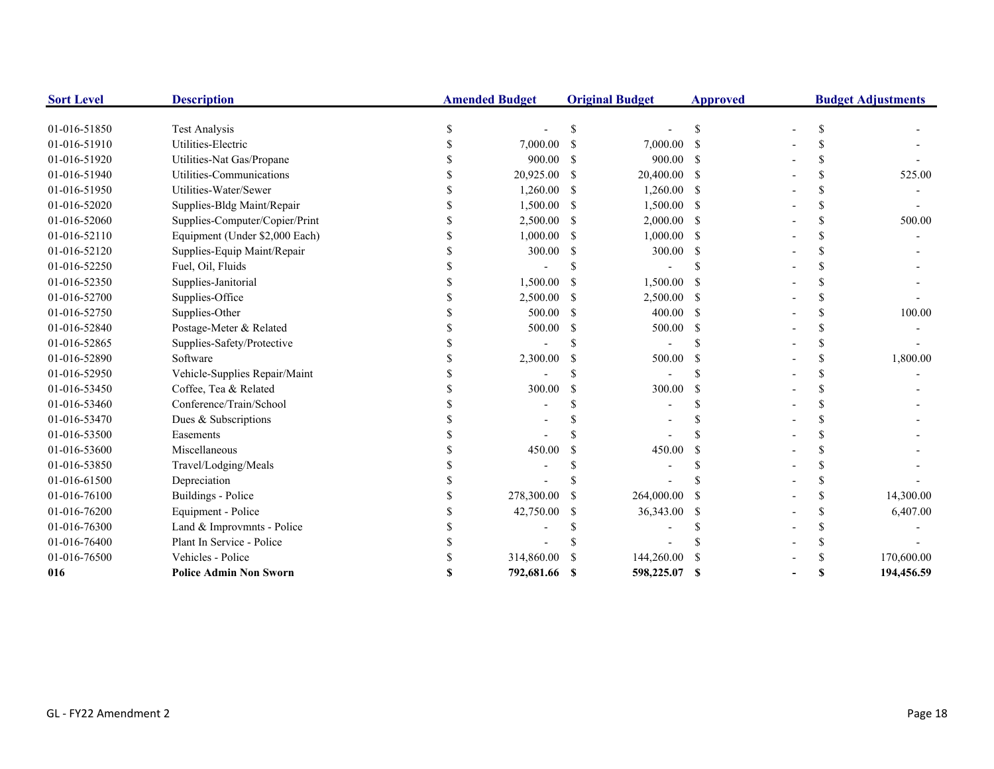| <b>Sort Level</b>            | <b>Description</b>                         | <b>Amended Budget</b> |               | <b>Original Budget</b> | <b>Approved</b> |  | <b>Budget Adjustments</b> |
|------------------------------|--------------------------------------------|-----------------------|---------------|------------------------|-----------------|--|---------------------------|
|                              |                                            |                       |               |                        |                 |  |                           |
| 01-016-51850<br>01-016-51910 | <b>Test Analysis</b><br>Utilities-Electric |                       |               |                        |                 |  |                           |
|                              |                                            | 7,000.00<br>900.00    | \$.           | 7,000.00               |                 |  |                           |
| 01-016-51920                 | Utilities-Nat Gas/Propane                  |                       | S             | 900.00                 | -8              |  |                           |
| 01-016-51940                 | Utilities-Communications                   | 20,925.00             | -S            | 20,400.00              | -\$             |  | 525.00                    |
| 01-016-51950                 | Utilities-Water/Sewer                      | 1,260.00              | \$.           | 1,260.00               | -\$             |  |                           |
| 01-016-52020                 | Supplies-Bldg Maint/Repair                 | 1,500.00              | -S            | 1,500.00               |                 |  |                           |
| 01-016-52060                 | Supplies-Computer/Copier/Print             | 2,500.00              | <sup>\$</sup> | 2,000.00               | -S              |  | 500.00                    |
| 01-016-52110                 | Equipment (Under \$2,000 Each)             | 1,000.00              | <sup>\$</sup> | 1,000.00               | -S              |  |                           |
| 01-016-52120                 | Supplies-Equip Maint/Repair                | 300.00                | S             | 300.00                 | -S              |  |                           |
| 01-016-52250                 | Fuel, Oil, Fluids                          |                       |               |                        |                 |  |                           |
| 01-016-52350                 | Supplies-Janitorial                        | 1,500.00              |               | 1,500.00               |                 |  |                           |
| 01-016-52700                 | Supplies-Office                            | 2,500.00              | <sup>\$</sup> | 2,500.00               |                 |  |                           |
| 01-016-52750                 | Supplies-Other                             | 500.00                | S             | 400.00                 | -S              |  | 100.00                    |
| 01-016-52840                 | Postage-Meter & Related                    | 500.00                | S             | 500.00                 | -S              |  |                           |
| 01-016-52865                 | Supplies-Safety/Protective                 |                       |               |                        |                 |  |                           |
| 01-016-52890                 | Software                                   | 2,300.00              |               | 500.00                 |                 |  | 1,800.00                  |
| 01-016-52950                 | Vehicle-Supplies Repair/Maint              |                       |               |                        |                 |  |                           |
| 01-016-53450                 | Coffee, Tea & Related                      | 300.00                | \$            | 300.00                 |                 |  |                           |
| 01-016-53460                 | Conference/Train/School                    |                       |               |                        |                 |  |                           |
| 01-016-53470                 | Dues & Subscriptions                       |                       |               |                        |                 |  |                           |
| 01-016-53500                 | Easements                                  |                       |               |                        |                 |  |                           |
| 01-016-53600                 | Miscellaneous                              | 450.00                |               | 450.00                 |                 |  |                           |
| 01-016-53850                 | Travel/Lodging/Meals                       |                       |               |                        |                 |  |                           |
| 01-016-61500                 | Depreciation                               |                       |               |                        |                 |  |                           |
| 01-016-76100                 | <b>Buildings - Police</b>                  | 278,300.00            | \$            | 264,000.00             |                 |  | 14,300.00                 |
| 01-016-76200                 | Equipment - Police                         | 42,750.00             | S             | 36,343.00              |                 |  | 6,407.00                  |
| 01-016-76300                 | Land & Improvmnts - Police                 |                       |               |                        |                 |  |                           |
| 01-016-76400                 | Plant In Service - Police                  |                       |               |                        |                 |  |                           |
| 01-016-76500                 | Vehicles - Police                          | 314,860.00            |               | 144,260.00             |                 |  | 170,600.00                |
| 016                          | <b>Police Admin Non Sworn</b>              | 792,681.66            |               | 598,225.07             | -S              |  | 194,456.59                |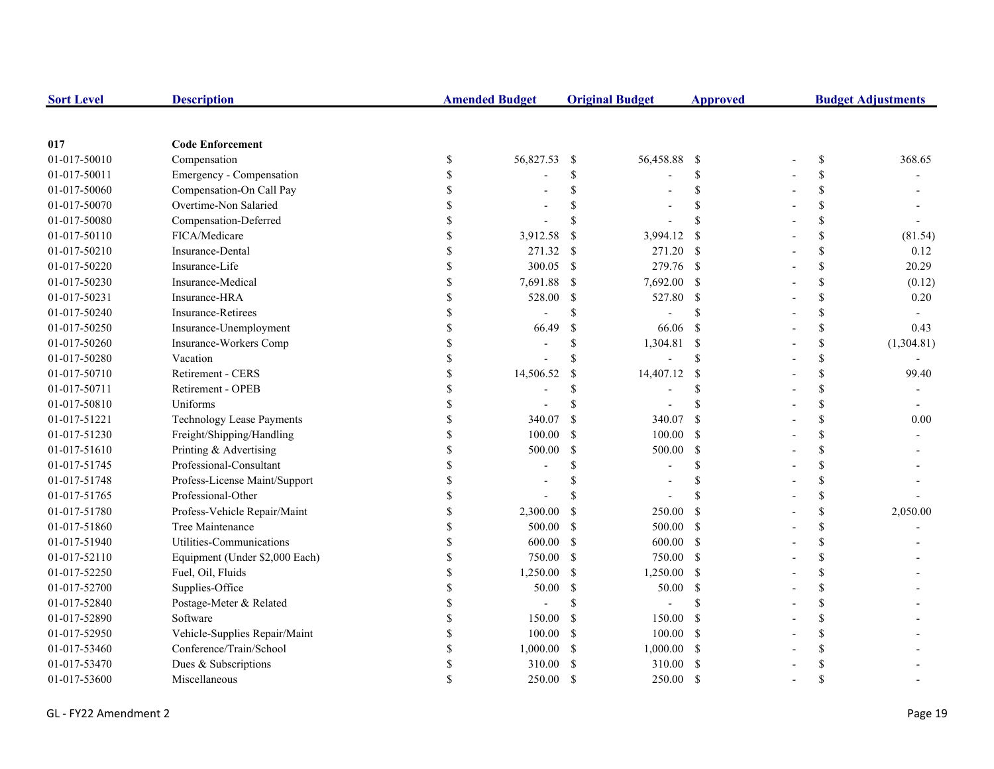| <b>Sort Level</b> | <b>Description</b>               |    | <b>Amended Budget</b> |               | <b>Original Budget</b> | <b>Approved</b> | <b>Budget Adjustments</b> |            |  |
|-------------------|----------------------------------|----|-----------------------|---------------|------------------------|-----------------|---------------------------|------------|--|
|                   |                                  |    |                       |               |                        |                 |                           |            |  |
| 017               | <b>Code Enforcement</b>          |    |                       |               |                        |                 |                           |            |  |
| 01-017-50010      | Compensation                     | \$ | 56,827.53             | -\$           | 56,458.88              | - \$            | \$                        | 368.65     |  |
| 01-017-50011      | Emergency - Compensation         | \$ |                       | \$            |                        | <sup>\$</sup>   | \$                        |            |  |
| 01-017-50060      | Compensation-On Call Pay         |    |                       | \$            |                        | <sup>\$</sup>   | \$                        |            |  |
| 01-017-50070      | Overtime-Non Salaried            |    |                       |               |                        | $\mathcal{S}$   | \$                        |            |  |
| 01-017-50080      | Compensation-Deferred            |    |                       | \$            |                        | $\mathcal{S}$   | \$                        |            |  |
| 01-017-50110      | FICA/Medicare                    |    | 3,912.58              | <sup>\$</sup> | 3,994.12               | <sup>\$</sup>   | \$                        | (81.54)    |  |
| 01-017-50210      | Insurance-Dental                 |    | 271.32                | -S            | 271.20 \$              |                 | \$                        | 0.12       |  |
| 01-017-50220      | Insurance-Life                   |    | 300.05                | -\$           | 279.76 \$              |                 | \$                        | 20.29      |  |
| 01-017-50230      | Insurance-Medical                |    | 7,691.88              | <sup>\$</sup> | 7,692.00 \$            |                 | \$                        | (0.12)     |  |
| 01-017-50231      | Insurance-HRA                    | \$ | 528.00                | <sup>\$</sup> | 527.80 \$              |                 | \$                        | 0.20       |  |
| 01-017-50240      | <b>Insurance-Retirees</b>        | \$ |                       | \$            |                        | \$.             | \$                        |            |  |
| 01-017-50250      | Insurance-Unemployment           | \$ | 66.49                 | <sup>\$</sup> | 66.06                  | -S              | \$                        | 0.43       |  |
| 01-017-50260      | Insurance-Workers Comp           | S  |                       | \$            | 1,304.81 \$            |                 | \$                        | (1,304.81) |  |
| 01-017-50280      | Vacation                         |    |                       | \$            |                        | <sup>\$</sup>   | \$                        |            |  |
| 01-017-50710      | Retirement - CERS                |    | 14,506.52             | <sup>\$</sup> | 14,407.12              | <sup>\$</sup>   | \$                        | 99.40      |  |
| 01-017-50711      | Retirement - OPEB                |    |                       | \$            |                        | \$              | \$                        |            |  |
| 01-017-50810      | Uniforms                         |    |                       |               |                        | \$.             | \$                        |            |  |
| 01-017-51221      | <b>Technology Lease Payments</b> |    | 340.07                | <sup>\$</sup> | 340.07                 | <sup>S</sup>    | \$                        | 0.00       |  |
| 01-017-51230      | Freight/Shipping/Handling        |    | 100.00                | <sup>\$</sup> | 100.00                 | - \$            | \$                        |            |  |
| 01-017-51610      | Printing & Advertising           |    | 500.00                | \$            | 500.00                 | - \$            | \$                        |            |  |
| 01-017-51745      | Professional-Consultant          |    |                       | \$            |                        | <sup>\$</sup>   | \$                        |            |  |
| 01-017-51748      | Profess-License Maint/Support    | S  |                       | \$            |                        | \$              | \$                        |            |  |
| 01-017-51765      | Professional-Other               | S  |                       | \$.           |                        |                 | \$                        |            |  |
| 01-017-51780      | Profess-Vehicle Repair/Maint     | \$ | 2,300.00              | -S            | 250.00                 | -S              | \$                        | 2,050.00   |  |
| 01-017-51860      | Tree Maintenance                 | S  | 500.00                | -S            | 500.00 \$              |                 | \$                        |            |  |
| 01-017-51940      | Utilities-Communications         | S  | 600.00                | <sup>\$</sup> | $600.00$ \$            |                 | \$                        |            |  |
| 01-017-52110      | Equipment (Under \$2,000 Each)   |    | 750.00                | <sup>\$</sup> | 750.00 \$              |                 | \$                        |            |  |
| 01-017-52250      | Fuel, Oil, Fluids                |    | 1,250.00              | $\mathbb{S}$  | $1,250.00$ \$          |                 | \$                        |            |  |
| 01-017-52700      | Supplies-Office                  |    | 50.00                 | <sup>\$</sup> | 50.00                  | $\mathbf{s}$    | \$                        |            |  |
| 01-017-52840      | Postage-Meter & Related          |    |                       | \$            |                        | <sup>\$</sup>   | \$                        |            |  |
| 01-017-52890      | Software                         |    | 150.00                | <sup>\$</sup> | 150.00                 | - S             | \$                        |            |  |
| 01-017-52950      | Vehicle-Supplies Repair/Maint    |    | 100.00                | -S            | 100.00                 | - \$            | \$                        |            |  |
| 01-017-53460      | Conference/Train/School          |    | 1,000.00              | <sup>S</sup>  | $1,000.00$ \$          |                 | \$                        |            |  |
| 01-017-53470      | Dues & Subscriptions             |    | 310.00                | <sup>S</sup>  | 310.00                 | - \$            | \$                        |            |  |
| 01-017-53600      | Miscellaneous                    |    | 250.00                | <sup>S</sup>  | 250.00                 | -S              | $\mathbf{\hat{S}}$        |            |  |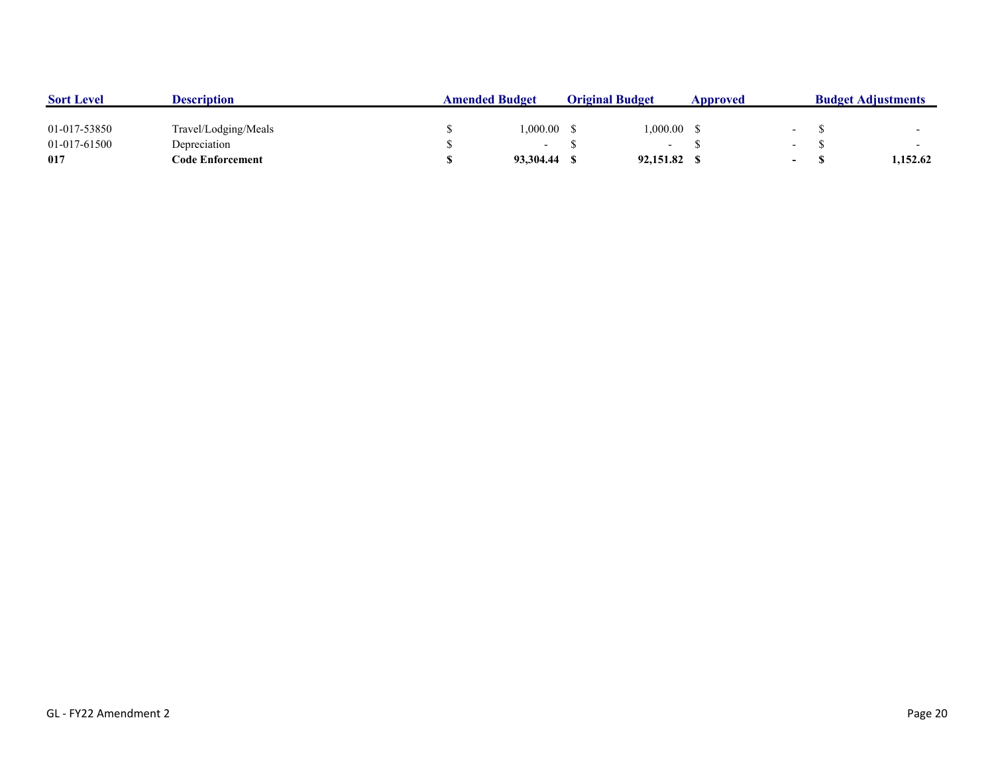| <b>Sort Level</b> | <b>Description</b>   | <b>Amended Budget</b> |           | <b>Original Budget</b> |                          | Approved |                          | <b>Budget Adjustments</b> |          |
|-------------------|----------------------|-----------------------|-----------|------------------------|--------------------------|----------|--------------------------|---------------------------|----------|
| 01-017-53850      | Travel/Lodging/Meals |                       | 1.000.00  |                        | .000.00                  |          |                          |                           |          |
| 01-017-61500      | Depreciation         |                       |           |                        | $\overline{\phantom{0}}$ |          | $\overline{\phantom{0}}$ |                           |          |
| 017               | Code Enforcement     |                       | 93.304.44 |                        | 92,151.82                |          | $\overline{\phantom{0}}$ |                           | 1.152.62 |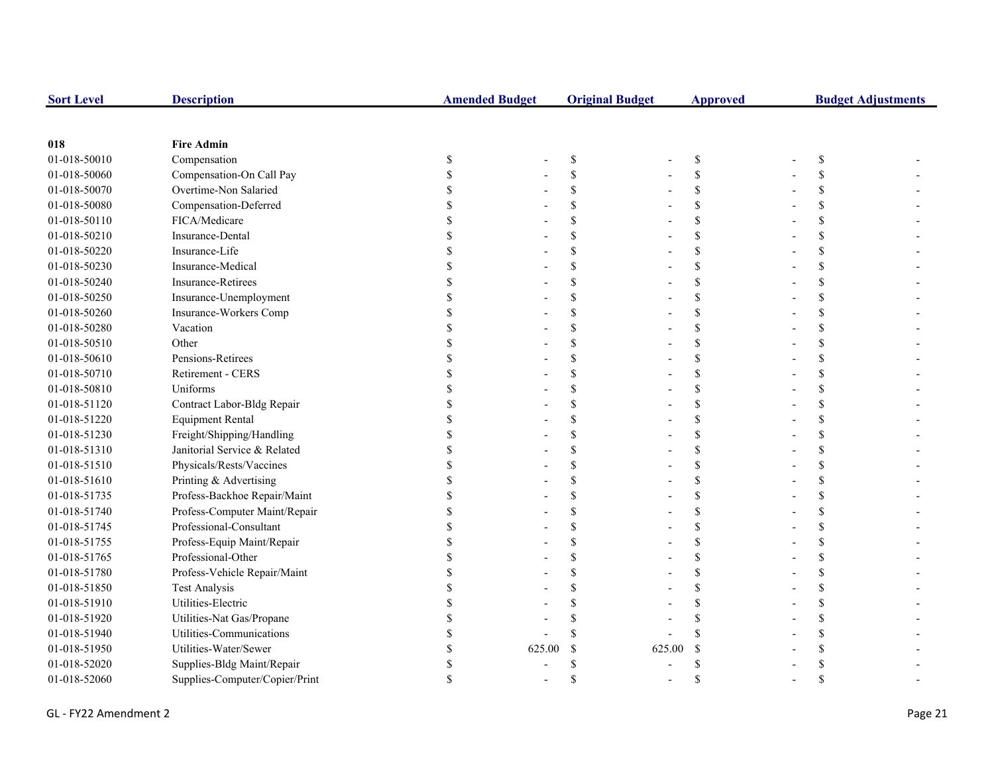| <b>Sort Level</b> | <b>Description</b>             | <b>Amended Budget</b> |        | <b>Original Budget</b> |        | <b>Approved</b> |  | <b>Budget Adjustments</b> |  |  |
|-------------------|--------------------------------|-----------------------|--------|------------------------|--------|-----------------|--|---------------------------|--|--|
|                   |                                |                       |        |                        |        |                 |  |                           |  |  |
| 018               | <b>Fire Admin</b>              |                       |        |                        |        |                 |  |                           |  |  |
| 01-018-50010      | Compensation                   | \$                    |        | $\mathbb{S}$           |        | \$              |  | \$                        |  |  |
| 01-018-50060      | Compensation-On Call Pay       |                       |        | $\mathcal{S}$          |        | \$              |  |                           |  |  |
| 01-018-50070      | Overtime-Non Salaried          |                       |        | \$                     |        | \$              |  |                           |  |  |
| 01-018-50080      | Compensation-Deferred          |                       |        | <sup>\$</sup>          |        | \$              |  |                           |  |  |
| 01-018-50110      | FICA/Medicare                  |                       |        | <sup>\$</sup>          |        | \$              |  |                           |  |  |
| 01-018-50210      | Insurance-Dental               |                       |        | <sup>\$</sup>          |        | \$              |  |                           |  |  |
| 01-018-50220      | Insurance-Life                 |                       |        | \$                     |        | \$              |  |                           |  |  |
| 01-018-50230      | Insurance-Medical              |                       |        | \$                     |        | \$              |  |                           |  |  |
| 01-018-50240      | <b>Insurance-Retirees</b>      |                       |        | <sup>\$</sup>          |        | \$              |  |                           |  |  |
| 01-018-50250      | Insurance-Unemployment         |                       |        | <sup>\$</sup>          |        | \$              |  | \$                        |  |  |
| 01-018-50260      | Insurance-Workers Comp         |                       |        | <sup>\$</sup>          |        | \$              |  |                           |  |  |
| 01-018-50280      | Vacation                       |                       |        | $\mathcal{S}$          |        | \$              |  |                           |  |  |
| 01-018-50510      | Other                          |                       |        | $\mathcal{S}$          |        | \$              |  |                           |  |  |
| 01-018-50610      | Pensions-Retirees              |                       |        | $\mathcal{S}$          |        | \$              |  |                           |  |  |
| 01-018-50710      | Retirement - CERS              |                       |        | <sup>\$</sup>          |        | \$              |  |                           |  |  |
| 01-018-50810      | Uniforms                       |                       |        | <sup>\$</sup>          |        | \$              |  |                           |  |  |
| 01-018-51120      | Contract Labor-Bldg Repair     |                       |        | <sup>\$</sup>          |        | \$              |  |                           |  |  |
| 01-018-51220      | <b>Equipment Rental</b>        |                       |        | $\mathcal{S}$          |        | \$              |  |                           |  |  |
| 01-018-51230      | Freight/Shipping/Handling      |                       |        | \$                     |        | \$              |  |                           |  |  |
| 01-018-51310      | Janitorial Service & Related   |                       |        | \$                     |        | \$              |  |                           |  |  |
| 01-018-51510      | Physicals/Rests/Vaccines       |                       |        | <sup>\$</sup>          |        | \$              |  |                           |  |  |
| 01-018-51610      | Printing & Advertising         |                       |        | \$                     |        | \$              |  | \$                        |  |  |
| 01-018-51735      | Profess-Backhoe Repair/Maint   |                       |        | <sup>\$</sup>          |        | \$              |  |                           |  |  |
| 01-018-51740      | Profess-Computer Maint/Repair  |                       |        | <sup>\$</sup>          |        | \$              |  |                           |  |  |
| 01-018-51745      | Professional-Consultant        |                       |        | <sup>\$</sup>          |        | \$              |  |                           |  |  |
| 01-018-51755      | Profess-Equip Maint/Repair     |                       |        | $\mathcal{S}$          |        | \$              |  |                           |  |  |
| 01-018-51765      | Professional-Other             |                       |        | <sup>\$</sup>          |        | \$              |  |                           |  |  |
| 01-018-51780      | Profess-Vehicle Repair/Maint   |                       |        | $\mathcal{S}$          |        | \$              |  |                           |  |  |
| 01-018-51850      | <b>Test Analysis</b>           |                       |        | <sup>\$</sup>          |        | $\mathbf S$     |  |                           |  |  |
| 01-018-51910      | Utilities-Electric             |                       |        |                        |        | \$              |  |                           |  |  |
| 01-018-51920      | Utilities-Nat Gas/Propane      |                       |        |                        |        | \$              |  |                           |  |  |
| 01-018-51940      | Utilities-Communications       |                       |        |                        |        |                 |  |                           |  |  |
| 01-018-51950      | Utilities-Water/Sewer          |                       | 625.00 | $\mathcal{S}$          | 625.00 | \$              |  |                           |  |  |
| 01-018-52020      | Supplies-Bldg Maint/Repair     |                       |        | $\mathbf S$            |        |                 |  |                           |  |  |
| 01-018-52060      | Supplies-Computer/Copier/Print |                       |        | \$                     |        | \$              |  |                           |  |  |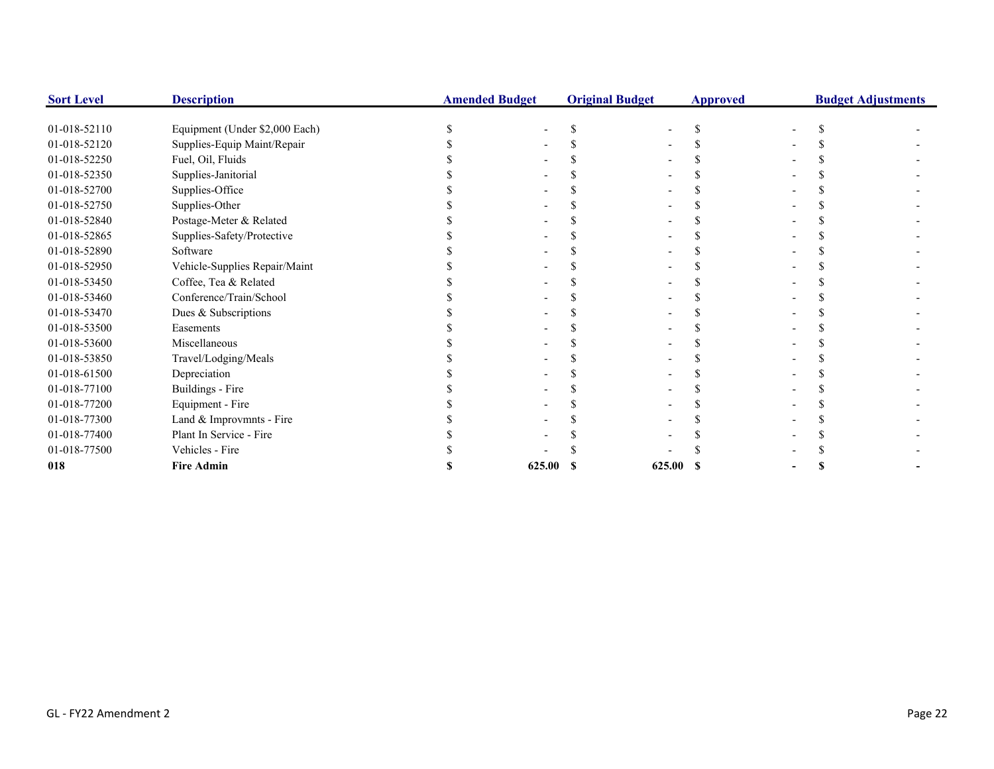| <b>Sort Level</b> | <b>Description</b>             | <b>Amended Budget</b> |        | <b>Original Budget</b> |        | <b>Approved</b> | <b>Budget Adjustments</b> |  |  |
|-------------------|--------------------------------|-----------------------|--------|------------------------|--------|-----------------|---------------------------|--|--|
|                   |                                |                       |        |                        |        |                 |                           |  |  |
| 01-018-52110      | Equipment (Under \$2,000 Each) |                       |        |                        |        |                 |                           |  |  |
| 01-018-52120      | Supplies-Equip Maint/Repair    |                       |        |                        |        |                 |                           |  |  |
| 01-018-52250      | Fuel, Oil, Fluids              |                       |        |                        |        |                 |                           |  |  |
| 01-018-52350      | Supplies-Janitorial            |                       |        |                        |        |                 |                           |  |  |
| 01-018-52700      | Supplies-Office                |                       |        |                        |        |                 |                           |  |  |
| 01-018-52750      | Supplies-Other                 |                       |        |                        |        |                 |                           |  |  |
| 01-018-52840      | Postage-Meter & Related        |                       |        |                        |        |                 |                           |  |  |
| 01-018-52865      | Supplies-Safety/Protective     |                       |        |                        |        |                 |                           |  |  |
| 01-018-52890      | Software                       |                       |        |                        |        |                 |                           |  |  |
| 01-018-52950      | Vehicle-Supplies Repair/Maint  |                       |        |                        |        |                 |                           |  |  |
| 01-018-53450      | Coffee, Tea & Related          |                       |        |                        |        |                 |                           |  |  |
| 01-018-53460      | Conference/Train/School        |                       |        |                        |        |                 |                           |  |  |
| 01-018-53470      | Dues & Subscriptions           |                       |        |                        |        |                 |                           |  |  |
| 01-018-53500      | Easements                      |                       |        |                        |        |                 |                           |  |  |
| 01-018-53600      | Miscellaneous                  |                       |        |                        |        |                 |                           |  |  |
| 01-018-53850      | Travel/Lodging/Meals           |                       |        |                        |        |                 |                           |  |  |
| 01-018-61500      | Depreciation                   |                       |        |                        |        |                 |                           |  |  |
| 01-018-77100      | Buildings - Fire               |                       |        |                        |        |                 |                           |  |  |
| 01-018-77200      | Equipment - Fire               |                       |        |                        |        |                 |                           |  |  |
| 01-018-77300      | Land & Improvmnts - Fire       |                       |        |                        |        |                 |                           |  |  |
| 01-018-77400      | Plant In Service - Fire        |                       |        |                        |        |                 |                           |  |  |
| 01-018-77500      | Vehicles - Fire                |                       |        |                        |        |                 |                           |  |  |
| 018               | <b>Fire Admin</b>              |                       | 625.00 |                        | 625.00 |                 |                           |  |  |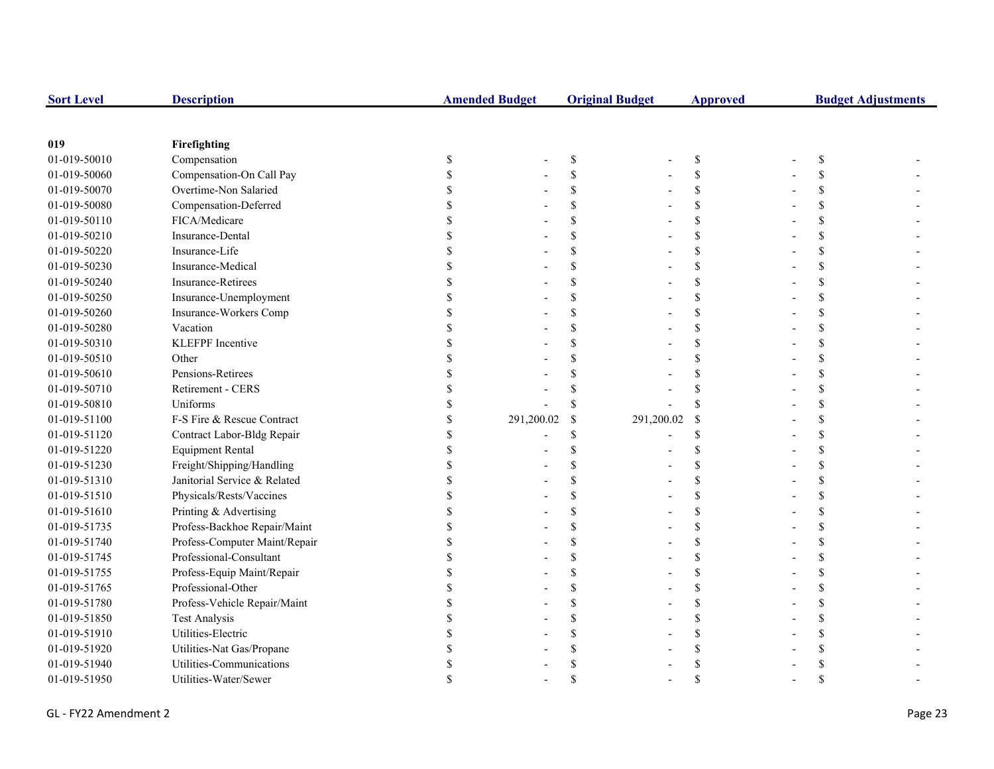| <b>Sort Level</b> | <b>Description</b>            | <b>Amended Budget</b> |                           | <b>Original Budget</b> | <b>Approved</b> | <b>Budget Adjustments</b> |  |  |
|-------------------|-------------------------------|-----------------------|---------------------------|------------------------|-----------------|---------------------------|--|--|
|                   |                               |                       |                           |                        |                 |                           |  |  |
| 019               | Firefighting                  |                       |                           |                        |                 |                           |  |  |
| 01-019-50010      | Compensation                  | \$                    | $\boldsymbol{\mathsf{S}}$ |                        | \$              | <sup>\$</sup>             |  |  |
| 01-019-50060      | Compensation-On Call Pay      |                       | \$                        |                        | \$              |                           |  |  |
| 01-019-50070      | Overtime-Non Salaried         |                       | \$                        |                        | \$              |                           |  |  |
| 01-019-50080      | Compensation-Deferred         |                       | <sup>\$</sup>             |                        | \$              |                           |  |  |
| 01-019-50110      | FICA/Medicare                 |                       | \$                        |                        | \$              |                           |  |  |
| 01-019-50210      | Insurance-Dental              |                       | \$                        |                        | \$              |                           |  |  |
| 01-019-50220      | Insurance-Life                |                       | <sup>\$</sup>             |                        | \$              |                           |  |  |
| 01-019-50230      | Insurance-Medical             |                       | <sup>\$</sup>             |                        | \$              |                           |  |  |
| 01-019-50240      | Insurance-Retirees            |                       | \$                        |                        | $\mathbf S$     |                           |  |  |
| 01-019-50250      | Insurance-Unemployment        |                       | $\mathcal{S}$             |                        | $\mathbf S$     |                           |  |  |
| 01-019-50260      | Insurance-Workers Comp        |                       | <sup>\$</sup>             |                        | \$              | S                         |  |  |
| 01-019-50280      | Vacation                      |                       | <sup>\$</sup>             |                        | \$              |                           |  |  |
| 01-019-50310      | <b>KLEFPF</b> Incentive       |                       | \$.                       |                        | \$              |                           |  |  |
| 01-019-50510      | Other                         |                       |                           |                        | \$              |                           |  |  |
| 01-019-50610      | Pensions-Retirees             |                       |                           |                        | $\mathbf S$     |                           |  |  |
| 01-019-50710      | Retirement - CERS             |                       |                           |                        | \$              |                           |  |  |
| 01-019-50810      | Uniforms                      |                       | <sup>\$</sup>             |                        | \$              |                           |  |  |
| 01-019-51100      | F-S Fire & Rescue Contract    | 291,200.02            | \$                        | 291,200.02             | <sup>\$</sup>   |                           |  |  |
| 01-019-51120      | Contract Labor-Bldg Repair    |                       | \$                        |                        | \$              |                           |  |  |
| 01-019-51220      | <b>Equipment Rental</b>       |                       | <sup>\$</sup>             |                        | \$              |                           |  |  |
| 01-019-51230      | Freight/Shipping/Handling     |                       | <sup>\$</sup>             |                        | \$              |                           |  |  |
| 01-019-51310      | Janitorial Service & Related  |                       | $\mathcal{S}$             |                        | \$              |                           |  |  |
| 01-019-51510      | Physicals/Rests/Vaccines      |                       | $\mathcal{S}$             |                        | \$              |                           |  |  |
| 01-019-51610      | Printing & Advertising        |                       | <sup>\$</sup>             |                        | \$              |                           |  |  |
| 01-019-51735      | Profess-Backhoe Repair/Maint  |                       | <sup>\$</sup>             |                        | \$              |                           |  |  |
| 01-019-51740      | Profess-Computer Maint/Repair |                       | \$                        |                        | \$              |                           |  |  |
| 01-019-51745      | Professional-Consultant       |                       | \$                        |                        | \$              |                           |  |  |
| 01-019-51755      | Profess-Equip Maint/Repair    |                       | \$                        |                        | \$              |                           |  |  |
| 01-019-51765      | Professional-Other            |                       | <sup>\$</sup>             |                        | \$              |                           |  |  |
| 01-019-51780      | Profess-Vehicle Repair/Maint  |                       | \$                        |                        | \$              |                           |  |  |
| 01-019-51850      | <b>Test Analysis</b>          |                       | \$                        |                        | \$              |                           |  |  |
| 01-019-51910      | Utilities-Electric            |                       | \$                        |                        | \$              |                           |  |  |
| 01-019-51920      | Utilities-Nat Gas/Propane     |                       |                           |                        | \$              |                           |  |  |
| 01-019-51940      | Utilities-Communications      |                       |                           |                        |                 |                           |  |  |
| 01-019-51950      | Utilities-Water/Sewer         |                       |                           |                        |                 |                           |  |  |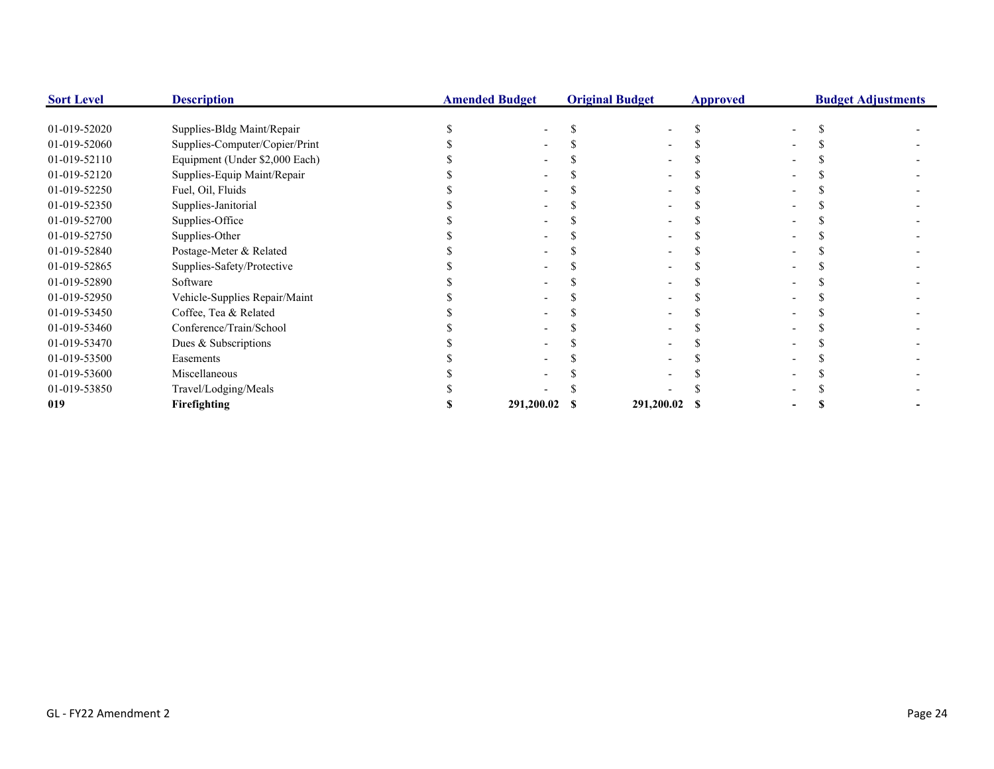| <b>Sort Level</b> | <b>Description</b>             | <b>Amended Budget</b> | <b>Original Budget</b> |               | <b>Approved</b> |  | <b>Budget Adjustments</b> |
|-------------------|--------------------------------|-----------------------|------------------------|---------------|-----------------|--|---------------------------|
|                   |                                |                       |                        |               |                 |  |                           |
| 01-019-52020      | Supplies-Bldg Maint/Repair     |                       |                        |               |                 |  |                           |
| 01-019-52060      | Supplies-Computer/Copier/Print |                       |                        |               |                 |  |                           |
| 01-019-52110      | Equipment (Under \$2,000 Each) |                       |                        |               |                 |  |                           |
| 01-019-52120      | Supplies-Equip Maint/Repair    |                       |                        |               |                 |  |                           |
| 01-019-52250      | Fuel, Oil, Fluids              |                       |                        |               |                 |  |                           |
| 01-019-52350      | Supplies-Janitorial            |                       |                        |               |                 |  |                           |
| 01-019-52700      | Supplies-Office                |                       |                        |               |                 |  |                           |
| 01-019-52750      | Supplies-Other                 |                       |                        |               |                 |  |                           |
| 01-019-52840      | Postage-Meter & Related        |                       |                        |               |                 |  |                           |
| 01-019-52865      | Supplies-Safety/Protective     |                       |                        |               |                 |  |                           |
| 01-019-52890      | Software                       |                       |                        |               |                 |  |                           |
| 01-019-52950      | Vehicle-Supplies Repair/Maint  |                       |                        |               |                 |  |                           |
| 01-019-53450      | Coffee, Tea & Related          |                       |                        |               |                 |  |                           |
| 01-019-53460      | Conference/Train/School        |                       |                        |               |                 |  |                           |
| 01-019-53470      | Dues & Subscriptions           |                       |                        |               |                 |  |                           |
| 01-019-53500      | Easements                      |                       |                        |               |                 |  |                           |
| 01-019-53600      | Miscellaneous                  |                       |                        |               |                 |  |                           |
| 01-019-53850      | Travel/Lodging/Meals           |                       |                        |               |                 |  |                           |
| 019               | Firefighting                   | 291,200.02            |                        | 291,200.02 \$ |                 |  |                           |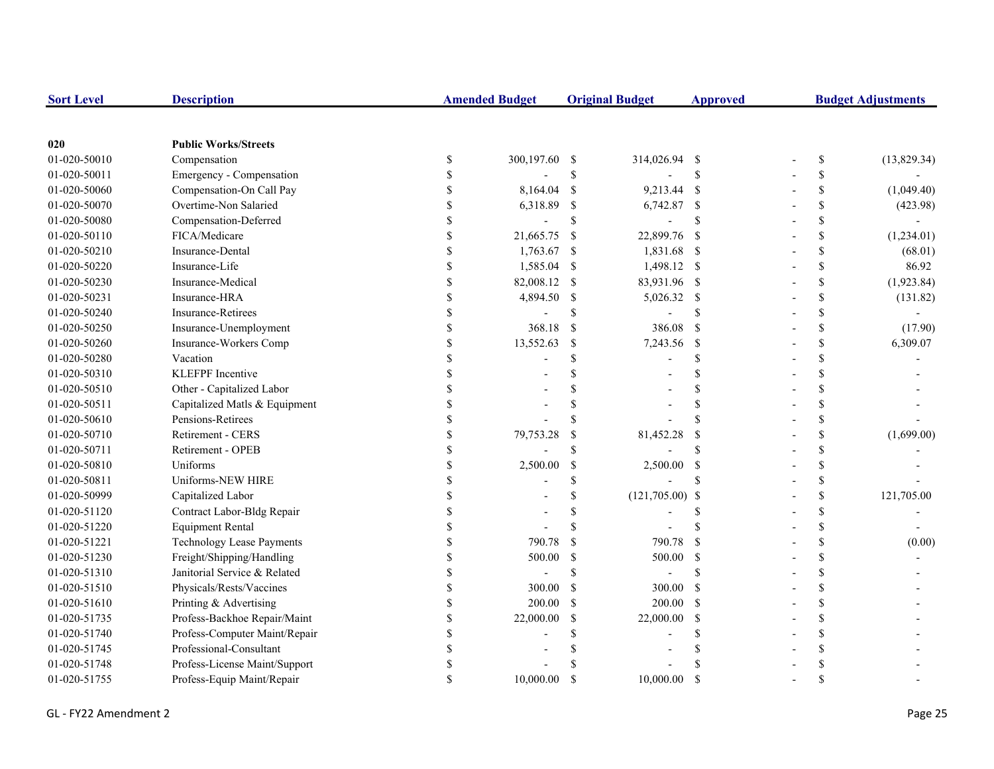| <b>Sort Level</b> | <b>Description</b>               |               | <b>Amended Budget</b> |               | <b>Original Budget</b> | <b>Approved</b>    | <b>Budget Adjustments</b> |              |             |
|-------------------|----------------------------------|---------------|-----------------------|---------------|------------------------|--------------------|---------------------------|--------------|-------------|
|                   |                                  |               |                       |               |                        |                    |                           |              |             |
| 020               | <b>Public Works/Streets</b>      |               |                       |               |                        |                    |                           |              |             |
| 01-020-50010      | Compensation                     | \$            | 300,197.60 \$         |               | 314,026.94 \$          |                    |                           | $\mathbb{S}$ | (13,829.34) |
| 01-020-50011      | Emergency - Compensation         | \$            |                       | \$            |                        | <sup>\$</sup>      |                           | \$           |             |
| 01-020-50060      | Compensation-On Call Pay         | \$            | 8,164.04              | $\mathcal{S}$ | 9,213.44 \$            |                    |                           | \$           | (1,049.40)  |
| 01-020-50070      | Overtime-Non Salaried            |               | 6,318.89              | <sup>\$</sup> | 6,742.87 \$            |                    |                           | \$           | (423.98)    |
| 01-020-50080      | Compensation-Deferred            |               |                       | $\mathbb{S}$  |                        | $\mathcal{S}$      |                           | \$           |             |
| 01-020-50110      | FICA/Medicare                    |               | 21,665.75             | -\$           | 22,899.76              | $\mathbf{s}$       |                           | \$           | (1,234.01)  |
| 01-020-50210      | Insurance-Dental                 | \$            | 1,763.67              | -\$           | 1,831.68 \$            |                    |                           | \$           | (68.01)     |
| 01-020-50220      | Insurance-Life                   | \$            | 1,585.04              | -S            | 1,498.12 \$            |                    |                           | \$           | 86.92       |
| 01-020-50230      | Insurance-Medical                | \$            | 82,008.12             | -S            | 83,931.96 \$           |                    |                           | \$           | (1,923.84)  |
| 01-020-50231      | Insurance-HRA                    | \$            | 4,894.50              | -\$           | 5,026.32 \$            |                    |                           | \$           | (131.82)    |
| 01-020-50240      | Insurance-Retirees               | \$            |                       | <sup>\$</sup> |                        | <sup>\$</sup>      |                           | $\mathbb{S}$ |             |
| 01-020-50250      | Insurance-Unemployment           | \$            | 368.18                | <sup>S</sup>  | 386.08                 | <sup>S</sup>       |                           | \$           | (17.90)     |
| 01-020-50260      | Insurance-Workers Comp           | \$            | 13,552.63             | <sup>\$</sup> | 7,243.56               | - \$               |                           | \$           | 6,309.07    |
| 01-020-50280      | Vacation                         |               |                       | \$            |                        | <sup>\$</sup>      |                           | \$           |             |
| 01-020-50310      | <b>KLEFPF</b> Incentive          |               |                       | \$            |                        | <sup>\$</sup>      |                           | \$           |             |
| 01-020-50510      | Other - Capitalized Labor        |               |                       |               |                        | <sup>\$</sup>      |                           | \$           |             |
| 01-020-50511      | Capitalized Matls & Equipment    |               |                       |               |                        | $\mathbf{\hat{S}}$ |                           | \$           |             |
| 01-020-50610      | Pensions-Retirees                |               |                       | \$.           |                        | $\mathbf S$        |                           | \$           |             |
| 01-020-50710      | Retirement - CERS                |               | 79,753.28             | <sup>\$</sup> | 81,452.28              | <sup>\$</sup>      |                           | \$           | (1,699.00)  |
| 01-020-50711      | Retirement - OPEB                | $\mathcal{S}$ |                       | \$.           |                        | $\mathbf{\hat{S}}$ |                           | \$           |             |
| 01-020-50810      | Uniforms                         | \$            | 2,500.00              | \$            | 2,500.00               | - \$               |                           | \$           |             |
| 01-020-50811      | Uniforms-NEW HIRE                | <sup>\$</sup> |                       | \$            |                        | <sup>\$</sup>      |                           | \$           |             |
| 01-020-50999      | Capitalized Labor                |               |                       | \$            | $(121,705.00)$ \$      |                    |                           | \$           | 121,705.00  |
| 01-020-51120      | Contract Labor-Bldg Repair       |               |                       | \$            |                        | <sup>\$</sup>      |                           | \$           |             |
| 01-020-51220      | <b>Equipment Rental</b>          |               |                       | $\mathcal{S}$ |                        |                    |                           | \$           |             |
| 01-020-51221      | <b>Technology Lease Payments</b> |               | 790.78                | $\mathcal{S}$ | 790.78                 | $\mathcal{S}$      |                           | \$           | (0.00)      |
| 01-020-51230      | Freight/Shipping/Handling        |               | 500.00                | $\mathbf S$   | 500.00                 | <sup>S</sup>       |                           | \$           |             |
| 01-020-51310      | Janitorial Service & Related     |               |                       | \$            |                        | $\mathcal{S}$      |                           | \$           |             |
| 01-020-51510      | Physicals/Rests/Vaccines         |               | 300.00                | -S            | 300.00                 | - \$               |                           | \$           |             |
| 01-020-51610      | Printing & Advertising           | \$            | 200.00                | -S            | $200.00$ \$            |                    |                           | \$           |             |
| 01-020-51735      | Profess-Backhoe Repair/Maint     | \$            | 22,000.00             | <sup>\$</sup> | 22,000.00              | -S                 |                           | \$           |             |
| 01-020-51740      | Profess-Computer Maint/Repair    | \$            |                       | \$            |                        | \$.                |                           | \$           |             |
| 01-020-51745      | Professional-Consultant          |               |                       |               |                        |                    |                           | \$           |             |
| 01-020-51748      | Profess-License Maint/Support    |               |                       |               |                        |                    |                           | \$           |             |
| 01-020-51755      | Profess-Equip Maint/Repair       | $\mathcal{S}$ | 10,000.00             | <sup>\$</sup> | 10,000.00              | <sup>\$</sup>      |                           | \$           |             |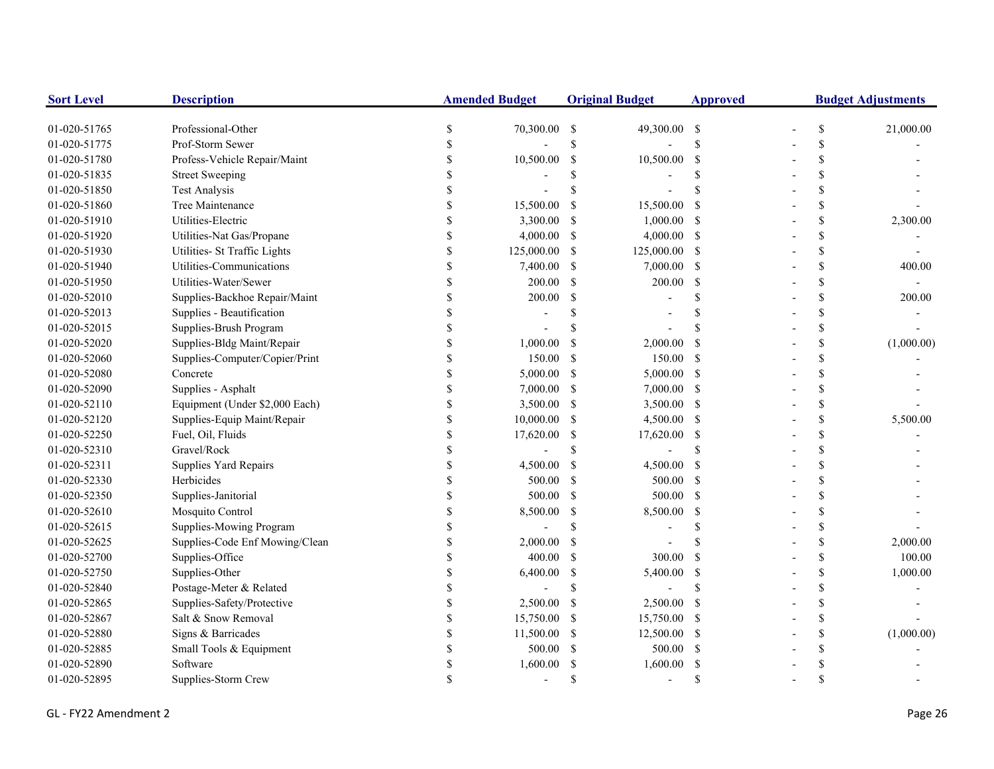| <b>Sort Level</b> | <b>Description</b>             | <b>Amended Budget</b> |            | <b>Original Budget</b> |              | <b>Approved</b>    | <b>Budget Adjustments</b> |               |            |
|-------------------|--------------------------------|-----------------------|------------|------------------------|--------------|--------------------|---------------------------|---------------|------------|
| 01-020-51765      | Professional-Other             | \$                    | 70,300.00  | -\$                    | 49,300.00 \$ |                    |                           | \$            | 21,000.00  |
| 01-020-51775      | Prof-Storm Sewer               | <sup>\$</sup>         |            | \$                     |              | $\mathsf{\$}$      |                           | \$            |            |
| 01-020-51780      | Profess-Vehicle Repair/Maint   | <sup>\$</sup>         | 10,500.00  | -S                     | 10,500.00    | \$                 |                           | \$            |            |
| 01-020-51835      | <b>Street Sweeping</b>         |                       |            |                        |              | \$.                |                           | \$            |            |
| 01-020-51850      | <b>Test Analysis</b>           |                       |            |                        |              |                    |                           | \$            |            |
| 01-020-51860      | Tree Maintenance               |                       | 15,500.00  | <sup>\$</sup>          | 15,500.00    | <sup>\$</sup>      |                           | \$            |            |
| 01-020-51910      | Utilities-Electric             |                       | 3,300.00   | -S                     | 1,000.00     | -S                 |                           | \$            | 2,300.00   |
| 01-020-51920      | Utilities-Nat Gas/Propane      | $\mathcal{S}$         | 4,000.00   | -\$                    | 4,000.00     | -S                 |                           | \$            |            |
| 01-020-51930      | Utilities- St Traffic Lights   | \$                    | 125,000.00 | -S                     | 125,000.00   | -S                 |                           | \$            |            |
| 01-020-51940      | Utilities-Communications       | \$                    | 7,400.00   | -S                     | 7,000.00     | -S                 |                           | \$            | 400.00     |
| 01-020-51950      | Utilities-Water/Sewer          | \$                    | 200.00     | <sup>\$</sup>          | 200.00       | <sup>\$</sup>      |                           | \$            |            |
| 01-020-52010      | Supplies-Backhoe Repair/Maint  | \$                    | 200.00     | \$                     |              | $\mathcal{S}$      |                           | \$            | 200.00     |
| 01-020-52013      | Supplies - Beautification      |                       |            |                        |              |                    |                           | \$            |            |
| 01-020-52015      | Supplies-Brush Program         |                       |            |                        |              |                    |                           | \$            |            |
| 01-020-52020      | Supplies-Bldg Maint/Repair     | <sup>\$</sup>         | 1,000.00   | -S                     | 2,000.00     | <sup>\$</sup>      |                           | \$            | (1,000.00) |
| 01-020-52060      | Supplies-Computer/Copier/Print |                       | 150.00     | \$                     | 150.00       | -S                 |                           | \$            |            |
| 01-020-52080      | Concrete                       |                       | 5,000.00   | -S                     | 5,000.00     | <sup>S</sup>       |                           | \$            |            |
| 01-020-52090      | Supplies - Asphalt             |                       | 7,000.00   | -S                     | 7,000.00     | -\$                |                           | \$            |            |
| 01-020-52110      | Equipment (Under \$2,000 Each) |                       | 3,500.00   | -S                     | 3,500.00 \$  |                    |                           | \$            |            |
| 01-020-52120      | Supplies-Equip Maint/Repair    |                       | 10,000.00  | -S                     | 4,500.00 \$  |                    |                           | \$            | 5,500.00   |
| 01-020-52250      | Fuel, Oil, Fluids              |                       | 17,620.00  | -S                     | 17,620.00    | <sup>\$</sup>      |                           | \$            |            |
| 01-020-52310      | Gravel/Rock                    | \$                    |            | \$                     |              | <sup>\$</sup>      |                           | \$            |            |
| 01-020-52311      | Supplies Yard Repairs          | \$                    | 4,500.00   | <sup>\$</sup>          | 4,500.00     | <sup>\$</sup>      |                           | \$            |            |
| 01-020-52330      | Herbicides                     | \$                    | 500.00     | S.                     | 500.00       | -S                 |                           | \$            |            |
| 01-020-52350      | Supplies-Janitorial            | \$                    | 500.00     | <sup>\$</sup>          | 500.00       | -S                 |                           | \$            |            |
| 01-020-52610      | Mosquito Control               | \$                    | 8,500.00   | -S                     | 8,500.00     | -\$                |                           | \$            |            |
| 01-020-52615      | Supplies-Mowing Program        |                       |            | $\mathcal{S}$          |              | $\mathcal{S}$      |                           | \$            |            |
| 01-020-52625      | Supplies-Code Enf Mowing/Clean |                       | 2,000.00   | -S                     |              | $\mathbf{\hat{S}}$ |                           | \$            | 2,000.00   |
| 01-020-52700      | Supplies-Office                |                       | 400.00     | <sup>\$</sup>          | 300.00       | <sup>\$</sup>      |                           | \$            | 100.00     |
| 01-020-52750      | Supplies-Other                 |                       | 6,400.00   | \$                     | 5,400.00     | \$                 |                           | \$            | 1,000.00   |
| 01-020-52840      | Postage-Meter & Related        |                       |            | \$                     |              | <sup>\$</sup>      |                           | \$            |            |
| 01-020-52865      | Supplies-Safety/Protective     |                       | 2,500.00   | -S                     | 2,500.00     | <sup>\$</sup>      |                           | \$            |            |
| 01-020-52867      | Salt & Snow Removal            |                       | 15,750.00  | -S                     | 15,750.00    | -\$                |                           | \$            |            |
| 01-020-52880      | Signs & Barricades             |                       | 11,500.00  | -\$                    | 12,500.00    | -\$                |                           | \$            | (1,000.00) |
| 01-020-52885      | Small Tools & Equipment        |                       | 500.00     | <sup>\$</sup>          | 500.00       | - \$               |                           | \$            |            |
| 01-020-52890      | Software                       |                       | 1,600.00   |                        | 1,600.00     | <sup>\$</sup>      |                           | <sup>\$</sup> |            |
| 01-020-52895      | Supplies-Storm Crew            |                       |            | \$.                    |              | $\mathcal{S}$      |                           | $\mathcal{S}$ |            |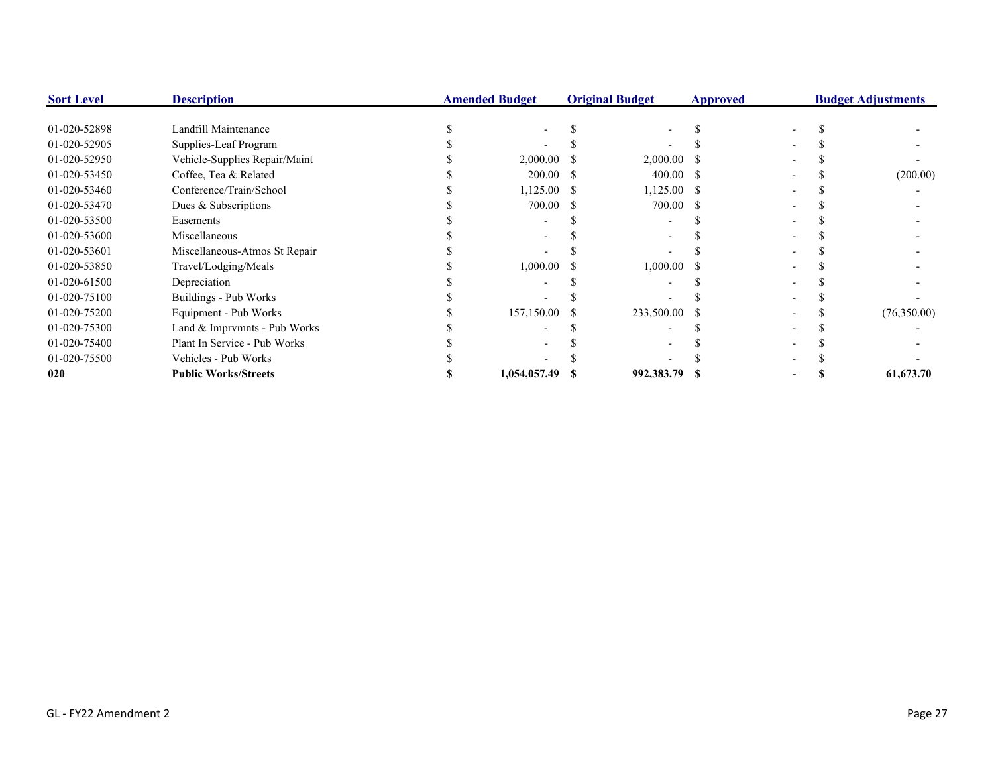| <b>Sort Level</b> | <b>Description</b>            | <b>Amended Budget</b> |              | <b>Original Budget</b> |               | <b>Approved</b> | <b>Budget Adjustments</b> |  |             |
|-------------------|-------------------------------|-----------------------|--------------|------------------------|---------------|-----------------|---------------------------|--|-------------|
| 01-020-52898      | Landfill Maintenance          |                       |              |                        |               |                 |                           |  |             |
| 01-020-52905      | Supplies-Leaf Program         |                       |              |                        |               |                 |                           |  |             |
| 01-020-52950      | Vehicle-Supplies Repair/Maint |                       | 2,000.00     |                        | $2,000.00$ \$ |                 |                           |  |             |
| 01-020-53450      | Coffee, Tea & Related         |                       | 200.00       | - 5                    | $400.00$ \$   |                 |                           |  | (200.00)    |
| 01-020-53460      | Conference/Train/School       |                       | 1,125.00     |                        | $1,125.00$ \$ |                 |                           |  |             |
| 01-020-53470      | Dues & Subscriptions          |                       | 700.00       |                        | 700.00 \$     |                 |                           |  |             |
| 01-020-53500      | Easements                     |                       |              |                        |               |                 |                           |  |             |
| 01-020-53600      | Miscellaneous                 |                       |              |                        |               |                 |                           |  |             |
| 01-020-53601      | Miscellaneous-Atmos St Repair |                       |              |                        |               |                 |                           |  |             |
| 01-020-53850      | Travel/Lodging/Meals          |                       | 1,000.00     |                        | 1,000.00      |                 |                           |  |             |
| 01-020-61500      | Depreciation                  |                       |              |                        |               |                 |                           |  |             |
| 01-020-75100      | Buildings - Pub Works         |                       |              |                        |               |                 |                           |  |             |
| 01-020-75200      | Equipment - Pub Works         |                       | 157,150.00   |                        | 233,500.00 \$ |                 |                           |  | (76,350.00) |
| 01-020-75300      | Land & Imprvmnts - Pub Works  |                       |              |                        |               |                 |                           |  |             |
| 01-020-75400      | Plant In Service - Pub Works  |                       |              |                        |               |                 |                           |  |             |
| 01-020-75500      | Vehicles - Pub Works          |                       |              |                        |               |                 |                           |  |             |
| 020               | <b>Public Works/Streets</b>   |                       | 1,054,057.49 |                        | 992,383.79 \$ |                 |                           |  | 61,673.70   |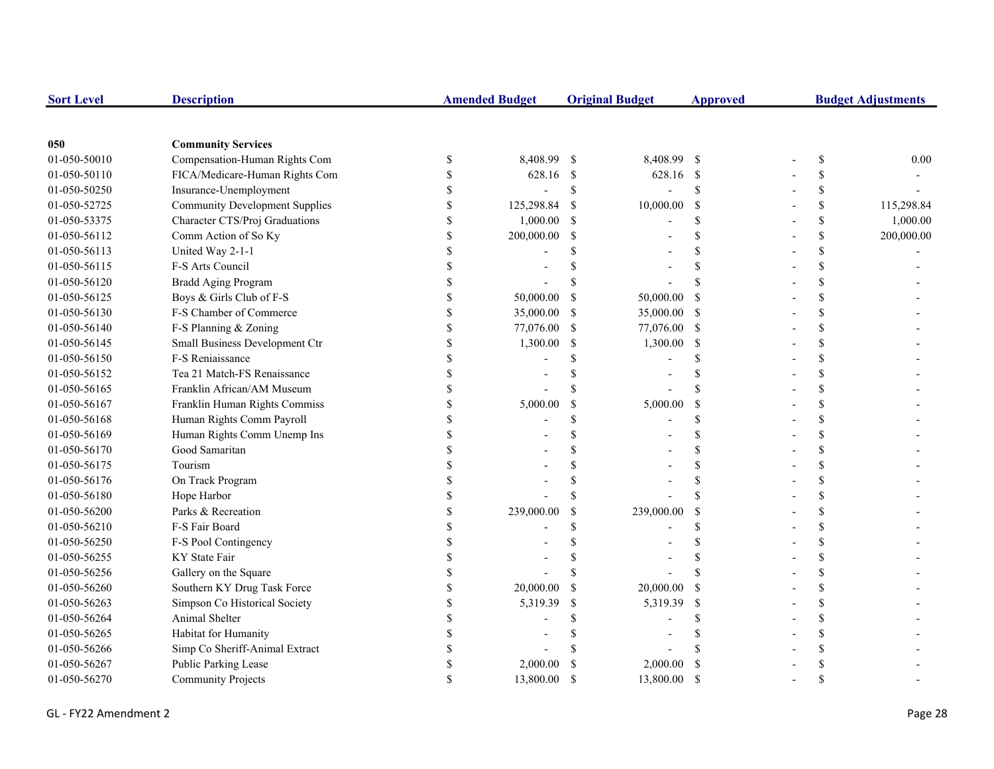| <b>Sort Level</b> | <b>Description</b>                    |              | <b>Amended Budget</b> |               | <b>Original Budget</b> | <b>Approved</b>    | <b>Budget Adjustments</b> |               |            |
|-------------------|---------------------------------------|--------------|-----------------------|---------------|------------------------|--------------------|---------------------------|---------------|------------|
|                   |                                       |              |                       |               |                        |                    |                           |               |            |
| 050               | <b>Community Services</b>             |              |                       |               |                        |                    |                           |               |            |
| 01-050-50010      | Compensation-Human Rights Com         | \$           | 8,408.99              | - \$          | 8,408.99 \$            |                    |                           | \$            | 0.00       |
| 01-050-50110      | FICA/Medicare-Human Rights Com        | \$           | 628.16 \$             |               | 628.16 \$              |                    |                           | \$            |            |
| 01-050-50250      | Insurance-Unemployment                | \$           | $\overline{a}$        | $\mathcal{S}$ | $\overline{a}$         | $\mathbf S$        |                           | \$            |            |
| 01-050-52725      | <b>Community Development Supplies</b> | \$           | 125,298.84            | -S            | 10,000.00              | <sup>S</sup>       |                           | \$            | 115,298.84 |
| 01-050-53375      | Character CTS/Proj Graduations        | $\mathbb{S}$ | 1,000.00              | S             |                        | <sup>\$</sup>      |                           | \$            | 1,000.00   |
| 01-050-56112      | Comm Action of So Ky                  | \$           | 200,000.00            | \$            |                        | S                  |                           | \$            | 200,000.00 |
| 01-050-56113      | United Way 2-1-1                      | \$           |                       |               |                        | $\mathbf{\hat{S}}$ |                           | \$            |            |
| 01-050-56115      | F-S Arts Council                      | \$           |                       |               |                        | S                  |                           | \$            |            |
| 01-050-56120      | <b>Bradd Aging Program</b>            | $\mathbf S$  |                       |               |                        |                    |                           | \$            |            |
| 01-050-56125      | Boys & Girls Club of F-S              | \$           | 50,000.00             | S             | 50,000.00              | <sup>\$</sup>      |                           | \$            |            |
| 01-050-56130      | F-S Chamber of Commerce               | $\$$         | 35,000.00             | <sup>\$</sup> | 35,000.00              | -\$                |                           | \$            |            |
| 01-050-56140      | F-S Planning & Zoning                 | $\mathbb{S}$ | 77,076.00             | \$            | 77,076.00 \$           |                    |                           | \$            |            |
| 01-050-56145      | Small Business Development Ctr        | \$           | 1,300.00              | <sup>\$</sup> | 1,300.00               | $\mathcal{S}$      |                           | \$            |            |
| 01-050-56150      | F-S Reniaissance                      | \$           |                       |               |                        | <sup>\$</sup>      |                           | \$            |            |
| 01-050-56152      | Tea 21 Match-FS Renaissance           | \$           |                       |               |                        | \$                 |                           | <sup>\$</sup> |            |
| 01-050-56165      | Franklin African/AM Museum            | \$           |                       |               |                        | <sup>\$</sup>      |                           | <sup>\$</sup> |            |
| 01-050-56167      | Franklin Human Rights Commiss         | \$           | 5,000.00              | \$            | 5,000.00               | \$                 |                           | \$            |            |
| 01-050-56168      | Human Rights Comm Payroll             |              |                       | \$.           |                        | \$                 |                           | \$            |            |
| 01-050-56169      | Human Rights Comm Unemp Ins           |              |                       |               |                        | <sup>\$</sup>      |                           | <sup>\$</sup> |            |
| 01-050-56170      | Good Samaritan                        |              |                       |               |                        | \$.                |                           | \$            |            |
| 01-050-56175      | Tourism                               |              |                       |               |                        | <sup>\$</sup>      |                           | \$            |            |
| 01-050-56176      | On Track Program                      | \$           |                       |               |                        | \$                 |                           | \$            |            |
| 01-050-56180      | Hope Harbor                           | \$           |                       |               |                        | $\mathbf{\hat{S}}$ |                           | \$            |            |
| 01-050-56200      | Parks & Recreation                    | \$           | 239,000.00            | \$            | 239,000.00             | <sup>\$</sup>      |                           | \$            |            |
| 01-050-56210      | F-S Fair Board                        | \$           |                       |               |                        | \$.                |                           | \$            |            |
| 01-050-56250      | F-S Pool Contingency                  |              |                       |               |                        |                    |                           | <sup>\$</sup> |            |
| 01-050-56255      | KY State Fair                         |              |                       |               |                        |                    |                           | <sup>\$</sup> |            |
| 01-050-56256      | Gallery on the Square                 | \$           |                       |               |                        | $\mathbf{\hat{S}}$ |                           | <sup>\$</sup> |            |
| 01-050-56260      | Southern KY Drug Task Force           | $\mathbb S$  | 20,000.00             | S             | 20,000.00              | <sup>S</sup>       |                           | \$            |            |
| 01-050-56263      | Simpson Co Historical Society         | \$           | 5,319.39              | \$            | 5,319.39               | <sup>\$</sup>      |                           | <sup>\$</sup> |            |
| 01-050-56264      | Animal Shelter                        |              |                       |               |                        | S                  |                           | <sup>\$</sup> |            |
| 01-050-56265      | Habitat for Humanity                  |              |                       |               |                        |                    |                           | <sup>\$</sup> |            |
| 01-050-56266      | Simp Co Sheriff-Animal Extract        | S            |                       |               |                        |                    |                           | \$            |            |
| 01-050-56267      | Public Parking Lease                  | \$           | 2,000.00              |               | 2,000.00               | $\mathcal{S}$      |                           | \$            |            |
| 01-050-56270      | <b>Community Projects</b>             | $\mathbb{S}$ | 13,800.00             | $\mathcal{S}$ | 13,800.00              | <sup>S</sup>       |                           | $\mathcal{S}$ |            |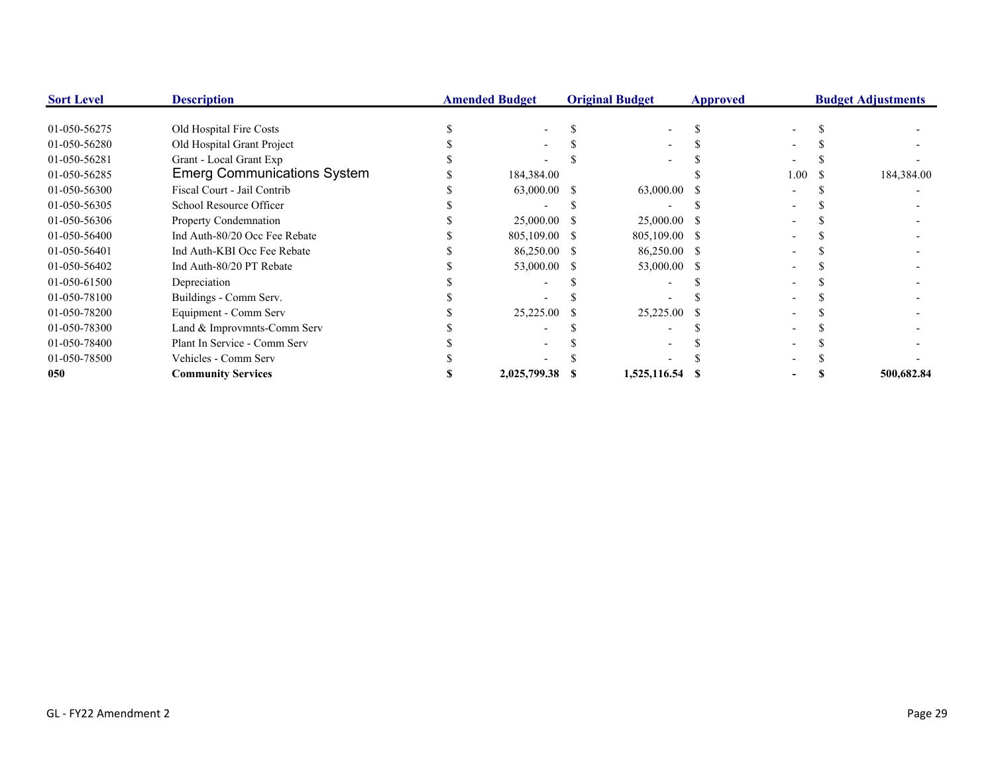| <b>Sort Level</b> | <b>Description</b>                 | <b>Amended Budget</b> |               | <b>Original Budget</b> |               | <b>Approved</b> | <b>Budget Adjustments</b> |  |            |  |
|-------------------|------------------------------------|-----------------------|---------------|------------------------|---------------|-----------------|---------------------------|--|------------|--|
| 01-050-56275      | Old Hospital Fire Costs            |                       |               |                        |               |                 |                           |  |            |  |
| 01-050-56280      | Old Hospital Grant Project         |                       |               |                        |               |                 |                           |  |            |  |
| 01-050-56281      | Grant - Local Grant Exp            |                       |               |                        |               |                 |                           |  |            |  |
| 01-050-56285      | <b>Emerg Communications System</b> |                       | 184,384.00    |                        |               |                 | $1.00\,$                  |  | 184,384.00 |  |
| 01-050-56300      | Fiscal Court - Jail Contrib        |                       | 63,000.00 \$  |                        | 63,000.00     |                 |                           |  |            |  |
| 01-050-56305      | School Resource Officer            |                       |               |                        |               |                 |                           |  |            |  |
| 01-050-56306      | Property Condemnation              |                       | 25,000.00 \$  |                        | 25,000.00 \$  |                 |                           |  |            |  |
| 01-050-56400      | Ind Auth-80/20 Occ Fee Rebate      |                       | 805,109.00 \$ |                        | 805,109.00 \$ |                 |                           |  |            |  |
| 01-050-56401      | Ind Auth-KBI Occ Fee Rebate        |                       | 86,250.00 \$  |                        | 86,250.00 \$  |                 |                           |  |            |  |
| 01-050-56402      | Ind Auth-80/20 PT Rebate           |                       | 53,000.00 \$  |                        | 53,000.00 \$  |                 |                           |  |            |  |
| 01-050-61500      | Depreciation                       |                       |               |                        |               |                 |                           |  |            |  |
| 01-050-78100      | Buildings - Comm Serv.             |                       |               |                        |               |                 |                           |  |            |  |
| 01-050-78200      | Equipment - Comm Serv              |                       | 25,225.00     |                        | 25,225.00     |                 |                           |  |            |  |
| 01-050-78300      | Land & Improvmnts-Comm Serv        |                       |               |                        |               |                 |                           |  |            |  |
| 01-050-78400      | Plant In Service - Comm Serv       |                       |               |                        |               |                 |                           |  |            |  |
| 01-050-78500      | Vehicles - Comm Serv               |                       |               |                        |               |                 |                           |  |            |  |
| 050               | <b>Community Services</b>          |                       | 2,025,799.38  |                        | 1,525,116.54  |                 |                           |  | 500,682.84 |  |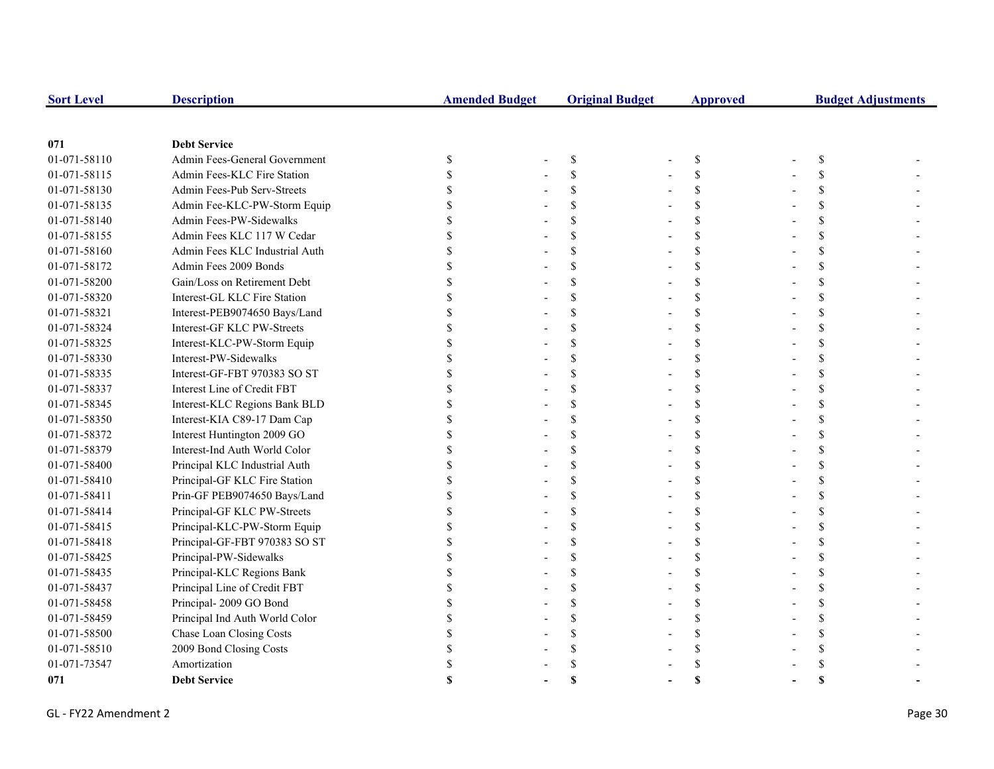| <b>Sort Level</b> | <b>Description</b>             | <b>Amended Budget</b> |  | <b>Original Budget</b> | <b>Approved</b> |             | <b>Budget Adjustments</b> |   |  |
|-------------------|--------------------------------|-----------------------|--|------------------------|-----------------|-------------|---------------------------|---|--|
|                   |                                |                       |  |                        |                 |             |                           |   |  |
| 071               | <b>Debt Service</b>            |                       |  |                        |                 |             |                           |   |  |
| 01-071-58110      | Admin Fees-General Government  | \$                    |  | \$                     |                 | \$          |                           | S |  |
| 01-071-58115      | Admin Fees-KLC Fire Station    |                       |  | \$                     |                 | \$          |                           |   |  |
| 01-071-58130      | Admin Fees-Pub Serv-Streets    |                       |  | $\mathbf S$            |                 | \$          |                           |   |  |
| 01-071-58135      | Admin Fee-KLC-PW-Storm Equip   |                       |  |                        |                 | \$          |                           |   |  |
| 01-071-58140      | Admin Fees-PW-Sidewalks        |                       |  |                        |                 | \$          |                           |   |  |
| 01-071-58155      | Admin Fees KLC 117 W Cedar     |                       |  |                        |                 | \$          |                           |   |  |
| 01-071-58160      | Admin Fees KLC Industrial Auth |                       |  |                        |                 | \$          |                           |   |  |
| 01-071-58172      | Admin Fees 2009 Bonds          |                       |  |                        |                 | \$          |                           |   |  |
| 01-071-58200      | Gain/Loss on Retirement Debt   |                       |  |                        |                 | \$          |                           |   |  |
| 01-071-58320      | Interest-GL KLC Fire Station   |                       |  |                        |                 | \$          |                           |   |  |
| 01-071-58321      | Interest-PEB9074650 Bays/Land  |                       |  | \$.                    |                 | \$          |                           |   |  |
| 01-071-58324      | Interest-GF KLC PW-Streets     |                       |  |                        |                 | \$          |                           |   |  |
| 01-071-58325      | Interest-KLC-PW-Storm Equip    |                       |  |                        |                 | \$          |                           |   |  |
| 01-071-58330      | Interest-PW-Sidewalks          |                       |  |                        |                 | \$          |                           |   |  |
| 01-071-58335      | Interest-GF-FBT 970383 SO ST   |                       |  |                        |                 | \$          |                           |   |  |
| 01-071-58337      | Interest Line of Credit FBT    |                       |  |                        |                 | $\mathbf S$ |                           |   |  |
| 01-071-58345      | Interest-KLC Regions Bank BLD  |                       |  |                        |                 | \$          |                           |   |  |
| 01-071-58350      | Interest-KIA C89-17 Dam Cap    |                       |  |                        |                 | \$          |                           |   |  |
| 01-071-58372      | Interest Huntington 2009 GO    |                       |  |                        |                 | \$          |                           |   |  |
| 01-071-58379      | Interest-Ind Auth World Color  |                       |  |                        |                 | \$          |                           |   |  |
| 01-071-58400      | Principal KLC Industrial Auth  |                       |  |                        |                 | \$          |                           |   |  |
| 01-071-58410      | Principal-GF KLC Fire Station  |                       |  |                        |                 | \$          |                           |   |  |
| 01-071-58411      | Prin-GF PEB9074650 Bays/Land   |                       |  | \$.                    |                 | \$          |                           |   |  |
| 01-071-58414      | Principal-GF KLC PW-Streets    |                       |  | \$.                    |                 | \$          |                           |   |  |
| 01-071-58415      | Principal-KLC-PW-Storm Equip   |                       |  | S                      |                 | \$          |                           |   |  |
| 01-071-58418      | Principal-GF-FBT 970383 SO ST  |                       |  |                        |                 | \$          |                           |   |  |
| 01-071-58425      | Principal-PW-Sidewalks         |                       |  |                        |                 | \$          |                           |   |  |
| 01-071-58435      | Principal-KLC Regions Bank     |                       |  |                        |                 | \$          |                           |   |  |
| 01-071-58437      | Principal Line of Credit FBT   |                       |  | $\mathbf S$            |                 | \$          |                           |   |  |
| 01-071-58458      | Principal-2009 GO Bond         |                       |  |                        |                 | \$          |                           |   |  |
| 01-071-58459      | Principal Ind Auth World Color |                       |  |                        |                 | \$          |                           |   |  |
| 01-071-58500      | Chase Loan Closing Costs       |                       |  |                        |                 | \$          |                           |   |  |
| 01-071-58510      | 2009 Bond Closing Costs        |                       |  |                        |                 |             |                           |   |  |
| 01-071-73547      | Amortization                   |                       |  |                        |                 |             |                           |   |  |
| 071               | <b>Debt Service</b>            |                       |  |                        |                 |             |                           |   |  |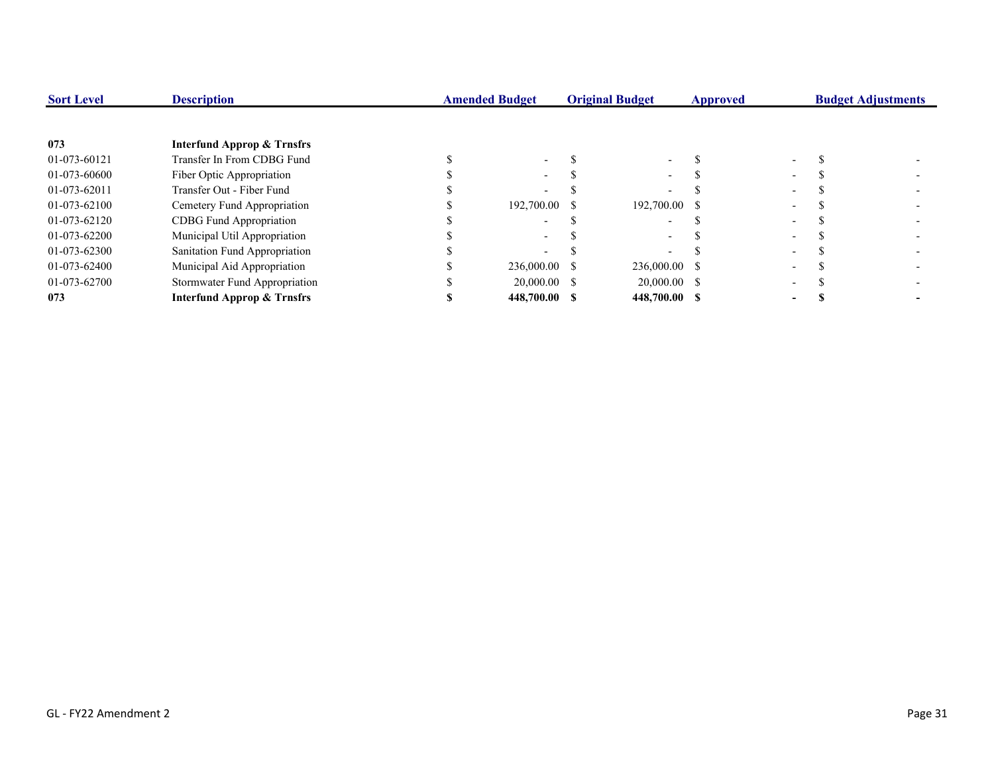| <b>Sort Level</b> | <b>Description</b>                    | <b>Amended Budget</b> | <b>Original Budget</b> | Approved |                          | <b>Budget Adjustments</b> |
|-------------------|---------------------------------------|-----------------------|------------------------|----------|--------------------------|---------------------------|
|                   |                                       |                       |                        |          |                          |                           |
| 073               | <b>Interfund Approp &amp; Trnsfrs</b> |                       |                        |          |                          |                           |
| 01-073-60121      | Transfer In From CDBG Fund            |                       |                        |          |                          |                           |
| 01-073-60600      | Fiber Optic Appropriation             | $\sim$                |                        |          |                          |                           |
| 01-073-62011      | Transfer Out - Fiber Fund             |                       |                        |          |                          |                           |
| 01-073-62100      | Cemetery Fund Appropriation           | 192,700.00 \$         | 192,700.00 \$          |          | $\overline{\phantom{0}}$ |                           |
| 01-073-62120      | CDBG Fund Appropriation               |                       |                        |          |                          |                           |
| 01-073-62200      | Municipal Util Appropriation          |                       |                        |          |                          |                           |
| 01-073-62300      | Sanitation Fund Appropriation         |                       |                        |          | -                        |                           |
| 01-073-62400      | Municipal Aid Appropriation           | 236,000.00 \$         | 236,000.00 \$          |          |                          |                           |
| 01-073-62700      | Stormwater Fund Appropriation         | 20,000.00 \$          | $20,000.00$ \$         |          | $\overline{\phantom{0}}$ |                           |
| 073               | <b>Interfund Approp &amp; Trnsfrs</b> | 448,700.00 \$         | 448,700.00 \$          |          | -                        |                           |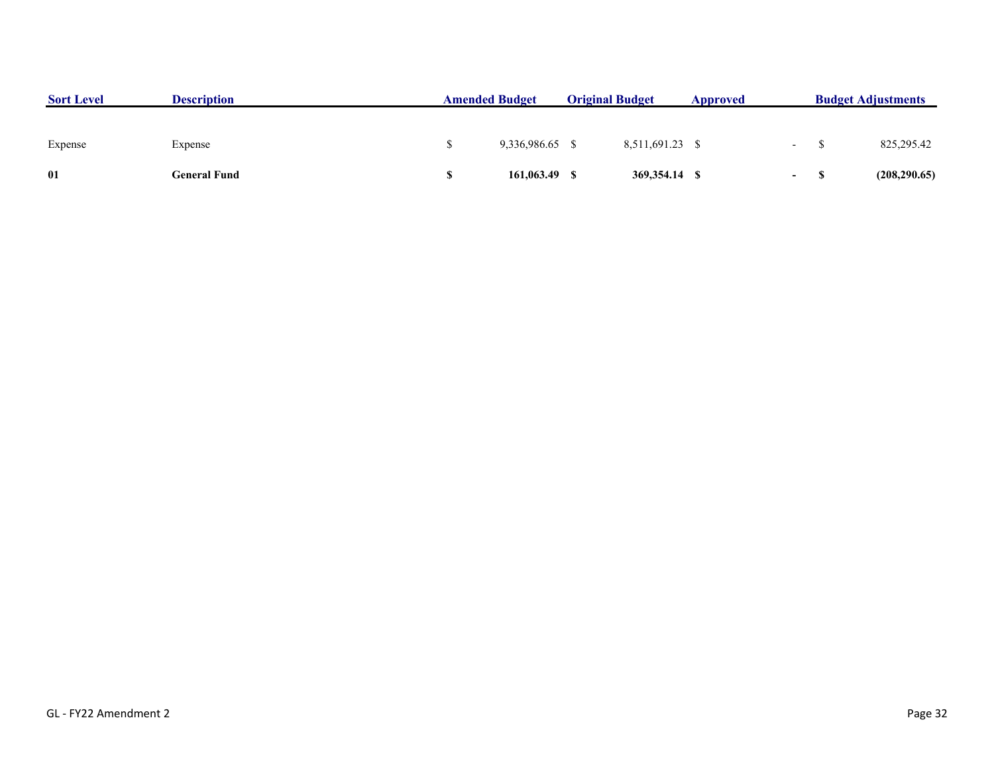| <b>Sort Level</b> | <b>Description</b> | <b>Amended Budget</b> |              | <b>Original Budget</b> |                 | Approved |                          | <b>Budget Adjustments</b> |  |
|-------------------|--------------------|-----------------------|--------------|------------------------|-----------------|----------|--------------------------|---------------------------|--|
|                   |                    |                       |              |                        |                 |          |                          |                           |  |
| Expense           | Expense            |                       | 9.336.986.65 |                        | 8,511,691.23 \$ |          | $\overline{\phantom{0}}$ | 825,295.42                |  |
| 01                | General Fund       |                       | 161,063.49   |                        | 369,354.14 \$   |          | $\sim$                   | (208, 290.65)             |  |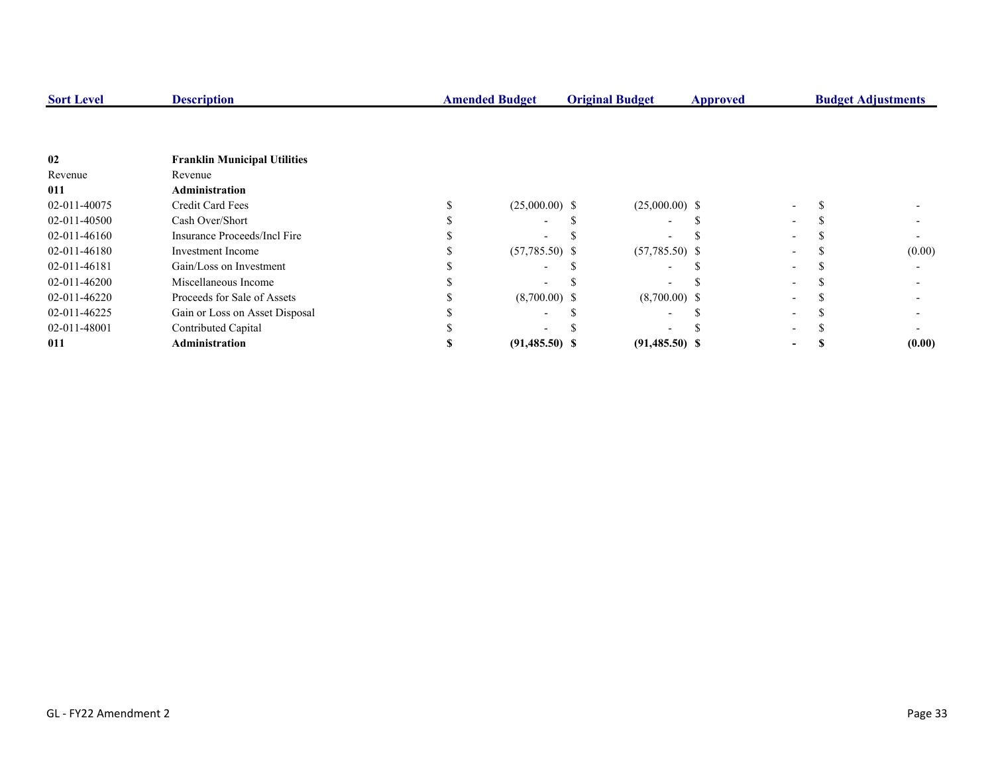| <b>Sort Level</b> | <b>Description</b>                  | <b>Amended Budget</b><br><b>Original Budget</b> |                  | <b>Approved</b>          | <b>Budget Adjustments</b> |  |  |        |
|-------------------|-------------------------------------|-------------------------------------------------|------------------|--------------------------|---------------------------|--|--|--------|
|                   |                                     |                                                 |                  |                          |                           |  |  |        |
|                   |                                     |                                                 |                  |                          |                           |  |  |        |
| 02                | <b>Franklin Municipal Utilities</b> |                                                 |                  |                          |                           |  |  |        |
| Revenue           | Revenue                             |                                                 |                  |                          |                           |  |  |        |
| 011               | <b>Administration</b>               |                                                 |                  |                          |                           |  |  |        |
| 02-011-40075      | Credit Card Fees                    |                                                 | $(25,000.00)$ \$ | $(25,000.00)$ \$         |                           |  |  |        |
| 02-011-40500      | Cash Over/Short                     |                                                 |                  | -                        |                           |  |  |        |
| 02-011-46160      | Insurance Proceeds/Incl Fire        |                                                 |                  |                          |                           |  |  |        |
| 02-011-46180      | Investment Income                   |                                                 | $(57,785.50)$ \$ | $(57,785.50)$ \$         |                           |  |  | (0.00) |
| 02-011-46181      | Gain/Loss on Investment             |                                                 |                  | $\overline{\phantom{0}}$ |                           |  |  |        |
| 02-011-46200      | Miscellaneous Income                |                                                 |                  |                          |                           |  |  |        |
| 02-011-46220      | Proceeds for Sale of Assets         |                                                 | $(8,700.00)$ \$  | $(8,700.00)$ \$          |                           |  |  |        |
| 02-011-46225      | Gain or Loss on Asset Disposal      |                                                 |                  |                          |                           |  |  |        |
| 02-011-48001      | Contributed Capital                 |                                                 |                  |                          |                           |  |  |        |
| 011               | <b>Administration</b>               |                                                 | $(91,485.50)$ \$ | $(91,485.50)$ \$         |                           |  |  | (0.00) |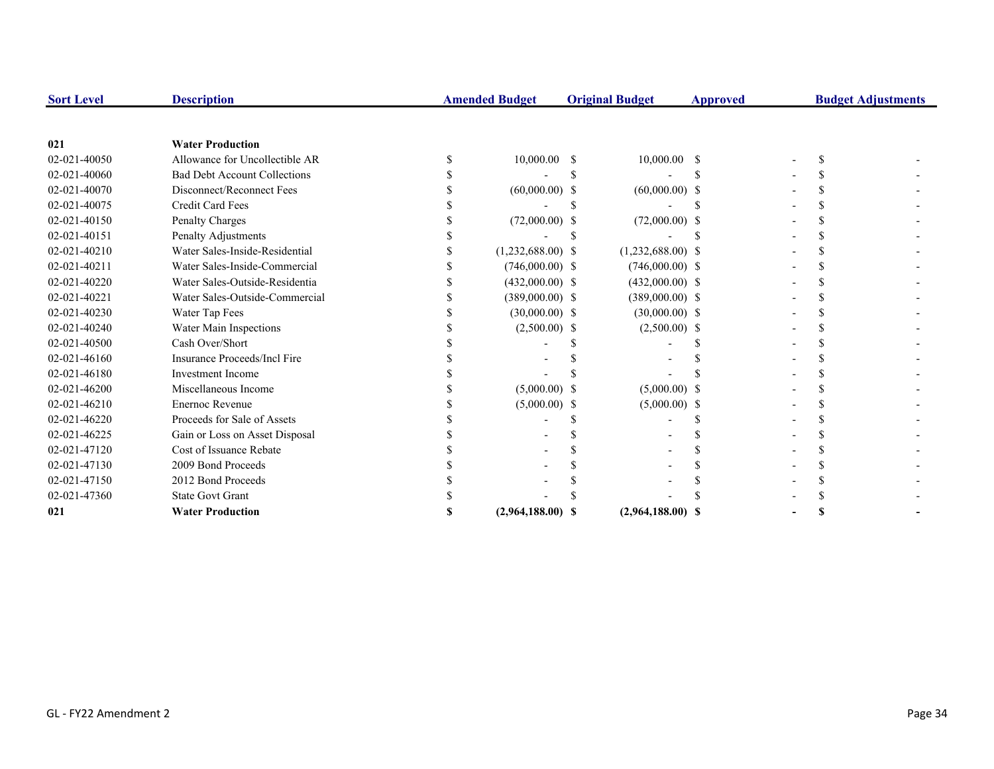| <b>Sort Level</b> | <b>Description</b>                  | <b>Amended Budget</b> |    | <b>Original Budget</b> | <b>Approved</b> | <b>Budget Adjustments</b> |  |
|-------------------|-------------------------------------|-----------------------|----|------------------------|-----------------|---------------------------|--|
|                   |                                     |                       |    |                        |                 |                           |  |
| 021               | <b>Water Production</b>             |                       |    |                        |                 |                           |  |
| 02-021-40050      | Allowance for Uncollectible AR      | 10,000.00             | -S | $10,000.00$ \$         |                 |                           |  |
| 02-021-40060      | <b>Bad Debt Account Collections</b> |                       |    |                        |                 |                           |  |
| 02-021-40070      | Disconnect/Reconnect Fees           | $(60,000.00)$ \$      |    | $(60,000.00)$ \$       |                 |                           |  |
| 02-021-40075      | <b>Credit Card Fees</b>             |                       |    |                        |                 |                           |  |
| 02-021-40150      | Penalty Charges                     | $(72,000.00)$ \$      |    | $(72,000.00)$ \$       |                 |                           |  |
| 02-021-40151      | Penalty Adjustments                 |                       |    |                        |                 |                           |  |
| 02-021-40210      | Water Sales-Inside-Residential      | $(1,232,688.00)$ \$   |    | $(1,232,688.00)$ \$    |                 |                           |  |
| 02-021-40211      | Water Sales-Inside-Commercial       | $(746,000.00)$ \$     |    | $(746,000.00)$ \$      |                 |                           |  |
| 02-021-40220      | Water Sales-Outside-Residentia      | $(432,000.00)$ \$     |    | $(432,000.00)$ \$      |                 |                           |  |
| 02-021-40221      | Water Sales-Outside-Commercial      | $(389,000.00)$ \$     |    | $(389,000.00)$ \$      |                 |                           |  |
| 02-021-40230      | Water Tap Fees                      | $(30,000.00)$ \$      |    | $(30,000.00)$ \$       |                 |                           |  |
| 02-021-40240      | Water Main Inspections              | $(2,500.00)$ \$       |    | $(2,500.00)$ \$        |                 |                           |  |
| 02-021-40500      | Cash Over/Short                     |                       |    |                        |                 |                           |  |
| 02-021-46160      | Insurance Proceeds/Incl Fire        |                       |    |                        |                 |                           |  |
| 02-021-46180      | <b>Investment Income</b>            |                       |    |                        |                 |                           |  |
| 02-021-46200      | Miscellaneous Income                | $(5,000.00)$ \$       |    | $(5,000.00)$ \$        |                 |                           |  |
| 02-021-46210      | <b>Enernoc Revenue</b>              | $(5,000.00)$ \$       |    | $(5,000.00)$ \$        |                 |                           |  |
| 02-021-46220      | Proceeds for Sale of Assets         |                       |    |                        |                 |                           |  |
| 02-021-46225      | Gain or Loss on Asset Disposal      |                       |    |                        |                 |                           |  |
| 02-021-47120      | Cost of Issuance Rebate             |                       |    |                        |                 |                           |  |
| 02-021-47130      | 2009 Bond Proceeds                  |                       |    |                        |                 |                           |  |
| 02-021-47150      | 2012 Bond Proceeds                  |                       |    |                        |                 |                           |  |
| 02-021-47360      | <b>State Govt Grant</b>             |                       |    |                        |                 |                           |  |
| 021               | <b>Water Production</b>             | $(2,964,188.00)$ \$   |    | $(2,964,188.00)$ \$    |                 |                           |  |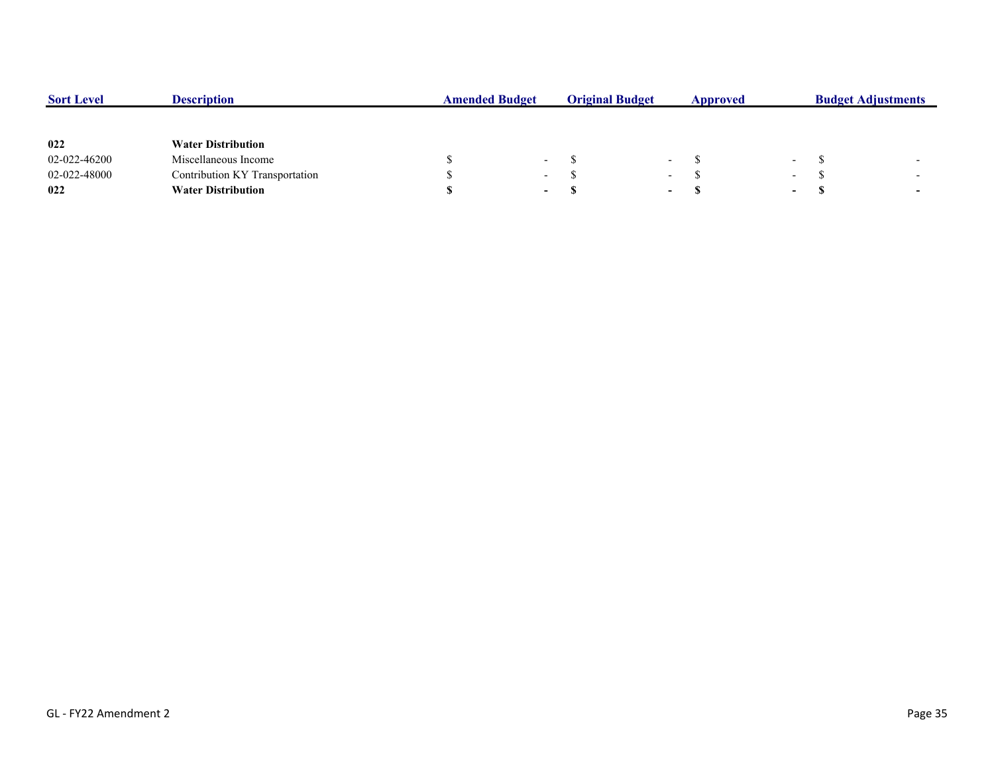| <b>Sort Level</b> | <b>Description</b>             | <b>Amended Budget</b> |                          | <b>Original Budget</b> |                          | Approved | <b>Budget Adjustments</b> |    |                          |
|-------------------|--------------------------------|-----------------------|--------------------------|------------------------|--------------------------|----------|---------------------------|----|--------------------------|
|                   |                                |                       |                          |                        |                          |          |                           |    |                          |
| 022               | <b>Water Distribution</b>      |                       |                          |                        |                          |          |                           |    |                          |
| 02-022-46200      | Miscellaneous Income           |                       | $\overline{\phantom{0}}$ |                        | $\overline{\phantom{a}}$ |          | $\sim$                    |    | $\overline{\phantom{0}}$ |
| 02-022-48000      | Contribution KY Transportation |                       | $\overline{\phantom{0}}$ |                        | $\overline{\phantom{0}}$ |          | $\sim$                    |    | $\overline{\phantom{0}}$ |
| 022               | <b>Water Distribution</b>      |                       | $\sim$                   |                        | $\overline{\phantom{0}}$ |          | $\sim$                    | J. | $\overline{\phantom{0}}$ |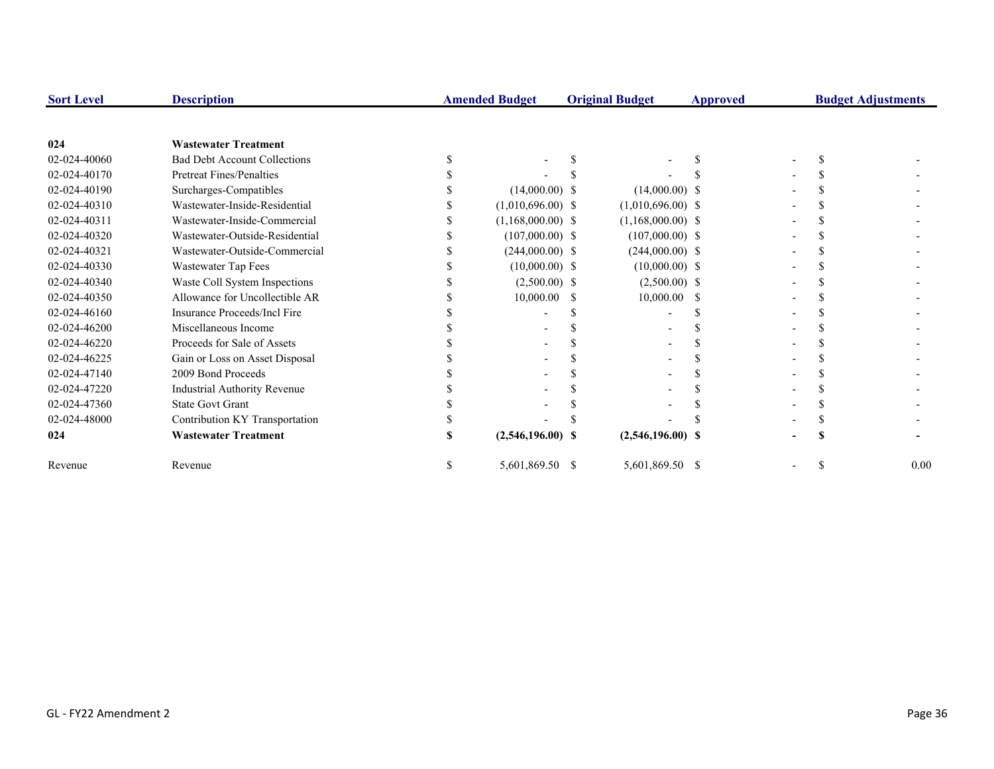| <b>Sort Level</b> | <b>Description</b>                  | <b>Amended Budget</b> |    | <b>Original Budget</b> | Approved      |  |  | <b>Budget Adjustments</b> |
|-------------------|-------------------------------------|-----------------------|----|------------------------|---------------|--|--|---------------------------|
|                   |                                     |                       |    |                        |               |  |  |                           |
| 024               | <b>Wastewater Treatment</b>         |                       |    |                        |               |  |  |                           |
| 02-024-40060      | <b>Bad Debt Account Collections</b> |                       |    |                        |               |  |  |                           |
| 02-024-40170      | Pretreat Fines/Penalties            |                       |    |                        |               |  |  |                           |
| 02-024-40190      | Surcharges-Compatibles              | $(14,000.00)$ \$      |    | $(14,000.00)$ \$       |               |  |  |                           |
| 02-024-40310      | Wastewater-Inside-Residential       | $(1,010,696.00)$ \$   |    | $(1,010,696.00)$ \$    |               |  |  |                           |
| 02-024-40311      | Wastewater-Inside-Commercial        | $(1,168,000.00)$ \$   |    | $(1,168,000.00)$ \$    |               |  |  |                           |
| 02-024-40320      | Wastewater-Outside-Residential      | $(107,000.00)$ \$     |    | $(107,000.00)$ \$      |               |  |  |                           |
| 02-024-40321      | Wastewater-Outside-Commercial       | $(244,000.00)$ \$     |    | $(244,000.00)$ \$      |               |  |  |                           |
| 02-024-40330      | Wastewater Tap Fees                 | $(10,000.00)$ \$      |    | $(10,000.00)$ \$       |               |  |  |                           |
| 02-024-40340      | Waste Coll System Inspections       | $(2,500.00)$ \$       |    | $(2,500.00)$ \$        |               |  |  |                           |
| 02-024-40350      | Allowance for Uncollectible AR      | 10,000.00             | -S | 10,000.00              | <sup>\$</sup> |  |  |                           |
| 02-024-46160      | Insurance Proceeds/Incl Fire        |                       |    |                        |               |  |  |                           |
| 02-024-46200      | Miscellaneous Income                |                       |    |                        |               |  |  |                           |
| 02-024-46220      | Proceeds for Sale of Assets         |                       |    |                        |               |  |  |                           |
| 02-024-46225      | Gain or Loss on Asset Disposal      |                       |    |                        |               |  |  |                           |
| 02-024-47140      | 2009 Bond Proceeds                  |                       |    |                        |               |  |  |                           |
| 02-024-47220      | <b>Industrial Authority Revenue</b> |                       |    |                        |               |  |  |                           |
| 02-024-47360      | <b>State Govt Grant</b>             |                       |    |                        |               |  |  |                           |
| 02-024-48000      | Contribution KY Transportation      |                       |    |                        |               |  |  |                           |
| 024               | <b>Wastewater Treatment</b>         | $(2,546,196.00)$ \$   |    | $(2,546,196.00)$ \$    |               |  |  |                           |
| Revenue           | Revenue                             | 5,601,869.50 \$       |    | 5,601,869.50 \$        |               |  |  | 0.00                      |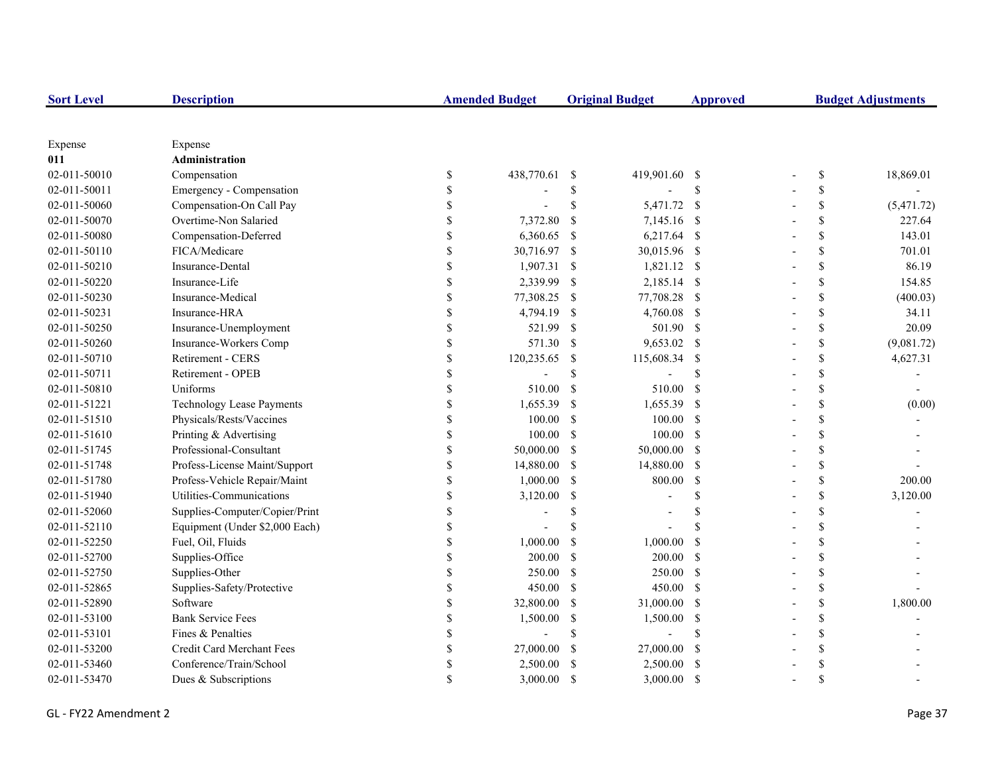| <b>Sort Level</b> | <b>Description</b>               |                    | <b>Amended Budget</b> |                           | <b>Original Budget</b> | <b>Approved</b> | <b>Budget Adjustments</b> |            |  |
|-------------------|----------------------------------|--------------------|-----------------------|---------------------------|------------------------|-----------------|---------------------------|------------|--|
|                   |                                  |                    |                       |                           |                        |                 |                           |            |  |
| Expense           | Expense                          |                    |                       |                           |                        |                 |                           |            |  |
| 011               | Administration                   |                    |                       |                           |                        |                 |                           |            |  |
| 02-011-50010      | Compensation                     | \$                 | 438,770.61            | -S                        | 419,901.60 \$          |                 | \$                        | 18,869.01  |  |
| 02-011-50011      | Emergency - Compensation         |                    |                       | \$                        |                        | \$              | \$                        |            |  |
| 02-011-50060      | Compensation-On Call Pay         | <sup>\$</sup>      |                       | \$                        | 5,471.72 \$            |                 | \$                        | (5,471.72) |  |
| 02-011-50070      | Overtime-Non Salaried            |                    | 7,372.80              | <sup>\$</sup>             | 7,145.16 \$            |                 | \$                        | 227.64     |  |
| 02-011-50080      | Compensation-Deferred            |                    | 6,360.65              | -\$                       | 6,217.64 \$            |                 | \$                        | 143.01     |  |
| 02-011-50110      | FICA/Medicare                    | $\mathbf{\hat{S}}$ | 30,716.97 \$          |                           | 30,015.96 \$           |                 | \$                        | 701.01     |  |
| 02-011-50210      | Insurance-Dental                 | \$                 | $1,907.31$ \$         |                           | 1,821.12 \$            |                 | \$                        | 86.19      |  |
| 02-011-50220      | Insurance-Life                   | \$                 | 2,339.99              | -\$                       | 2,185.14 \$            |                 | \$                        | 154.85     |  |
| 02-011-50230      | Insurance-Medical                | \$                 | 77,308.25             | -S                        | 77,708.28 \$           |                 | \$                        | (400.03)   |  |
| 02-011-50231      | Insurance-HRA                    | \$                 | 4,794.19              | -S                        | 4,760.08 \$            |                 | \$                        | 34.11      |  |
| 02-011-50250      | Insurance-Unemployment           | \$                 | 521.99                | $\boldsymbol{\mathsf{S}}$ | 501.90 \$              |                 | \$                        | 20.09      |  |
| 02-011-50260      | Insurance-Workers Comp           | \$                 | 571.30                | <sup>S</sup>              | 9,653.02 \$            |                 | \$                        | (9,081.72) |  |
| 02-011-50710      | Retirement - CERS                | \$                 | 120,235.65            | -S                        | 115,608.34             | -S              | \$                        | 4,627.31   |  |
| 02-011-50711      | Retirement - OPEB                |                    |                       | \$                        |                        | $\mathcal{S}$   | \$                        |            |  |
| 02-011-50810      | Uniforms                         |                    | 510.00                | $\mathcal{S}$             | 510.00                 | - \$            | \$                        |            |  |
| 02-011-51221      | <b>Technology Lease Payments</b> |                    | 1,655.39              | -S                        | 1,655.39               | - \$            | \$                        | (0.00)     |  |
| 02-011-51510      | Physicals/Rests/Vaccines         |                    | 100.00                | $\mathcal{S}$             | 100.00 S               |                 | \$                        |            |  |
| 02-011-51610      | Printing & Advertising           | \$                 | 100.00                | <sup>S</sup>              | $100.00$ \$            |                 | \$                        |            |  |
| 02-011-51745      | Professional-Consultant          | \$                 | 50,000.00             | -S                        | 50,000.00 \$           |                 | \$                        |            |  |
| 02-011-51748      | Profess-License Maint/Support    | \$                 | 14,880.00             | -\$                       | 14,880.00 \$           |                 | \$                        |            |  |
| 02-011-51780      | Profess-Vehicle Repair/Maint     | \$                 | 1,000.00              | -S                        | 800.00                 | $\mathbf{s}$    | \$                        | 200.00     |  |
| 02-011-51940      | Utilities-Communications         | \$                 | 3,120.00              | <sup>\$</sup>             |                        | $\mathcal{S}$   | \$                        | 3,120.00   |  |
| 02-011-52060      | Supplies-Computer/Copier/Print   | \$                 |                       | <sup>\$</sup>             |                        | $\mathcal{S}$   | \$                        |            |  |
| 02-011-52110      | Equipment (Under \$2,000 Each)   | \$                 |                       | \$                        |                        | $\mathcal{S}$   | \$                        |            |  |
| 02-011-52250      | Fuel, Oil, Fluids                | <sup>\$</sup>      | 1,000.00              | <sup>\$</sup>             | 1,000.00               | <sup>\$</sup>   | \$                        |            |  |
| 02-011-52700      | Supplies-Office                  |                    | 200.00                | <sup>\$</sup>             | $200.00$ \$            |                 | \$                        |            |  |
| 02-011-52750      | Supplies-Other                   | \$                 | 250.00                | $\mathbb{S}$              | 250.00 \$              |                 | \$                        |            |  |
| 02-011-52865      | Supplies-Safety/Protective       |                    | 450.00                | -S                        | 450.00 \$              |                 | \$                        |            |  |
| 02-011-52890      | Software                         |                    | 32,800.00             | <sup>\$</sup>             | 31,000.00 \$           |                 | \$                        | 1,800.00   |  |
| 02-011-53100      | <b>Bank Service Fees</b>         | \$                 | 1,500.00              | \$                        | 1,500.00               | - \$            | \$                        |            |  |
| 02-011-53101      | Fines & Penalties                | \$                 |                       | \$                        |                        | <sup>\$</sup>   | \$                        |            |  |
| 02-011-53200      | Credit Card Merchant Fees        | \$                 | 27,000.00             | -S                        | 27,000.00              | -S              | \$                        |            |  |
| 02-011-53460      | Conference/Train/School          | \$                 | 2,500.00              | S                         | 2,500.00               | - \$            | \$                        |            |  |
| 02-011-53470      | Dues & Subscriptions             |                    | 3,000.00              | <sup>\$</sup>             | 3,000.00               | -S              | $\mathbf S$               |            |  |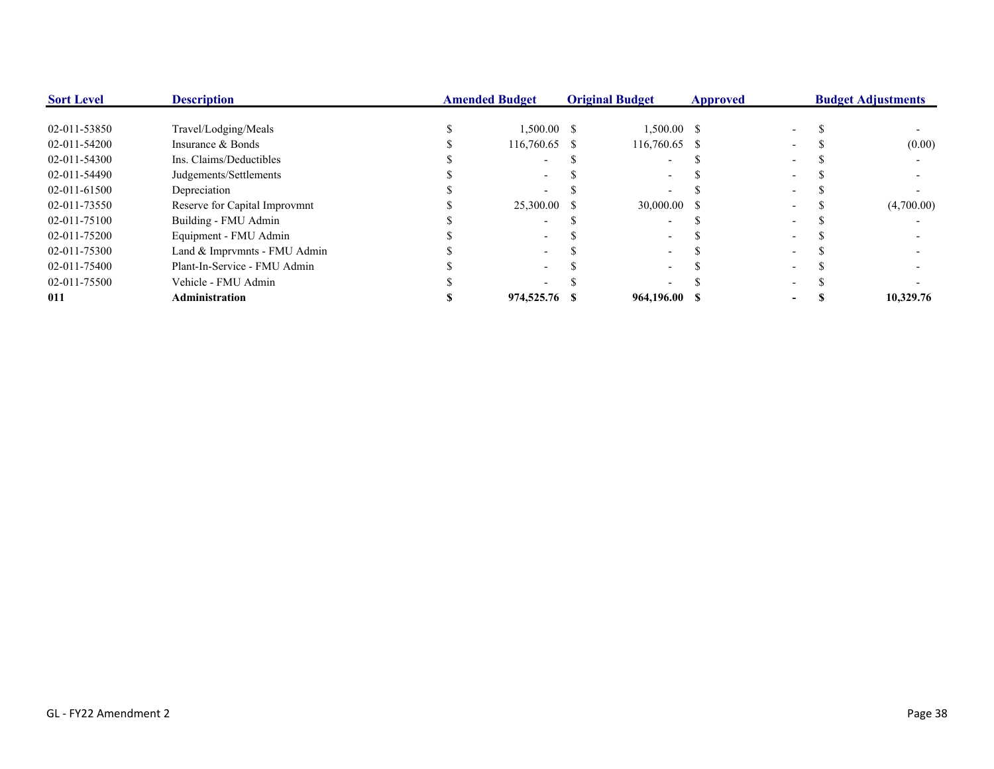| <b>Sort Level</b> | <b>Description</b>            | <b>Amended Budget</b> |               |    | <b>Original Budget</b> | <b>Approved</b> |  | <b>Budget Adjustments</b> |            |  |
|-------------------|-------------------------------|-----------------------|---------------|----|------------------------|-----------------|--|---------------------------|------------|--|
| 02-011-53850      | Travel/Lodging/Meals          |                       | $1,500.00$ \$ |    | $1,500.00$ \$          |                 |  |                           |            |  |
| 02-011-54200      | Insurance & Bonds             |                       | 116,760.65 \$ |    | 116,760.65 \$          |                 |  |                           | (0.00)     |  |
| 02-011-54300      | Ins. Claims/Deductibles       |                       |               |    |                        |                 |  |                           |            |  |
| 02-011-54490      | Judgements/Settlements        |                       |               |    |                        |                 |  |                           |            |  |
| 02-011-61500      | Depreciation                  |                       |               |    |                        |                 |  |                           |            |  |
| 02-011-73550      | Reserve for Capital Improvmnt |                       | 25,300.00     | -8 | 30,000.00 \$           |                 |  |                           | (4,700.00) |  |
| 02-011-75100      | Building - FMU Admin          |                       |               |    |                        |                 |  |                           |            |  |
| 02-011-75200      | Equipment - FMU Admin         |                       |               |    |                        |                 |  |                           |            |  |
| 02-011-75300      | Land & Imprymnts - FMU Admin  |                       |               |    |                        |                 |  |                           |            |  |
| 02-011-75400      | Plant-In-Service - FMU Admin  |                       |               |    |                        |                 |  |                           |            |  |
| 02-011-75500      | Vehicle - FMU Admin           |                       |               |    |                        |                 |  |                           |            |  |
| 011               | <b>Administration</b>         |                       | 974,525.76    |    | 964,196.00 \$          |                 |  |                           | 10,329.76  |  |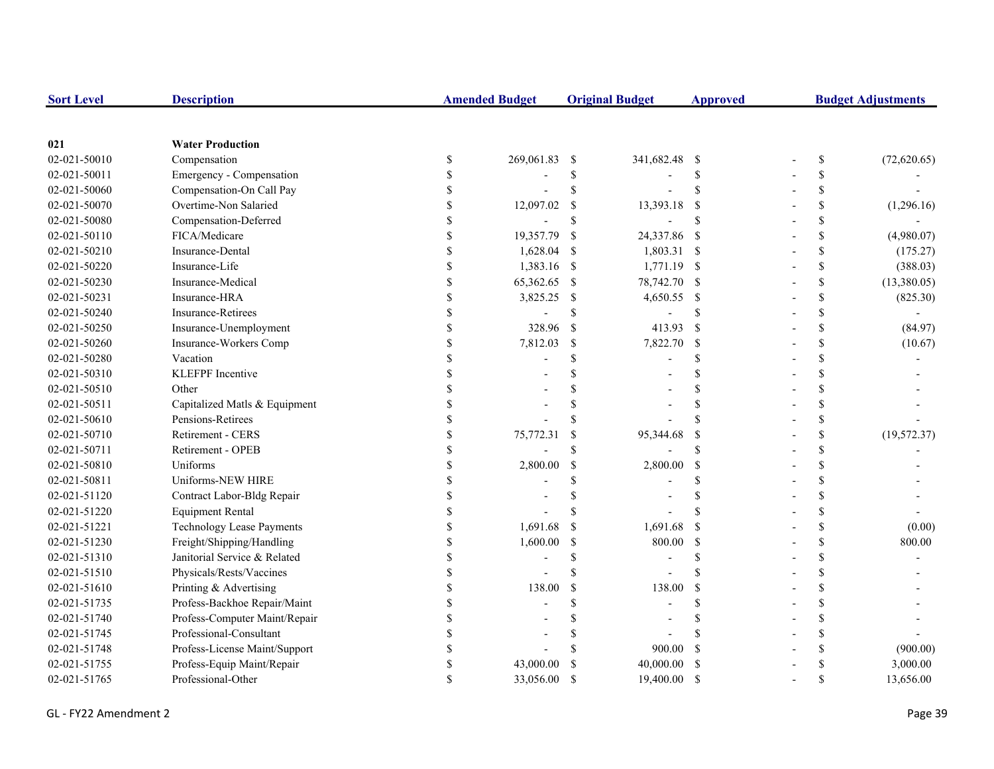| <b>Sort Level</b> | <b>Description</b>            |               | <b>Amended Budget</b>    |               | <b>Original Budget</b> | <b>Approved</b>    | <b>Budget Adjustments</b>                                             |              |  |
|-------------------|-------------------------------|---------------|--------------------------|---------------|------------------------|--------------------|-----------------------------------------------------------------------|--------------|--|
|                   |                               |               |                          |               |                        |                    |                                                                       |              |  |
| 021               | <b>Water Production</b>       |               |                          |               |                        |                    |                                                                       |              |  |
| 02-021-50010      | Compensation                  | $\$$          | 269,061.83               | -S            | 341,682.48 \$          |                    | $\mathbb{S}% _{t}\left( t\right) \equiv\mathbb{S}_{t}\left( t\right)$ | (72,620.65)  |  |
| 02-021-50011      | Emergency - Compensation      | \$            |                          | \$            |                        | <sup>\$</sup>      | \$                                                                    |              |  |
| 02-021-50060      | Compensation-On Call Pay      | S             |                          | \$            |                        | \$                 | \$                                                                    |              |  |
| 02-021-50070      | Overtime-Non Salaried         |               | 12,097.02                | \$            | 13,393.18              | <sup>\$</sup>      | \$                                                                    | (1,296.16)   |  |
| 02-021-50080      | Compensation-Deferred         |               | $\overline{\phantom{a}}$ | $\mathbb{S}$  |                        | <sup>\$</sup>      | \$                                                                    |              |  |
| 02-021-50110      | FICA/Medicare                 |               | 19,357.79                | -\$           | 24,337.86              | - \$               | \$                                                                    | (4,980.07)   |  |
| 02-021-50210      | Insurance-Dental              |               | 1,628.04                 | -S            | 1,803.31 \$            |                    | \$                                                                    | (175.27)     |  |
| 02-021-50220      | Insurance-Life                |               | 1,383.16 \$              |               | 1,771.19 \$            |                    | \$                                                                    | (388.03)     |  |
| 02-021-50230      | Insurance-Medical             |               | 65,362.65                | -\$           | 78,742.70 \$           |                    | \$                                                                    | (13,380.05)  |  |
| 02-021-50231      | Insurance-HRA                 | \$            | 3,825.25                 | -S            | 4,650.55 \$            |                    | \$                                                                    | (825.30)     |  |
| 02-021-50240      | <b>Insurance-Retirees</b>     | \$            |                          | \$            |                        | <sup>\$</sup>      | \$                                                                    |              |  |
| 02-021-50250      | Insurance-Unemployment        | \$            | 328.96                   | <sup>S</sup>  | 413.93                 | <sup>\$</sup>      | \$                                                                    | (84.97)      |  |
| 02-021-50260      | Insurance-Workers Comp        | \$            | 7,812.03                 | $\mathbb{S}$  | 7,822.70               | <sup>\$</sup>      | \$                                                                    | (10.67)      |  |
| 02-021-50280      | Vacation                      |               |                          | \$.           |                        | $\mathcal{S}$      | \$                                                                    |              |  |
| 02-021-50310      | <b>KLEFPF</b> Incentive       |               |                          |               |                        |                    | \$                                                                    |              |  |
| 02-021-50510      | Other                         |               |                          |               |                        | <sup>\$</sup>      | \$                                                                    |              |  |
| 02-021-50511      | Capitalized Matls & Equipment |               |                          |               |                        | $\mathcal{S}$      | \$                                                                    |              |  |
| 02-021-50610      | Pensions-Retirees             |               |                          |               |                        |                    | \$                                                                    |              |  |
| 02-021-50710      | Retirement - CERS             |               | 75,772.31                |               | 95,344.68              | \$                 | \$                                                                    | (19, 572.37) |  |
| 02-021-50711      | Retirement - OPEB             |               |                          | \$.           |                        | $\mathbf{\hat{S}}$ | \$                                                                    |              |  |
| 02-021-50810      | Uniforms                      |               | 2,800.00                 | <sup>\$</sup> | 2,800.00               | <sup>\$</sup>      | \$                                                                    |              |  |
| 02-021-50811      | Uniforms-NEW HIRE             | <sup>\$</sup> |                          | \$            |                        | <sup>\$</sup>      | \$                                                                    |              |  |
| 02-021-51120      | Contract Labor-Bldg Repair    | \$            |                          | \$            |                        | <sup>\$</sup>      | \$                                                                    |              |  |
| 02-021-51220      | <b>Equipment Rental</b>       |               |                          |               |                        |                    | \$                                                                    |              |  |
| 02-021-51221      | Technology Lease Payments     |               | 1,691.68                 | <sup>\$</sup> | 1,691.68               | <sup>\$</sup>      | \$                                                                    | (0.00)       |  |
| 02-021-51230      | Freight/Shipping/Handling     | \$            | 1,600.00                 | <sup>S</sup>  | 800.00                 | <sup>\$</sup>      | \$                                                                    | 800.00       |  |
| 02-021-51310      | Janitorial Service & Related  |               |                          | $\mathcal{S}$ |                        | $\mathbf{\hat{S}}$ | \$                                                                    |              |  |
| 02-021-51510      | Physicals/Rests/Vaccines      |               |                          | $\mathcal{S}$ |                        | \$.                | \$                                                                    |              |  |
| 02-021-51610      | Printing & Advertising        |               | 138.00                   | <sup>\$</sup> | 138.00                 | <sup>\$</sup>      | \$                                                                    |              |  |
| 02-021-51735      | Profess-Backhoe Repair/Maint  |               |                          | \$.           |                        | $\mathcal{S}$      | \$                                                                    |              |  |
| 02-021-51740      | Profess-Computer Maint/Repair |               |                          |               |                        | <sup>\$</sup>      | \$                                                                    |              |  |
| 02-021-51745      | Professional-Consultant       |               |                          |               |                        |                    | \$                                                                    |              |  |
| 02-021-51748      | Profess-License Maint/Support |               |                          |               | 900.00                 | <sup>\$</sup>      | \$                                                                    | (900.00)     |  |
| 02-021-51755      | Profess-Equip Maint/Repair    | \$.           | 43,000.00                |               | 40,000.00              | <sup>\$</sup>      | \$                                                                    | 3,000.00     |  |
| 02-021-51765      | Professional-Other            |               | 33,056.00                | $\mathcal{S}$ | 19,400.00              | <sup>\$</sup>      | \$                                                                    | 13,656.00    |  |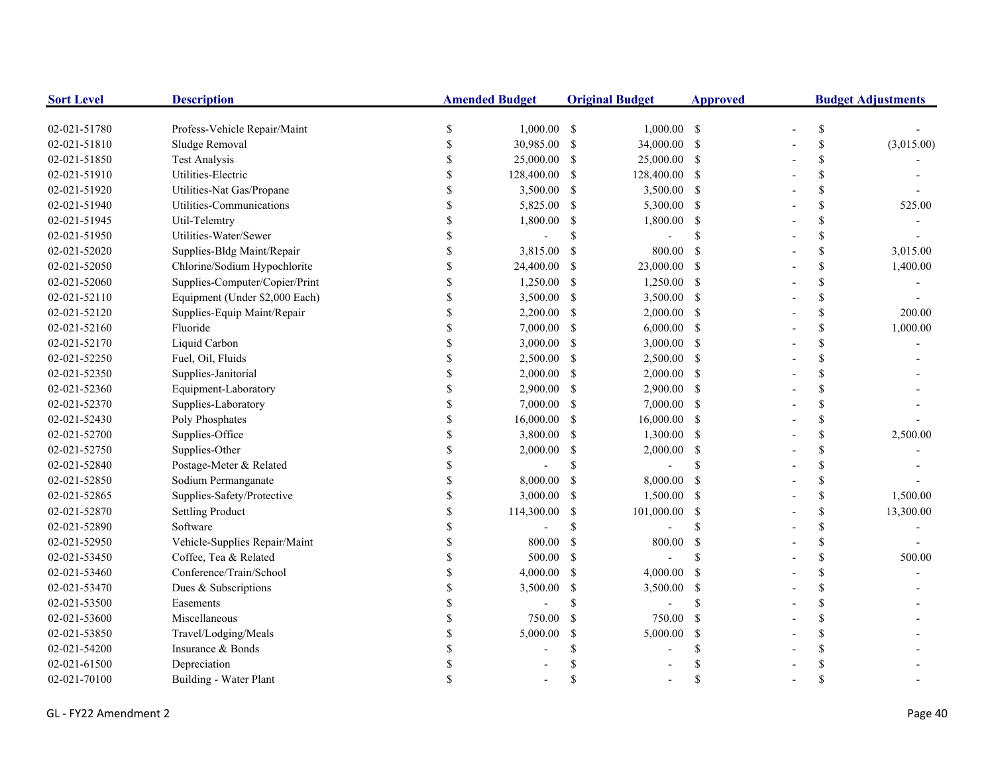| <b>Sort Level</b> | <b>Description</b>             | <b>Amended Budget</b> |               | <b>Original Budget</b>    |                | <b>Approved</b> | <b>Budget Adjustments</b> |               |            |
|-------------------|--------------------------------|-----------------------|---------------|---------------------------|----------------|-----------------|---------------------------|---------------|------------|
| 02-021-51780      | Profess-Vehicle Repair/Maint   | \$                    | $1,000.00$ \$ |                           | $1,000.00$ \$  |                 |                           | $\mathbb{S}$  |            |
| 02-021-51810      | Sludge Removal                 | \$                    | 30,985.00     | -\$                       | 34,000.00 \$   |                 |                           | $\mathcal{S}$ | (3,015.00) |
| 02-021-51850      | <b>Test Analysis</b>           | \$                    | 25,000.00     | -S                        | 25,000.00 \$   |                 |                           | \$            |            |
| 02-021-51910      | Utilities-Electric             | \$                    | 128,400.00    | -S                        | 128,400.00 \$  |                 |                           | $\mathcal{S}$ |            |
| 02-021-51920      | Utilities-Nat Gas/Propane      |                       | 3,500.00      | -S                        | 3,500.00 \$    |                 |                           | $\mathcal{S}$ |            |
| 02-021-51940      | Utilities-Communications       | \$                    | 5,825.00      | -S                        | 5,300.00 \$    |                 |                           | \$            | 525.00     |
| 02-021-51945      | Util-Telemtry                  | \$                    | 1,800.00      | -S                        | 1,800.00 \$    |                 |                           | $\mathsf{\$}$ |            |
| 02-021-51950      | Utilities-Water/Sewer          | \$                    |               | \$                        |                | <sup>\$</sup>   |                           | $\mathsf{\$}$ |            |
| 02-021-52020      | Supplies-Bldg Maint/Repair     | \$                    | 3,815.00      | <sup>\$</sup>             | 800.00         | -S              |                           | \$            | 3,015.00   |
| 02-021-52050      | Chlorine/Sodium Hypochlorite   | \$                    | 24,400.00     | -S                        | 23,000.00 \$   |                 |                           | $\mathbb S$   | 1,400.00   |
| 02-021-52060      | Supplies-Computer/Copier/Print | \$                    | 1,250.00      | -S                        | $1,250.00$ \$  |                 |                           | \$            |            |
| 02-021-52110      | Equipment (Under \$2,000 Each) | \$                    | 3,500.00      | -S                        | 3,500.00 \$    |                 |                           | \$            |            |
| 02-021-52120      | Supplies-Equip Maint/Repair    | \$                    | 2,200.00      | -S                        | $2,000.00$ \$  |                 |                           | \$            | 200.00     |
| 02-021-52160      | Fluoride                       | \$                    | 7,000.00      | -\$                       | $6,000.00$ \$  |                 |                           | \$            | 1,000.00   |
| 02-021-52170      | Liquid Carbon                  |                       | 3,000.00      | -\$                       | $3,000.00$ \$  |                 |                           | $\mathsf{\$}$ |            |
| 02-021-52250      | Fuel, Oil, Fluids              | <sup>\$</sup>         | 2,500.00      | -S                        | 2,500.00 \$    |                 |                           | $\mathcal{S}$ |            |
| 02-021-52350      | Supplies-Janitorial            |                       | 2,000.00      | <sup>\$</sup>             | $2,000.00$ \$  |                 |                           | $\mathcal{S}$ |            |
| 02-021-52360      | Equipment-Laboratory           |                       | 2,900.00      | -S                        | 2,900.00 \$    |                 |                           | $\mathcal{S}$ |            |
| 02-021-52370      | Supplies-Laboratory            | \$                    | 7,000.00      | -S                        | $7,000.00$ \$  |                 |                           | \$            |            |
| 02-021-52430      | Poly Phosphates                | \$                    | 16,000.00     | - \$                      | 16,000.00 \$   |                 |                           | $\mathsf{\$}$ |            |
| 02-021-52700      | Supplies-Office                | \$                    | 3,800.00      | -S                        | 1,300.00 \$    |                 |                           | $\mathsf{\$}$ | 2,500.00   |
| 02-021-52750      | Supplies-Other                 | \$                    | 2,000.00      | $\boldsymbol{\mathsf{S}}$ | $2,000.00$ \$  |                 |                           | \$            |            |
| 02-021-52840      | Postage-Meter & Related        | \$                    |               | \$                        |                | S               |                           | $\mathsf{\$}$ |            |
| 02-021-52850      | Sodium Permanganate            | \$                    | 8,000.00      | -S                        | 8,000.00 \$    |                 |                           | $\mathcal{S}$ |            |
| 02-021-52865      | Supplies-Safety/Protective     | \$                    | 3,000.00      | -S                        | 1,500.00 \$    |                 |                           | \$            | 1,500.00   |
| 02-021-52870      | <b>Settling Product</b>        | \$                    | 114,300.00    | -S                        | 101,000.00 \$  |                 |                           | \$            | 13,300.00  |
| 02-021-52890      | Software                       | \$                    |               | \$                        |                | \$              |                           | \$            |            |
| 02-021-52950      | Vehicle-Supplies Repair/Maint  | \$                    | 800.00        | <sup>\$</sup>             | 800.00         | -\$             |                           | $\mathcal{S}$ |            |
| 02-021-53450      | Coffee, Tea & Related          | <sup>\$</sup>         | 500.00        | <sup>\$</sup>             | $\overline{a}$ | <sup>\$</sup>   |                           | \$            | 500.00     |
| 02-021-53460      | Conference/Train/School        | \$                    | 4,000.00      | <sup>\$</sup>             | 4,000.00       | -S              |                           | $\mathcal{S}$ |            |
| 02-021-53470      | Dues & Subscriptions           |                       | 3,500.00      | \$                        | 3,500.00       | -\$             |                           | $\mathcal{S}$ |            |
| 02-021-53500      | Easements                      |                       |               | \$                        |                | <sup>\$</sup>   |                           | $\mathcal{S}$ |            |
| 02-021-53600      | Miscellaneous                  | \$                    | 750.00        | <sup>\$</sup>             | 750.00         | -S              |                           | $\mathcal{S}$ |            |
| 02-021-53850      | Travel/Lodging/Meals           | \$                    | 5,000.00      | <sup>\$</sup>             | 5,000.00       | -\$             |                           | $\mathsf{\$}$ |            |
| 02-021-54200      | Insurance & Bonds              | \$                    |               | \$                        |                | <sup>\$</sup>   |                           | $\mathbf S$   |            |
| 02-021-61500      | Depreciation                   | S                     |               |                           |                |                 |                           | \$            |            |
| 02-021-70100      | Building - Water Plant         |                       |               | \$                        |                | \$              |                           | $\mathcal{S}$ |            |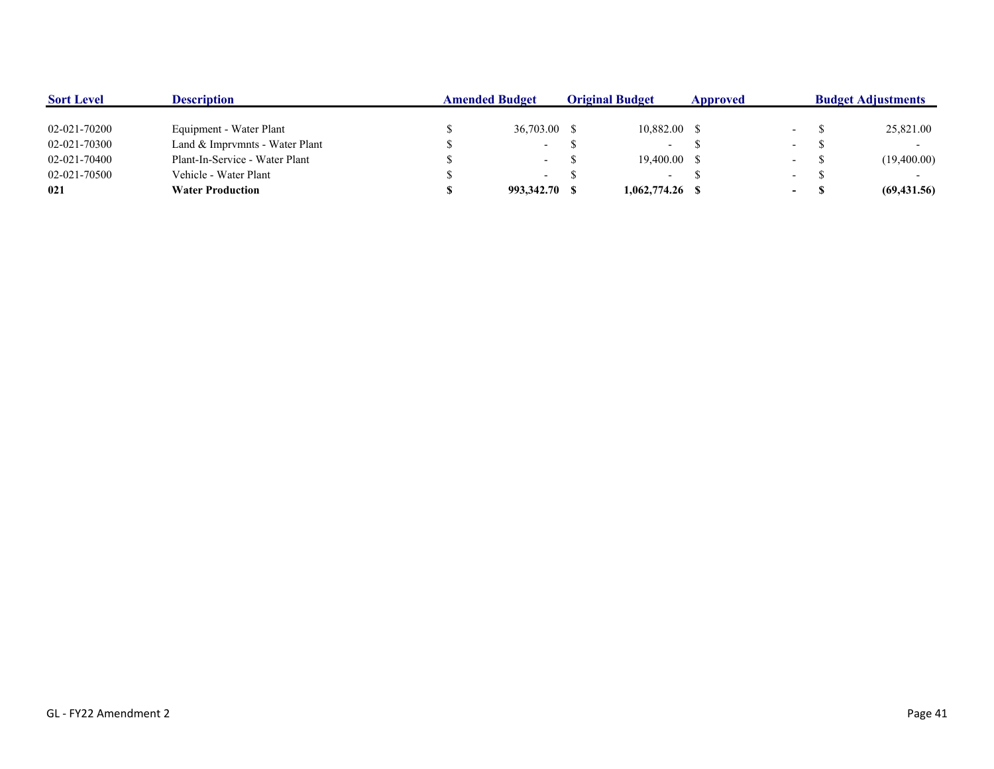| <b>Sort Level</b> | <b>Description</b>             | <b>Amended Budget</b> |               | <b>Original Budget</b> |                 | Approved |                  | <b>Budget Adjustments</b> |              |  |
|-------------------|--------------------------------|-----------------------|---------------|------------------------|-----------------|----------|------------------|---------------------------|--------------|--|
|                   |                                |                       |               |                        |                 |          |                  |                           |              |  |
| 02-021-70200      | Equipment - Water Plant        |                       | 36,703.00 \$  |                        | $10,882.00$ \$  |          | $\sim$ 100 $\mu$ |                           | 25,821.00    |  |
| 02-021-70300      | Land & Imprymnts - Water Plant |                       | $\sim$        |                        | $\sim$          |          | $\sim$ $-$       |                           |              |  |
| 02-021-70400      | Plant-In-Service - Water Plant |                       | $\sim$        |                        | 19.400.00 \$    |          | $\sim$ $-$       |                           | (19,400.00)  |  |
| 02-021-70500      | Vehicle - Water Plant          |                       | $\sim$        |                        | $\sim$          |          | $\sim$ 100 $\mu$ |                           |              |  |
| 021               | <b>Water Production</b>        |                       | 993,342.70 \$ |                        | 1,062,774.26 \$ |          | $\sim$ 100 $\mu$ |                           | (69, 431.56) |  |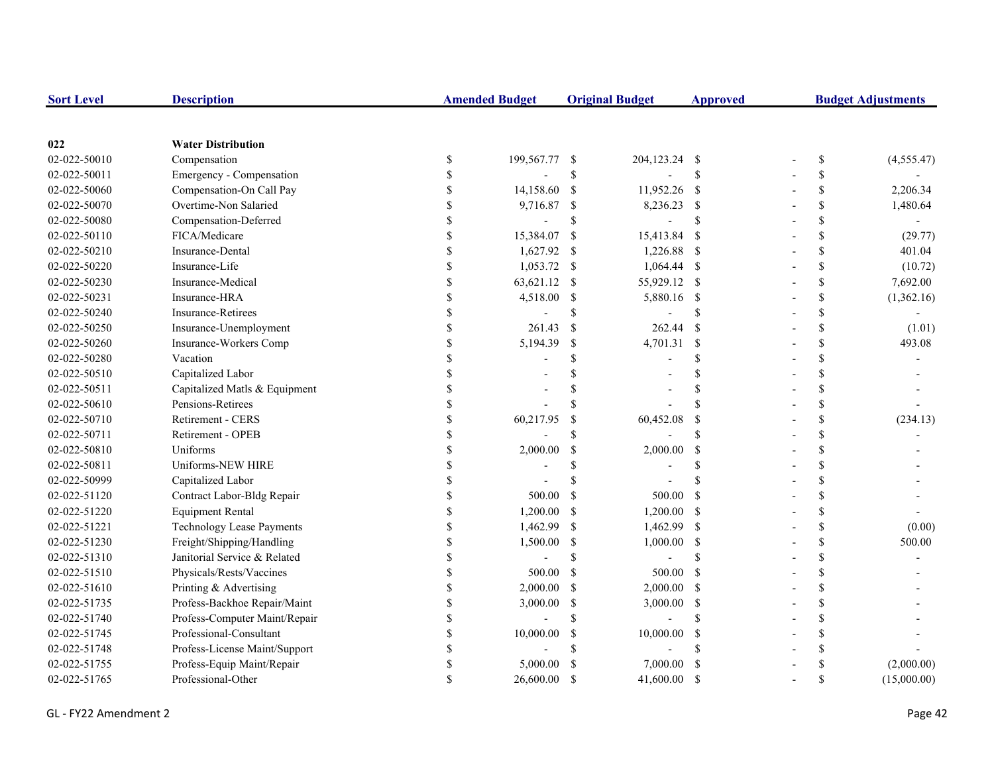| <b>Sort Level</b> | <b>Description</b>               |                    | <b>Amended Budget</b>    |               | <b>Original Budget</b> | <b>Approved</b> | <b>Budget Adjustments</b> |             |  |
|-------------------|----------------------------------|--------------------|--------------------------|---------------|------------------------|-----------------|---------------------------|-------------|--|
|                   |                                  |                    |                          |               |                        |                 |                           |             |  |
| 022               | <b>Water Distribution</b>        |                    |                          |               |                        |                 |                           |             |  |
| 02-022-50010      | Compensation                     | \$                 | 199,567.77               | -\$           | 204,123.24 \$          |                 | \$                        | (4,555.47)  |  |
| 02-022-50011      | Emergency - Compensation         | \$                 |                          | \$            |                        | $\mathbf S$     | \$                        |             |  |
| 02-022-50060      | Compensation-On Call Pay         | \$                 | 14,158.60                | <sup>\$</sup> | 11,952.26 \$           |                 | \$                        | 2,206.34    |  |
| 02-022-50070      | Overtime-Non Salaried            | <sup>\$</sup>      | 9,716.87                 | \$            | 8,236.23 \$            |                 | \$                        | 1,480.64    |  |
| 02-022-50080      | Compensation-Deferred            |                    | $\overline{\phantom{a}}$ | \$            |                        | \$              | \$                        |             |  |
| 02-022-50110      | FICA/Medicare                    | \$                 | 15,384.07                | \$            | 15,413.84              | - \$            | \$                        | (29.77)     |  |
| 02-022-50210      | Insurance-Dental                 | \$                 | 1,627.92                 | $\mathcal{S}$ | 1,226.88 \$            |                 | \$                        | 401.04      |  |
| 02-022-50220      | Insurance-Life                   | $\mathbf{\hat{S}}$ | 1,053.72                 | \$            | 1,064.44 \$            |                 | $\mathbf S$               | (10.72)     |  |
| 02-022-50230      | Insurance-Medical                | $\mathbf S$        | 63,621.12                | <sup>\$</sup> | 55,929.12 \$           |                 | $\mathbb{S}$              | 7,692.00    |  |
| 02-022-50231      | Insurance-HRA                    | \$                 | 4,518.00                 | <sup>\$</sup> | 5,880.16 \$            |                 | \$                        | (1,362.16)  |  |
| 02-022-50240      | Insurance-Retirees               | \$                 |                          | \$            |                        | \$              | \$                        |             |  |
| 02-022-50250      | Insurance-Unemployment           | \$                 | 261.43                   | <sup>\$</sup> | 262.44                 | -\$             | \$                        | (1.01)      |  |
| 02-022-50260      | Insurance-Workers Comp           | \$                 | 5,194.39                 | \$            | 4,701.31               | -S              | \$                        | 493.08      |  |
| 02-022-50280      | Vacation                         |                    |                          | $\mathcal{S}$ |                        | \$              | \$                        |             |  |
| 02-022-50510      | Capitalized Labor                |                    |                          | \$            |                        | \$              | \$                        |             |  |
| 02-022-50511      | Capitalized Matls & Equipment    |                    |                          | <sup>\$</sup> |                        | \$              | \$                        |             |  |
| 02-022-50610      | Pensions-Retirees                |                    |                          | \$            |                        | \$              |                           |             |  |
| 02-022-50710      | Retirement - CERS                |                    | 60,217.95                | $\mathcal{S}$ | 60,452.08              | <sup>\$</sup>   | \$                        | (234.13)    |  |
| 02-022-50711      | Retirement - OPEB                | $\mathcal{S}$      |                          | \$            |                        | \$              | $\mathcal{S}$             |             |  |
| 02-022-50810      | Uniforms                         | $\mathbf{\hat{S}}$ | 2,000.00                 | $\mathcal{S}$ | 2,000.00               | $\mathcal{S}$   | $\mathbf S$               |             |  |
| 02-022-50811      | Uniforms-NEW HIRE                | \$                 |                          | <sup>\$</sup> |                        | \$              | \$                        |             |  |
| 02-022-50999      | Capitalized Labor                | <sup>\$</sup>      |                          | \$            |                        | \$              | \$                        |             |  |
| 02-022-51120      | Contract Labor-Bldg Repair       | \$                 | 500.00                   | <sup>\$</sup> | 500.00                 | $\mathcal{S}$   | \$                        |             |  |
| 02-022-51220      | <b>Equipment Rental</b>          | \$                 | 1,200.00                 | <sup>\$</sup> | 1,200.00               | - \$            | \$                        |             |  |
| 02-022-51221      | <b>Technology Lease Payments</b> | \$                 | 1,462.99                 | <sup>\$</sup> | 1,462.99 \$            |                 | \$                        | (0.00)      |  |
| 02-022-51230      | Freight/Shipping/Handling        | \$                 | 1,500.00                 | <sup>\$</sup> | 1,000.00               | $\mathcal{S}$   | \$                        | 500.00      |  |
| 02-022-51310      | Janitorial Service & Related     |                    |                          | \$            |                        | \$              | \$                        |             |  |
| 02-022-51510      | Physicals/Rests/Vaccines         |                    | 500.00                   | <sup>\$</sup> | 500.00                 | -S              |                           |             |  |
| 02-022-51610      | Printing & Advertising           | $\mathcal{S}$      | 2,000.00                 | \$            | 2,000.00 \$            |                 | \$                        |             |  |
| 02-022-51735      | Profess-Backhoe Repair/Maint     | $\mathbf{\hat{S}}$ | 3,000.00                 | \$            | 3,000.00               | - \$            | $\mathcal{S}$             |             |  |
| 02-022-51740      | Profess-Computer Maint/Repair    | $\mathbf S$        |                          | $\mathcal{S}$ |                        | \$              | $\mathcal{S}$             |             |  |
| 02-022-51745      | Professional-Consultant          | \$                 | 10,000.00                | \$            | 10,000.00              | -S              | \$                        |             |  |
| 02-022-51748      | Profess-License Maint/Support    | <sup>\$</sup>      |                          | <sup>\$</sup> |                        | \$              |                           |             |  |
| 02-022-51755      | Profess-Equip Maint/Repair       |                    | 5,000.00                 | <sup>\$</sup> | 7,000.00               | <sup>\$</sup>   |                           | (2,000.00)  |  |
| 02-022-51765      | Professional-Other               | \$                 | 26,600.00                | <sup>S</sup>  | 41,600.00              | -S              | <sup>\$</sup>             | (15,000.00) |  |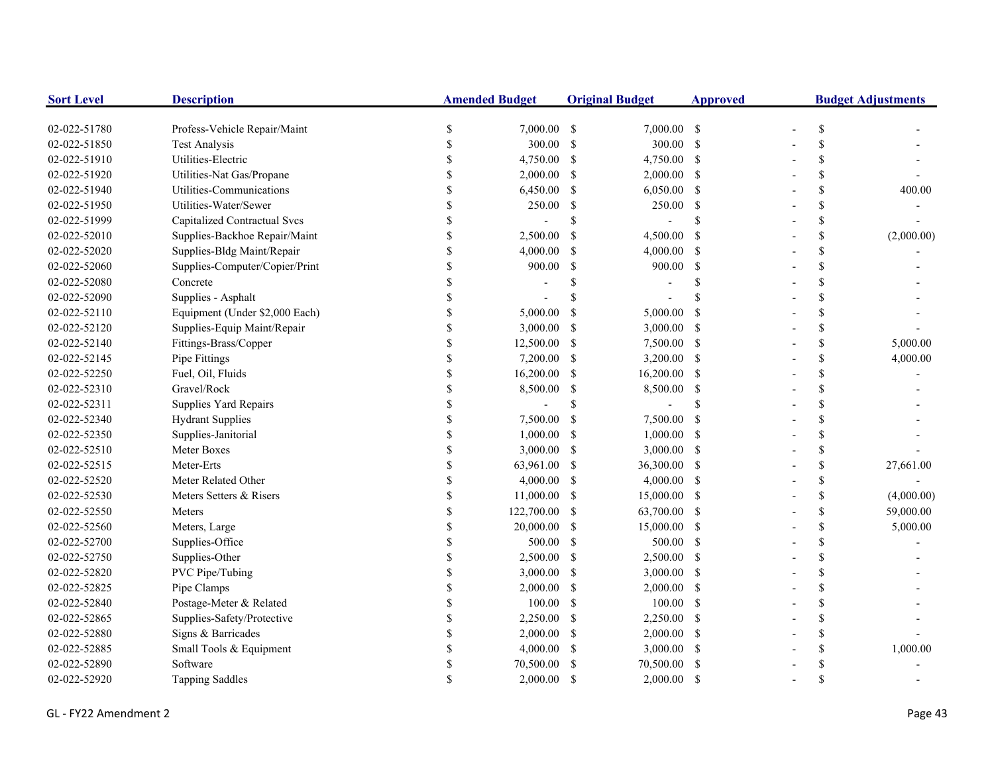| <b>Sort Level</b> | <b>Description</b>                  | <b>Amended Budget</b> |             | <b>Original Budget</b> |                | <b>Approved</b> | <b>Budget Adjustments</b> |                           |            |
|-------------------|-------------------------------------|-----------------------|-------------|------------------------|----------------|-----------------|---------------------------|---------------------------|------------|
| 02-022-51780      | Profess-Vehicle Repair/Maint        | $\$$                  | 7,000.00 \$ |                        | 7,000.00 \$    |                 |                           | $\mathbb{S}$              |            |
| 02-022-51850      | <b>Test Analysis</b>                | \$                    | 300.00      | - \$                   | 300.00 \$      |                 |                           | \$                        |            |
| 02-022-51910      | Utilities-Electric                  | \$                    | 4,750.00    | -S                     | 4,750.00 \$    |                 |                           | \$                        |            |
| 02-022-51920      | Utilities-Nat Gas/Propane           | \$                    | 2,000.00    | -S                     | $2,000.00$ \$  |                 |                           | \$                        |            |
| 02-022-51940      | Utilities-Communications            |                       | 6,450.00    | \$                     | $6,050.00$ \$  |                 |                           | $\boldsymbol{\mathsf{S}}$ | 400.00     |
| 02-022-51950      | Utilities-Water/Sewer               | \$                    | 250.00      | -\$                    | $250.00$ \$    |                 |                           | \$                        |            |
| 02-022-51999      | <b>Capitalized Contractual Svcs</b> | \$                    |             | <sup>\$</sup>          |                | \$              |                           | \$                        |            |
| 02-022-52010      | Supplies-Backhoe Repair/Maint       | \$                    | 2,500.00    | <sup>\$</sup>          | 4,500.00       | -\$             |                           | \$                        | (2,000.00) |
| 02-022-52020      | Supplies-Bldg Maint/Repair          | \$                    | 4,000.00    | S                      | 4,000.00 \$    |                 |                           | $\mathcal{S}$             |            |
| 02-022-52060      | Supplies-Computer/Copier/Print      | \$                    | 900.00      | <sup>\$</sup>          | 900.00         | -\$             |                           | \$                        |            |
| 02-022-52080      | Concrete                            | \$                    |             | S                      |                | <sup>\$</sup>   |                           | $\boldsymbol{\mathsf{S}}$ |            |
| 02-022-52090      | Supplies - Asphalt                  | \$                    |             |                        |                |                 |                           | \$                        |            |
| 02-022-52110      | Equipment (Under \$2,000 Each)      | \$                    | 5,000.00    | <sup>\$</sup>          | 5,000.00       | -S              |                           | \$                        |            |
| 02-022-52120      | Supplies-Equip Maint/Repair         | \$                    | 3,000.00    | -S                     | $3,000.00$ \$  |                 |                           | $\boldsymbol{\mathsf{S}}$ |            |
| 02-022-52140      | Fittings-Brass/Copper               | \$                    | 12,500.00   | -S                     | 7,500.00 \$    |                 |                           | \$                        | 5,000.00   |
| 02-022-52145      | Pipe Fittings                       | \$                    | 7,200.00    | -S                     | 3,200.00 \$    |                 |                           | \$                        | 4,000.00   |
| 02-022-52250      | Fuel, Oil, Fluids                   | \$                    | 16,200.00   | <sup>\$</sup>          | $16,200.00$ \$ |                 |                           | \$                        |            |
| 02-022-52310      | Gravel/Rock                         |                       | 8,500.00    | \$                     | 8,500.00 \$    |                 |                           | \$                        |            |
| 02-022-52311      | Supplies Yard Repairs               |                       |             | <sup>\$</sup>          |                | \$              |                           | \$                        |            |
| 02-022-52340      | <b>Hydrant Supplies</b>             | \$                    | 7,500.00    | -S                     | 7,500.00 \$    |                 |                           | $\mathsf{\$}$             |            |
| 02-022-52350      | Supplies-Janitorial                 | \$                    | 1,000.00    | -S                     | $1,000.00$ \$  |                 |                           | $\mathcal{S}$             |            |
| 02-022-52510      | Meter Boxes                         | \$                    | 3,000.00    | -\$                    | $3,000.00$ \$  |                 |                           | \$                        |            |
| 02-022-52515      | Meter-Erts                          | \$                    | 63,961.00   | -S                     | 36,300.00 \$   |                 |                           | $\mathbb S$               | 27,661.00  |
| 02-022-52520      | Meter Related Other                 | \$                    | 4,000.00    | -\$                    | $4,000.00$ \$  |                 |                           | $\mathbb S$               |            |
| 02-022-52530      | Meters Setters & Risers             | \$                    | 11,000.00   | -\$                    | 15,000.00 \$   |                 |                           | $\boldsymbol{\mathsf{S}}$ | (4,000.00) |
| 02-022-52550      | Meters                              | \$                    | 122,700.00  | - \$                   | 63,700.00 \$   |                 |                           | $\boldsymbol{\mathsf{S}}$ | 59,000.00  |
| 02-022-52560      | Meters, Large                       | \$                    | 20,000.00   | -\$                    | 15,000.00 \$   |                 |                           | $\boldsymbol{\mathsf{S}}$ | 5,000.00   |
| 02-022-52700      | Supplies-Office                     | <sup>\$</sup>         | 500.00      | -S                     | 500.00 \$      |                 |                           | \$                        |            |
| 02-022-52750      | Supplies-Other                      | \$                    | 2,500.00    | -\$                    | $2,500.00$ \$  |                 |                           | \$                        |            |
| 02-022-52820      | PVC Pipe/Tubing                     | \$                    | 3,000.00    | <sup>\$</sup>          | $3,000.00$ \$  |                 |                           | \$                        |            |
| 02-022-52825      | Pipe Clamps                         |                       | 2,000.00    | \$                     | $2,000.00$ \$  |                 |                           | \$                        |            |
| 02-022-52840      | Postage-Meter & Related             | \$                    | 100.00      | -S                     | $100.00$ \$    |                 |                           | $\mathcal{S}$             |            |
| 02-022-52865      | Supplies-Safety/Protective          | \$                    | 2,250.00    | -\$                    | 2,250.00 \$    |                 |                           | $\mathsf{\$}$             |            |
| 02-022-52880      | Signs & Barricades                  | \$                    | 2,000.00    | -S                     | $2,000.00$ \$  |                 |                           | $\mathbf S$               |            |
| 02-022-52885      | Small Tools & Equipment             | <sup>\$</sup>         | 4,000.00    | -S                     | $3,000.00$ \$  |                 |                           | \$                        | 1,000.00   |
| 02-022-52890      | Software                            | <sup>\$</sup>         | 70,500.00   |                        | 70,500.00      | -S              |                           | \$                        |            |
| 02-022-52920      | <b>Tapping Saddles</b>              |                       | 2,000.00    | <sup>\$</sup>          | $2,000.00$ \$  |                 |                           | \$                        |            |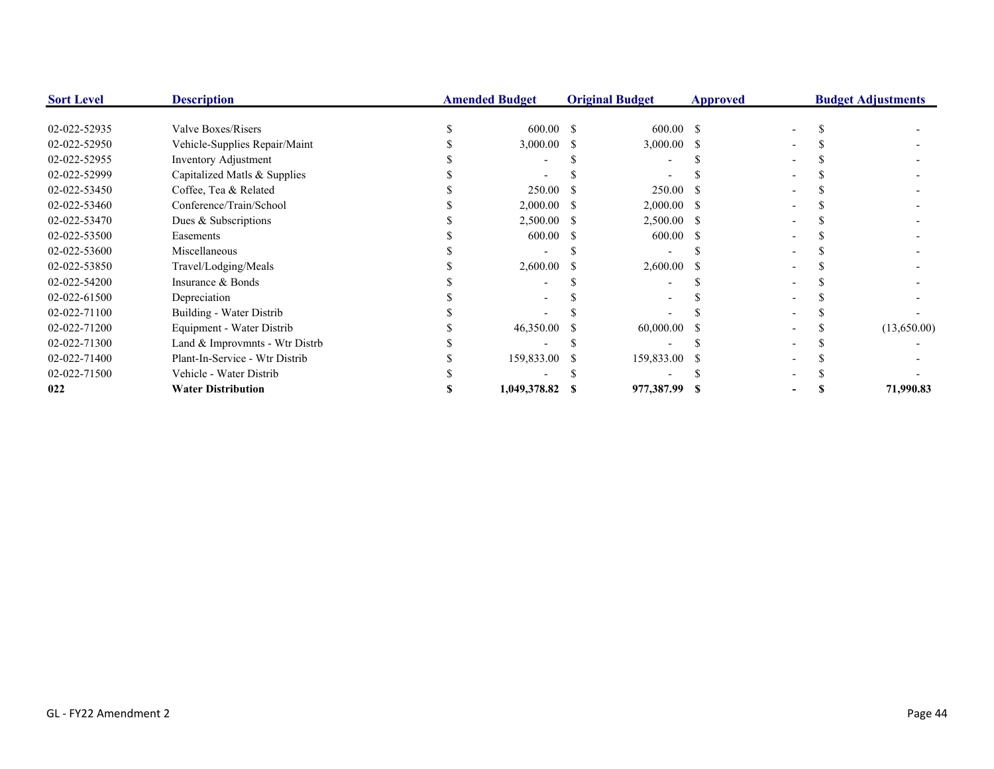| <b>Sort Level</b> | <b>Description</b>             | <b>Amended Budget</b> |    | <b>Original Budget</b> | <b>Approved</b> | <b>Budget Adjustments</b> |             |
|-------------------|--------------------------------|-----------------------|----|------------------------|-----------------|---------------------------|-------------|
|                   |                                |                       |    |                        |                 |                           |             |
| 02-022-52935      | Valve Boxes/Risers             | 600.00 \$             |    | 600.00 S               |                 |                           |             |
| 02-022-52950      | Vehicle-Supplies Repair/Maint  | 3,000.00              |    | 3,000.00               |                 |                           |             |
| 02-022-52955      | Inventory Adjustment           |                       |    |                        |                 |                           |             |
| 02-022-52999      | Capitalized Matls & Supplies   |                       |    |                        |                 |                           |             |
| 02-022-53450      | Coffee, Tea & Related          | 250.00                |    | 250.00                 |                 |                           |             |
| 02-022-53460      | Conference/Train/School        | 2,000.00              | -S | $2,000.00$ \$          |                 |                           |             |
| 02-022-53470      | Dues & Subscriptions           | 2,500.00 \$           |    | $2,500.00$ \$          |                 |                           |             |
| 02-022-53500      | Easements                      | 600.00                |    | 600.00                 |                 |                           |             |
| 02-022-53600      | Miscellaneous                  |                       |    |                        |                 |                           |             |
| 02-022-53850      | Travel/Lodging/Meals           | 2,600.00              |    | 2,600.00               |                 |                           |             |
| 02-022-54200      | Insurance & Bonds              |                       |    |                        |                 |                           |             |
| 02-022-61500      | Depreciation                   |                       |    |                        |                 |                           |             |
| 02-022-71100      | Building - Water Distrib       |                       |    |                        |                 |                           |             |
| 02-022-71200      | Equipment - Water Distrib      | 46,350.00             |    | 60,000.00              |                 |                           | (13,650.00) |
| 02-022-71300      | Land & Improvmnts - Wtr Distrb |                       |    |                        |                 |                           |             |
| 02-022-71400      | Plant-In-Service - Wtr Distrib | 159,833.00            |    | 159,833.00             |                 |                           |             |
| 02-022-71500      | Vehicle - Water Distrib        |                       |    |                        |                 |                           |             |
| 022               | <b>Water Distribution</b>      | 1,049,378.82          |    | 977,387.99 \$          |                 |                           | 71,990.83   |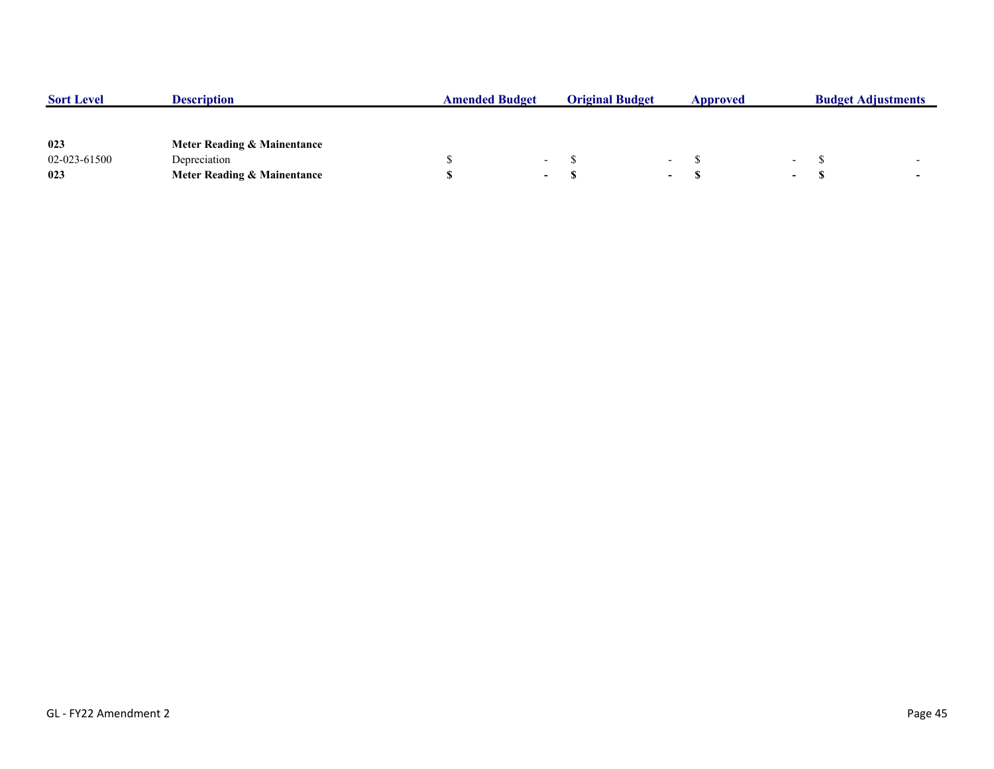| <b>Sort Level</b> | <b>Description</b>          | <b>Amended Budget</b> |        | <b>Original Budget</b> |                          | <b>Approved</b> |        | <b>Budget Adjustments</b> |  |
|-------------------|-----------------------------|-----------------------|--------|------------------------|--------------------------|-----------------|--------|---------------------------|--|
|                   |                             |                       |        |                        |                          |                 |        |                           |  |
| 023               | Meter Reading & Mainentance |                       |        |                        |                          |                 |        |                           |  |
| 02-023-61500      | Depreciation                |                       | $\sim$ |                        | $\overline{\phantom{0}}$ |                 | $\sim$ |                           |  |
| 023               | Meter Reading & Mainentance |                       | $\sim$ |                        | $\overline{\phantom{0}}$ |                 | $\sim$ |                           |  |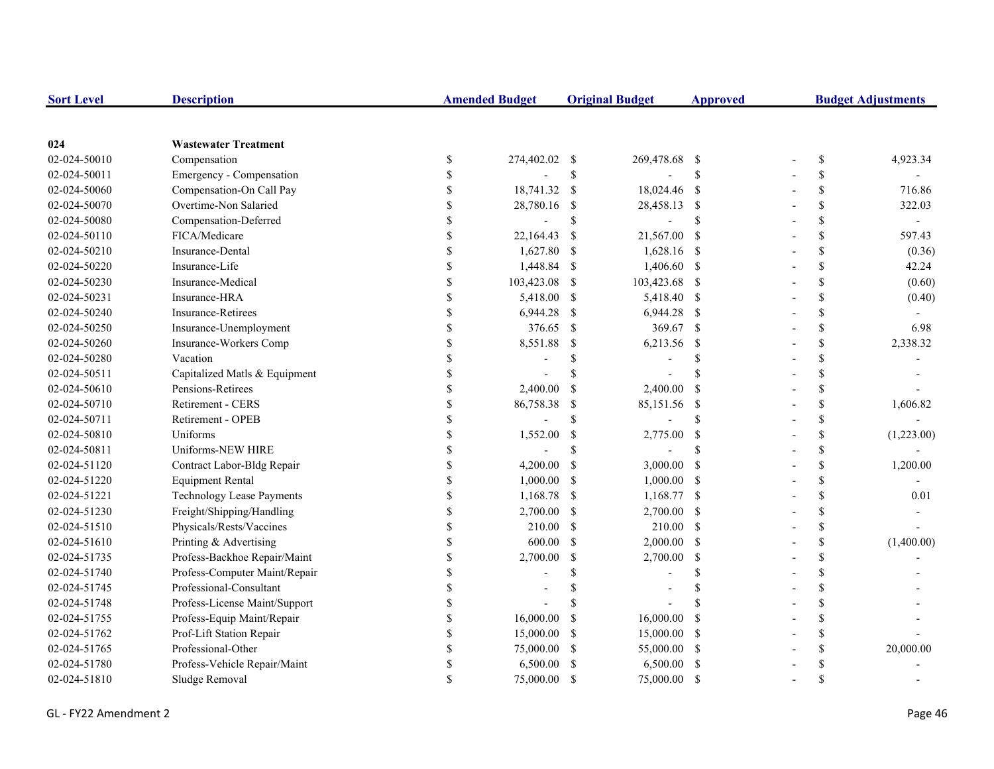| <b>Sort Level</b> | <b>Description</b>               |                    | <b>Amended Budget</b> |               | <b>Original Budget</b> | <b>Approved</b> | <b>Budget Adjustments</b> |             |            |
|-------------------|----------------------------------|--------------------|-----------------------|---------------|------------------------|-----------------|---------------------------|-------------|------------|
|                   |                                  |                    |                       |               |                        |                 |                           |             |            |
| 024               | <b>Wastewater Treatment</b>      |                    |                       |               |                        |                 |                           |             |            |
| 02-024-50010      | Compensation                     | \$                 | 274,402.02 \$         |               | 269,478.68 \$          |                 |                           | \$          | 4,923.34   |
| 02-024-50011      | Emergency - Compensation         | \$                 |                       | $\mathbb{S}$  |                        | \$              |                           | \$          |            |
| 02-024-50060      | Compensation-On Call Pay         | \$                 | 18,741.32 \$          |               | 18,024.46 \$           |                 |                           | \$          | 716.86     |
| 02-024-50070      | Overtime-Non Salaried            | \$                 | 28,780.16             | -S            | 28,458.13 \$           |                 |                           | \$          | 322.03     |
| 02-024-50080      | Compensation-Deferred            | \$                 |                       | \$            |                        | <sup>\$</sup>   |                           | \$          |            |
| 02-024-50110      | FICA/Medicare                    | \$                 | 22,164.43             | -S            | 21,567.00              | <sup>S</sup>    |                           | \$          | 597.43     |
| 02-024-50210      | Insurance-Dental                 | \$                 | 1,627.80              | -S            | 1,628.16 \$            |                 |                           | \$          | (0.36)     |
| 02-024-50220      | Insurance-Life                   | \$                 | 1,448.84 \$           |               | 1,406.60 \$            |                 |                           | $\mathbf S$ | 42.24      |
| 02-024-50230      | Insurance-Medical                | \$                 | 103,423.08            | <sup>\$</sup> | 103,423.68 \$          |                 |                           | \$          | (0.60)     |
| 02-024-50231      | Insurance-HRA                    | \$                 | 5,418.00              | <sup>\$</sup> | 5,418.40 \$            |                 |                           | \$          | (0.40)     |
| 02-024-50240      | <b>Insurance-Retirees</b>        | \$                 | 6,944.28              | -S            | 6,944.28 \$            |                 |                           | \$          |            |
| 02-024-50250      | Insurance-Unemployment           | \$                 | 376.65                | -\$           | 369.67 \$              |                 |                           | \$          | 6.98       |
| 02-024-50260      | Insurance-Workers Comp           | \$                 | 8,551.88              | -S            | 6,213.56               | - \$            |                           | \$          | 2,338.32   |
| 02-024-50280      | Vacation                         | \$                 |                       | \$            |                        | \$              |                           | \$          |            |
| 02-024-50511      | Capitalized Matls & Equipment    | $\mathbf{\hat{S}}$ |                       | $\mathcal{S}$ |                        | $\mathcal{S}$   |                           | \$          |            |
| 02-024-50610      | Pensions-Retirees                | \$                 | 2,400.00              | <sup>\$</sup> | 2,400.00               | <sup>S</sup>    |                           | \$          |            |
| 02-024-50710      | <b>Retirement - CERS</b>         | \$                 | 86,758.38             | \$            | 85,151.56              | - \$            |                           | \$          | 1,606.82   |
| 02-024-50711      | Retirement - OPEB                | \$                 |                       | \$            |                        | <sup>\$</sup>   |                           | \$          |            |
| 02-024-50810      | Uniforms                         | \$                 | 1,552.00              | <sup>\$</sup> | 2,775.00               | $\mathcal{S}$   |                           | \$          | (1,223.00) |
| 02-024-50811      | Uniforms-NEW HIRE                | \$                 |                       | <sup>\$</sup> |                        | <sup>\$</sup>   |                           | \$          |            |
| 02-024-51120      | Contract Labor-Bldg Repair       | \$                 | 4,200.00              | $\mathcal{S}$ | 3,000.00               | $\mathcal{S}$   |                           | \$          | 1,200.00   |
| 02-024-51220      | <b>Equipment Rental</b>          | \$                 | 1,000.00              | <sup>\$</sup> | 1,000.00               | -S              |                           | \$          |            |
| 02-024-51221      | <b>Technology Lease Payments</b> | $\mathbb S$        | 1,168.78              | -S            | 1,168.77 \$            |                 |                           | \$          | 0.01       |
| 02-024-51230      | Freight/Shipping/Handling        | \$                 | 2,700.00              | -S            | 2,700.00 \$            |                 |                           | \$          |            |
| 02-024-51510      | Physicals/Rests/Vaccines         | \$                 | 210.00                | <sup>\$</sup> | 210.00 \$              |                 |                           | \$          |            |
| 02-024-51610      | Printing & Advertising           | \$                 | 600.00                | \$            | $2,000.00$ \$          |                 |                           | \$          | (1,400.00) |
| 02-024-51735      | Profess-Backhoe Repair/Maint     | \$                 | 2,700.00              | $\mathbb{S}$  | 2,700.00               | $\mathcal{S}$   |                           | \$          |            |
| 02-024-51740      | Profess-Computer Maint/Repair    | \$                 |                       | \$            |                        | <sup>\$</sup>   |                           | \$          |            |
| 02-024-51745      | Professional-Consultant          | \$                 |                       |               |                        | \$              |                           | \$          |            |
| 02-024-51748      | Profess-License Maint/Support    | \$                 |                       |               |                        | \$              |                           | \$          |            |
| 02-024-51755      | Profess-Equip Maint/Repair       | \$                 | 16,000.00             | <sup>\$</sup> | 16,000.00              | <sup>\$</sup>   |                           | \$          |            |
| 02-024-51762      | Prof-Lift Station Repair         | \$                 | 15,000.00             | -\$           | 15,000.00              | -\$             |                           | \$          |            |
| 02-024-51765      | Professional-Other               | \$                 | 75,000.00             | <sup>\$</sup> | 55,000.00 \$           |                 |                           | \$          | 20,000.00  |
| 02-024-51780      | Profess-Vehicle Repair/Maint     | \$                 | 6,500.00              | <sup>\$</sup> | 6,500.00               | -S              |                           | \$          |            |
| 02-024-51810      | Sludge Removal                   | $\mathbf{\hat{S}}$ | 75,000.00             | <sup>\$</sup> | 75,000.00              | <sup>\$</sup>   |                           | \$          |            |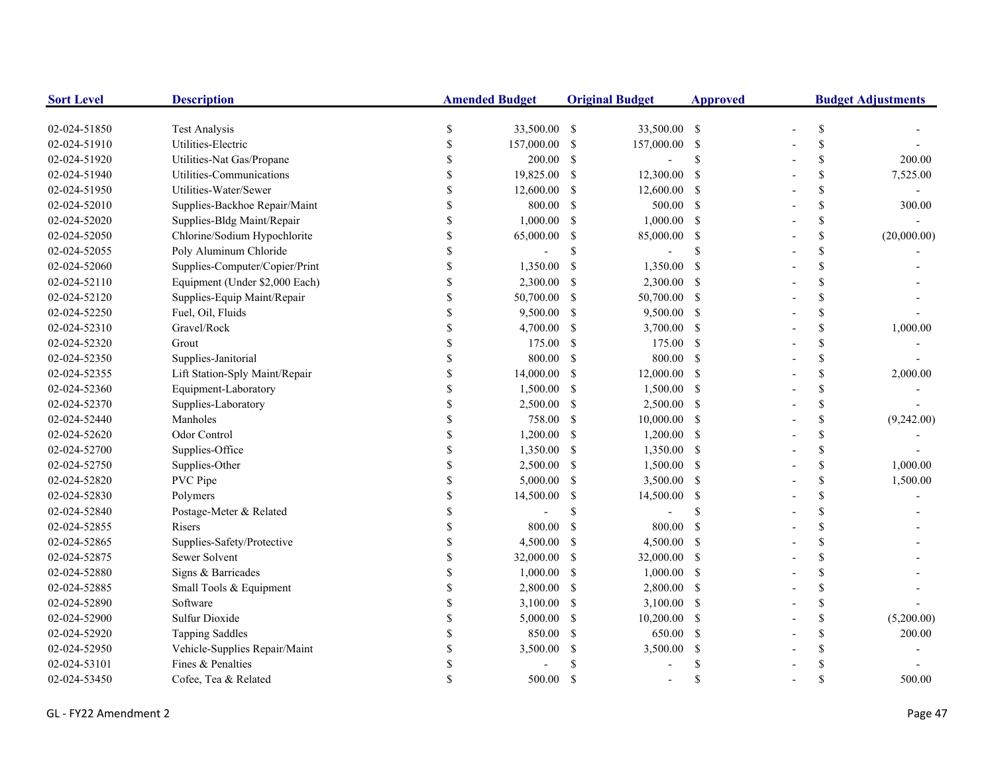| <b>Sort Level</b> | <b>Description</b>             |                    | <b>Amended Budget</b> |               | <b>Original Budget</b>   | <b>Approved</b> | <b>Budget Adjustments</b> |              |             |
|-------------------|--------------------------------|--------------------|-----------------------|---------------|--------------------------|-----------------|---------------------------|--------------|-------------|
| 02-024-51850      | <b>Test Analysis</b>           | \$                 | 33,500.00 \$          |               | 33,500.00 \$             |                 |                           | \$           |             |
| 02-024-51910      | Utilities-Electric             | \$                 | 157,000.00            | -S            | 157,000.00 \$            |                 |                           | \$           |             |
| 02-024-51920      | Utilities-Nat Gas/Propane      | S                  | 200.00                | -S            | $\overline{\phantom{0}}$ | \$              |                           | \$           | 200.00      |
| 02-024-51940      | Utilities-Communications       |                    | 19,825.00             | -S            | 12,300.00                | -S              |                           | \$           | 7,525.00    |
| 02-024-51950      | Utilities-Water/Sewer          |                    | 12,600.00             | -S            | 12,600.00 \$             |                 |                           | \$           |             |
| 02-024-52010      | Supplies-Backhoe Repair/Maint  | $\mathbf S$        | 800.00                | -S            | 500.00 \$                |                 |                           | \$           | 300.00      |
| 02-024-52020      | Supplies-Bldg Maint/Repair     | $\mathbf{\hat{S}}$ | 1,000.00              | -S            | $1,000.00$ \$            |                 |                           | \$           |             |
| 02-024-52050      | Chlorine/Sodium Hypochlorite   | $\mathbf S$        | 65,000.00             | \$            | 85,000.00 \$             |                 |                           | $\mathbb{S}$ | (20,000.00) |
| 02-024-52055      | Poly Aluminum Chloride         | $\mathbf S$        |                       | \$            |                          | S               |                           | \$           |             |
| 02-024-52060      | Supplies-Computer/Copier/Print | $\mathbb{S}$       | 1,350.00              | -S            | 1,350.00                 | -\$             |                           | \$           |             |
| 02-024-52110      | Equipment (Under \$2,000 Each) | \$                 | 2,300.00              | -S            | 2,300.00 \$              |                 |                           | \$           |             |
| 02-024-52120      | Supplies-Equip Maint/Repair    | \$                 | 50,700.00             | -S            | 50,700.00 \$             |                 |                           | \$           |             |
| 02-024-52250      | Fuel, Oil, Fluids              | S                  | 9,500.00              | -S            | 9,500.00 \$              |                 |                           | \$           |             |
| 02-024-52310      | Gravel/Rock                    |                    | 4,700.00              | -S            | $3,700.00$ \$            |                 |                           | \$           | 1,000.00    |
| 02-024-52320      | Grout                          |                    | 175.00                | -S            | 175.00 \$                |                 |                           | \$           |             |
| 02-024-52350      | Supplies-Janitorial            |                    | 800.00                | -S            | 800.00 \$                |                 |                           | \$           |             |
| 02-024-52355      | Lift Station-Sply Maint/Repair |                    | 14,000.00             | <sup>\$</sup> | $12,000.00$ \$           |                 |                           | \$           | 2,000.00    |
| 02-024-52360      | Equipment-Laboratory           |                    | 1,500.00              | -S            | 1,500.00 \$              |                 |                           | \$           |             |
| 02-024-52370      | Supplies-Laboratory            |                    | 2,500.00              | -S            | 2,500.00 \$              |                 |                           | \$           |             |
| 02-024-52440      | Manholes                       |                    | 758.00                | -S            | 10,000.00 \$             |                 |                           | \$           | (9,242.00)  |
| 02-024-52620      | Odor Control                   | $\mathbf S$        | 1,200.00              | -S            | $1,200.00$ \$            |                 |                           | \$           |             |
| 02-024-52700      | Supplies-Office                | $\mathbf S$        | 1,350.00              | -S            | 1,350.00 \$              |                 |                           | \$           |             |
| 02-024-52750      | Supplies-Other                 | \$                 | 2,500.00              | -S            | 1,500.00 \$              |                 |                           | \$           | 1,000.00    |
| 02-024-52820      | PVC Pipe                       | \$                 | 5,000.00              | <sup>\$</sup> | 3,500.00 \$              |                 |                           | \$           | 1,500.00    |
| 02-024-52830      | Polymers                       | \$                 | 14,500.00             | -S            | 14,500.00 \$             |                 |                           | \$           |             |
| 02-024-52840      | Postage-Meter & Related        | S                  |                       | \$            |                          | <sup>\$</sup>   |                           | \$           |             |
| 02-024-52855      | Risers                         |                    | 800.00                | <sup>S</sup>  | 800.00                   | -S              |                           | \$           |             |
| 02-024-52865      | Supplies-Safety/Protective     |                    | 4,500.00              | <sup>\$</sup> | $4,500.00$ \$            |                 |                           | \$           |             |
| 02-024-52875      | Sewer Solvent                  | S                  | 32,000.00             | <sup>\$</sup> | 32,000.00 \$             |                 |                           | \$           |             |
| 02-024-52880      | Signs & Barricades             |                    | 1,000.00              | -S            | $1,000.00$ \$            |                 |                           | \$           |             |
| 02-024-52885      | Small Tools & Equipment        |                    | 2,800.00              | -S            | 2,800.00 \$              |                 |                           | \$           |             |
| 02-024-52890      | Software                       |                    | 3,100.00              | -S            | $3,100.00$ \$            |                 |                           | \$           |             |
| 02-024-52900      | Sulfur Dioxide                 |                    | 5,000.00              | -\$           | 10,200.00 \$             |                 |                           | \$           | (5,200.00)  |
| 02-024-52920      | <b>Tapping Saddles</b>         |                    | 850.00                | <sup>\$</sup> | 650.00 \$                |                 |                           | \$           | 200.00      |
| 02-024-52950      | Vehicle-Supplies Repair/Maint  | \$                 | 3,500.00              | \$            | 3,500.00                 | -\$             |                           | \$           |             |
| 02-024-53101      | Fines & Penalties              |                    |                       |               |                          | £.              |                           | \$           |             |
| 02-024-53450      | Cofee, Tea & Related           |                    | 500.00                | <sup>\$</sup> |                          | \$.             |                           | \$           | 500.00      |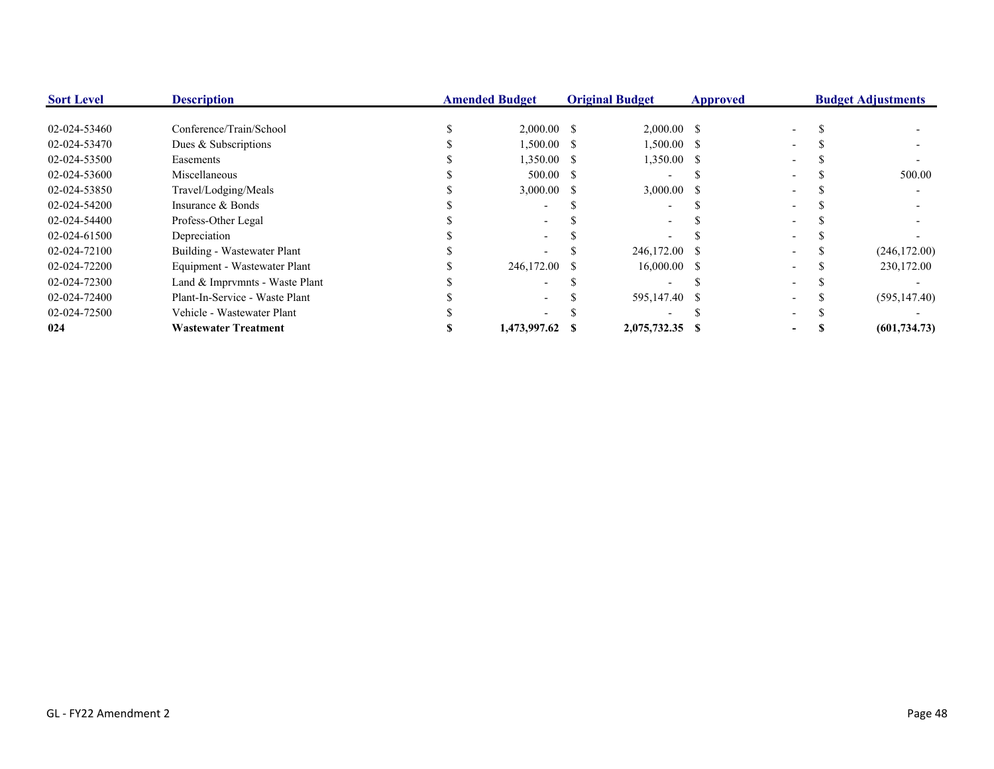| <b>Sort Level</b> | <b>Description</b>             | <b>Amended Budget</b> |                 | <b>Original Budget</b> |  | Approved |  | <b>Budget Adjustments</b> |  |
|-------------------|--------------------------------|-----------------------|-----------------|------------------------|--|----------|--|---------------------------|--|
|                   |                                |                       |                 |                        |  |          |  |                           |  |
| 02-024-53460      | Conference/Train/School        |                       | $2,000.00$ \$   | $2,000.00$ \$          |  |          |  |                           |  |
| 02-024-53470      | Dues & Subscriptions           |                       | $1,500.00$ \$   | $1,500.00$ \$          |  |          |  |                           |  |
| 02-024-53500      | Easements                      |                       | $1,350.00$ \$   | 1,350.00 \$            |  |          |  |                           |  |
| 02-024-53600      | Miscellaneous                  |                       | 500.00 S        |                        |  |          |  | 500.00                    |  |
| 02-024-53850      | Travel/Lodging/Meals           |                       | $3,000.00$ \$   | $3,000.00$ \$          |  |          |  |                           |  |
| 02-024-54200      | Insurance & Bonds              |                       |                 |                        |  |          |  |                           |  |
| 02-024-54400      | Profess-Other Legal            |                       |                 |                        |  |          |  |                           |  |
| 02-024-61500      | Depreciation                   |                       |                 |                        |  |          |  |                           |  |
| 02-024-72100      | Building - Wastewater Plant    |                       |                 | 246,172.00 \$          |  |          |  | (246, 172.00)             |  |
| 02-024-72200      | Equipment - Wastewater Plant   |                       | 246,172.00 \$   | $16,000.00$ \$         |  |          |  | 230,172.00                |  |
| 02-024-72300      | Land & Imprymnts - Waste Plant |                       |                 |                        |  |          |  |                           |  |
| 02-024-72400      | Plant-In-Service - Waste Plant |                       |                 | 595,147.40 \$          |  |          |  | (595, 147.40)             |  |
| 02-024-72500      | Vehicle - Wastewater Plant     |                       |                 |                        |  |          |  |                           |  |
| 024               | <b>Wastewater Treatment</b>    |                       | 1.473.997.62 \$ | 2,075,732.35 \$        |  |          |  | (601, 734, 73)            |  |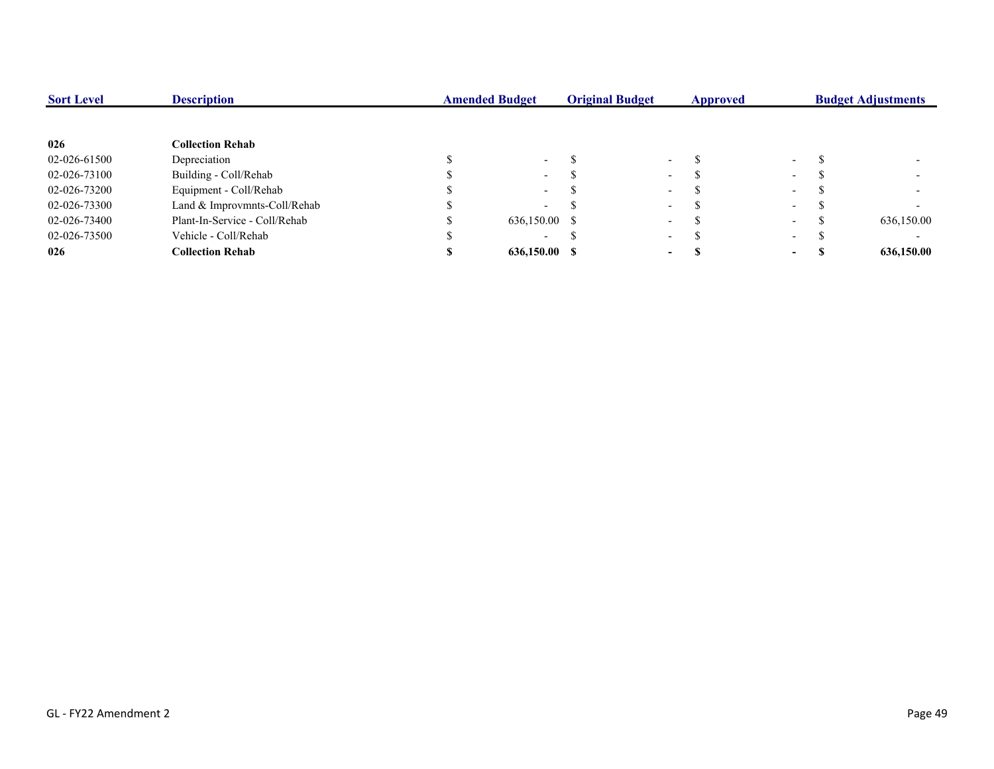| <b>Sort Level</b> | <b>Description</b>            | <b>Amended Budget</b> |                          | <b>Original Budget</b> |                          | <b>Approved</b> |        | <b>Budget Adjustments</b> |
|-------------------|-------------------------------|-----------------------|--------------------------|------------------------|--------------------------|-----------------|--------|---------------------------|
|                   |                               |                       |                          |                        |                          |                 |        |                           |
| 026               | <b>Collection Rehab</b>       |                       |                          |                        |                          |                 |        |                           |
| 02-026-61500      | Depreciation                  |                       | $\sim$                   |                        | $\overline{\phantom{a}}$ |                 | $\sim$ |                           |
| 02-026-73100      | Building - Coll/Rehab         |                       | $\sim$                   |                        | $\overline{\phantom{0}}$ |                 | $\sim$ |                           |
| 02-026-73200      | Equipment - Coll/Rehab        |                       | $\sim$                   |                        | $\overline{\phantom{a}}$ |                 | $\sim$ |                           |
| 02-026-73300      | Land & Improvmnts-Coll/Rehab  |                       | $\overline{\phantom{0}}$ |                        | $\overline{\phantom{a}}$ |                 | $\sim$ |                           |
| 02-026-73400      | Plant-In-Service - Coll/Rehab |                       | 636,150.00 \$            |                        | $\overline{\phantom{a}}$ |                 | $\sim$ | 636,150.00                |
| 02-026-73500      | Vehicle - Coll/Rehab          |                       | $\overline{\phantom{0}}$ |                        | $\overline{\phantom{0}}$ |                 | $\sim$ |                           |
| 026               | <b>Collection Rehab</b>       |                       | 636,150.00 \$            |                        | $\overline{\phantom{a}}$ |                 | $\sim$ | 636,150.00                |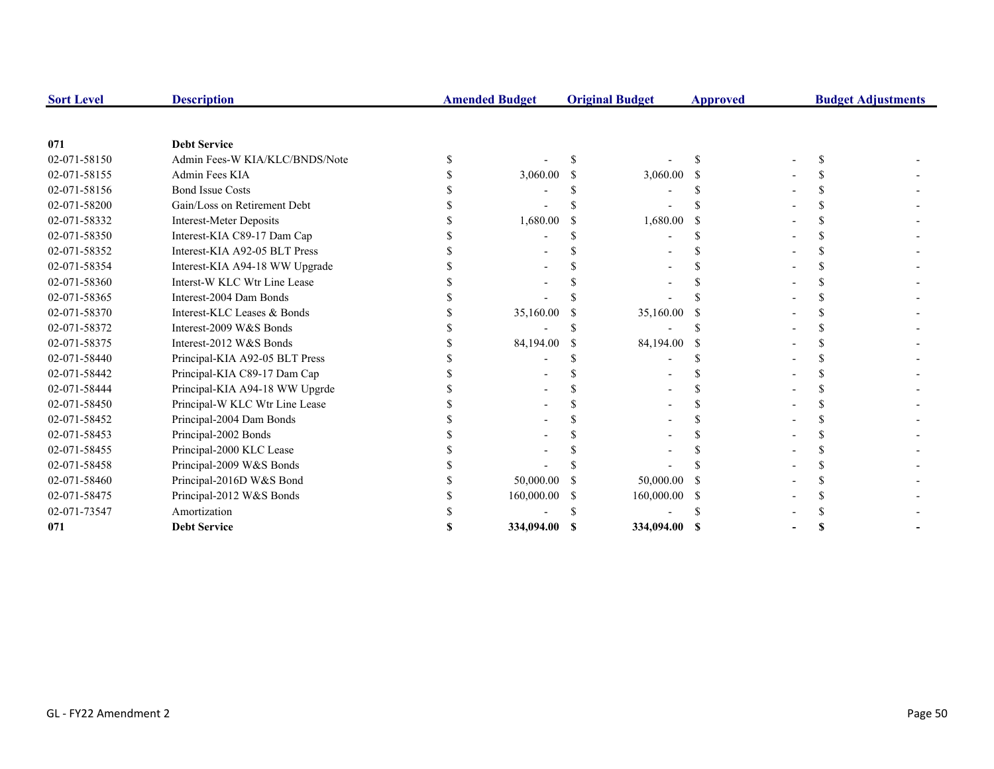| <b>Sort Level</b> | <b>Description</b>             | <b>Amended Budget</b> |    | <b>Original Budget</b> | <b>Approved</b> | <b>Budget Adjustments</b> |  |
|-------------------|--------------------------------|-----------------------|----|------------------------|-----------------|---------------------------|--|
|                   |                                |                       |    |                        |                 |                           |  |
| 071               | <b>Debt Service</b>            |                       |    |                        |                 |                           |  |
| 02-071-58150      | Admin Fees-W KIA/KLC/BNDS/Note |                       |    |                        |                 |                           |  |
| 02-071-58155      | Admin Fees KIA                 | 3,060.00              |    | 3,060.00               |                 |                           |  |
| 02-071-58156      | <b>Bond Issue Costs</b>        |                       |    |                        |                 |                           |  |
| 02-071-58200      | Gain/Loss on Retirement Debt   |                       |    |                        |                 |                           |  |
| 02-071-58332      | <b>Interest-Meter Deposits</b> | 1,680.00              |    | 1,680.00               |                 |                           |  |
| 02-071-58350      | Interest-KIA C89-17 Dam Cap    |                       |    |                        |                 |                           |  |
| 02-071-58352      | Interest-KIA A92-05 BLT Press  |                       |    |                        |                 |                           |  |
| 02-071-58354      | Interest-KIA A94-18 WW Upgrade |                       |    |                        |                 |                           |  |
| 02-071-58360      | Interst-W KLC Wtr Line Lease   |                       |    |                        |                 |                           |  |
| 02-071-58365      | Interest-2004 Dam Bonds        |                       |    |                        |                 |                           |  |
| 02-071-58370      | Interest-KLC Leases & Bonds    | 35,160.00             |    | 35,160.00              |                 |                           |  |
| 02-071-58372      | Interest-2009 W&S Bonds        |                       |    |                        |                 |                           |  |
| 02-071-58375      | Interest-2012 W&S Bonds        | 84,194.00             | -S | 84,194.00              |                 |                           |  |
| 02-071-58440      | Principal-KIA A92-05 BLT Press |                       |    |                        |                 |                           |  |
| 02-071-58442      | Principal-KIA C89-17 Dam Cap   |                       |    |                        |                 |                           |  |
| 02-071-58444      | Principal-KIA A94-18 WW Upgrde |                       |    |                        |                 |                           |  |
| 02-071-58450      | Principal-W KLC Wtr Line Lease |                       |    |                        |                 |                           |  |
| 02-071-58452      | Principal-2004 Dam Bonds       |                       |    |                        |                 |                           |  |
| 02-071-58453      | Principal-2002 Bonds           |                       |    |                        |                 |                           |  |
| 02-071-58455      | Principal-2000 KLC Lease       |                       |    |                        |                 |                           |  |
| 02-071-58458      | Principal-2009 W&S Bonds       |                       |    |                        |                 |                           |  |
| 02-071-58460      | Principal-2016D W&S Bond       | 50,000.00             |    | 50,000.00              |                 |                           |  |
| 02-071-58475      | Principal-2012 W&S Bonds       | 160,000.00            | S  | 160,000.00             |                 |                           |  |
| 02-071-73547      | Amortization                   |                       |    |                        |                 |                           |  |
| 071               | <b>Debt Service</b>            | 334,094.00 \$         |    | 334,094.00             | -S              |                           |  |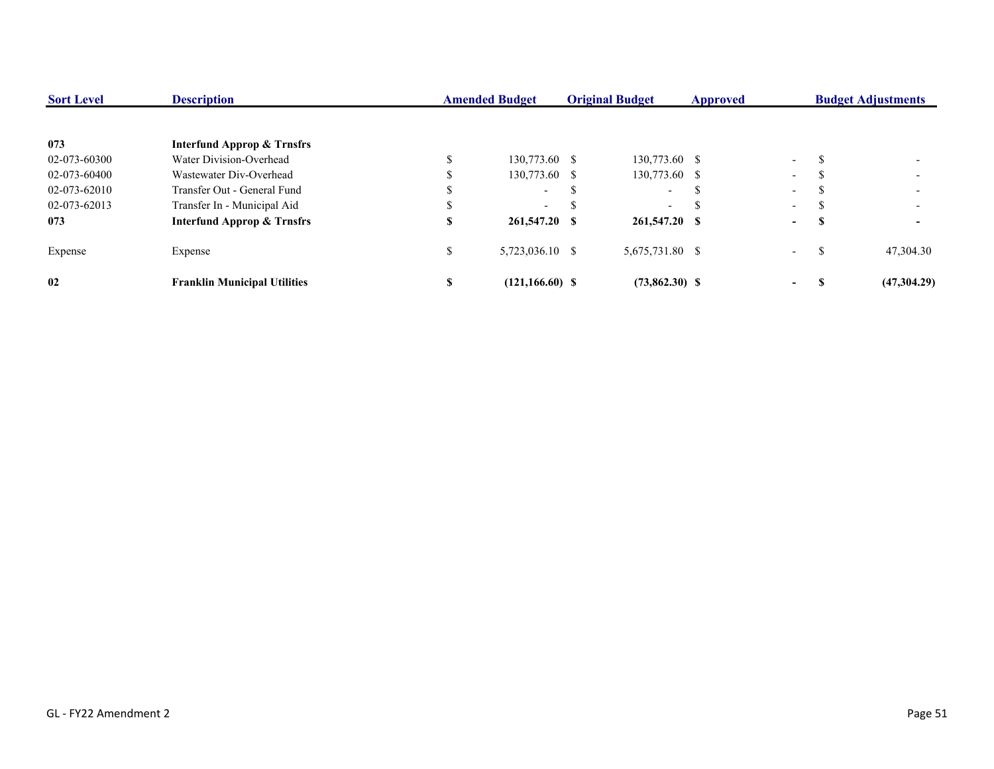| <b>Sort Level</b> | <b>Description</b>                    | <b>Amended Budget</b><br><b>Original Budget</b> |                    | <b>Approved</b>          |  |                  | <b>Budget Adjustments</b> |                          |
|-------------------|---------------------------------------|-------------------------------------------------|--------------------|--------------------------|--|------------------|---------------------------|--------------------------|
|                   |                                       |                                                 |                    |                          |  |                  |                           |                          |
| 073               | <b>Interfund Approp &amp; Trnsfrs</b> |                                                 |                    |                          |  |                  |                           |                          |
| 02-073-60300      | Water Division-Overhead               |                                                 | 130,773.60 \$      | 130,773.60 \$            |  | $\sim$ 100 $\mu$ | J.                        |                          |
| 02-073-60400      | Wastewater Div-Overhead               |                                                 | 130,773.60 \$      | 130,773.60 \$            |  | $\sim$ $-$       |                           |                          |
| 02-073-62010      | Transfer Out - General Fund           |                                                 | $\sim$             | $\sim$                   |  | $\sim$           |                           | $\overline{\phantom{0}}$ |
| 02-073-62013      | Transfer In - Municipal Aid           |                                                 | $\sim$             | $\overline{\phantom{a}}$ |  | $\sim$           |                           | $\overline{\phantom{0}}$ |
| 073               | <b>Interfund Approp &amp; Trnsfrs</b> | S                                               | 261,547.20 \$      | 261,547.20 \$            |  | $\sim$           | Э                         |                          |
| Expense           | Expense                               | JЭ.                                             | 5,723,036.10 \$    | 5,675,731.80 \$          |  | $\sim$           | S.                        | 47,304.30                |
| 02                | <b>Franklin Municipal Utilities</b>   | S                                               | $(121, 166.60)$ \$ | $(73,862.30)$ \$         |  | $\sim$           |                           | (47,304.29)              |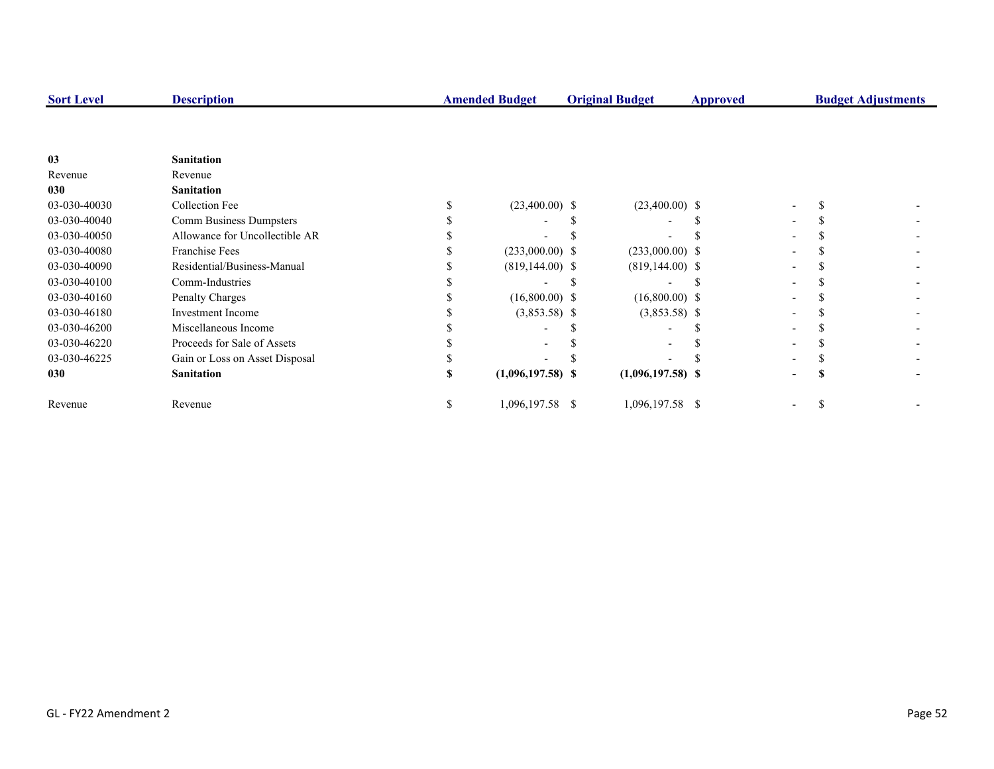| <b>Sort Level</b> | <b>Description</b>             |    | <b>Amended Budget</b> | <b>Original Budget</b> | Approved |   | <b>Budget Adjustments</b> |
|-------------------|--------------------------------|----|-----------------------|------------------------|----------|---|---------------------------|
|                   |                                |    |                       |                        |          |   |                           |
| 0 <sub>3</sub>    | <b>Sanitation</b>              |    |                       |                        |          |   |                           |
| Revenue           | Revenue                        |    |                       |                        |          |   |                           |
| 030               | <b>Sanitation</b>              |    |                       |                        |          |   |                           |
| 03-030-40030      | <b>Collection Fee</b>          |    | $(23,400.00)$ \$      | $(23,400.00)$ \$       |          |   |                           |
| 03-030-40040      | Comm Business Dumpsters        |    |                       |                        |          |   |                           |
| 03-030-40050      | Allowance for Uncollectible AR |    |                       |                        |          |   |                           |
| 03-030-40080      | <b>Franchise Fees</b>          |    | $(233,000.00)$ \$     | $(233,000.00)$ \$      |          |   |                           |
| 03-030-40090      | Residential/Business-Manual    |    | $(819, 144.00)$ \$    | $(819, 144.00)$ \$     |          |   |                           |
| 03-030-40100      | Comm-Industries                |    |                       |                        |          |   |                           |
| 03-030-40160      | Penalty Charges                |    | $(16,800.00)$ \$      | $(16,800.00)$ \$       |          |   |                           |
| 03-030-46180      | <b>Investment Income</b>       |    | $(3,853.58)$ \$       | $(3,853.58)$ \$        |          |   |                           |
| 03-030-46200      | Miscellaneous Income           |    |                       |                        |          |   |                           |
| 03-030-46220      | Proceeds for Sale of Assets    |    |                       |                        |          |   |                           |
| 03-030-46225      | Gain or Loss on Asset Disposal |    |                       |                        |          |   |                           |
| 030               | <b>Sanitation</b>              | S  | $(1,096,197.58)$ \$   | $(1,096,197.58)$ \$    |          | S |                           |
| Revenue           | Revenue                        | S. | 1,096,197.58 \$       | 1,096,197.58 \$        |          | Ъ |                           |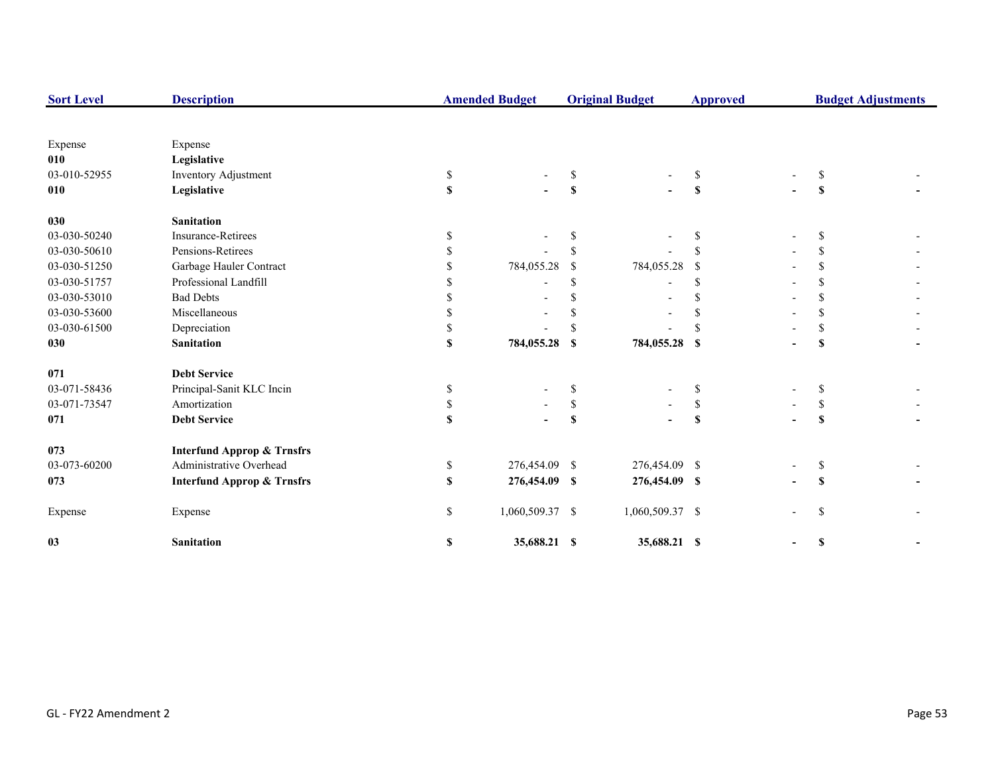| <b>Sort Level</b> | <b>Description</b>                    |              | <b>Amended Budget</b> |                           | <b>Original Budget</b> | <b>Approved</b>           |               | <b>Budget Adjustments</b> |
|-------------------|---------------------------------------|--------------|-----------------------|---------------------------|------------------------|---------------------------|---------------|---------------------------|
|                   |                                       |              |                       |                           |                        |                           |               |                           |
| Expense           | Expense                               |              |                       |                           |                        |                           |               |                           |
| 010               | Legislative                           |              |                       |                           |                        |                           |               |                           |
| 03-010-52955      | Inventory Adjustment                  | \$           |                       | S                         |                        | \$                        | S             |                           |
| 010               | Legislative                           | $\mathbf{s}$ |                       | $\boldsymbol{\mathsf{S}}$ |                        | S                         | \$            |                           |
| 030               | <b>Sanitation</b>                     |              |                       |                           |                        |                           |               |                           |
| 03-030-50240      | <b>Insurance-Retirees</b>             |              |                       |                           |                        | S                         | \$.           |                           |
| 03-030-50610      | Pensions-Retirees                     |              |                       | <sup>\$</sup>             |                        |                           | \$.           |                           |
| 03-030-51250      | Garbage Hauler Contract               |              | 784,055.28            | <sup>\$</sup>             | 784,055.28             | -S                        |               |                           |
| 03-030-51757      | Professional Landfill                 |              |                       | <sup>\$</sup>             |                        | \$.                       | \$            |                           |
| 03-030-53010      | <b>Bad Debts</b>                      |              |                       | <sup>\$</sup>             |                        | \$                        |               |                           |
| 03-030-53600      | Miscellaneous                         |              |                       |                           |                        |                           | \$            |                           |
| 03-030-61500      | Depreciation                          |              |                       |                           |                        |                           | \$.           |                           |
| 030               | <b>Sanitation</b>                     | \$           | 784,055.28            | \$                        | 784,055.28 \$          |                           | \$            |                           |
| 071               | <b>Debt Service</b>                   |              |                       |                           |                        |                           |               |                           |
| 03-071-58436      | Principal-Sanit KLC Incin             | \$           |                       | \$                        |                        | \$                        | \$            |                           |
| 03-071-73547      | Amortization                          | \$           |                       | $\mathbb S$               |                        | \$                        | \$            |                           |
| 071               | <b>Debt Service</b>                   | $\mathbf S$  |                       | \$                        |                        | $\boldsymbol{\mathsf{s}}$ | $\mathbf{s}$  |                           |
| 073               | <b>Interfund Approp &amp; Trnsfrs</b> |              |                       |                           |                        |                           |               |                           |
| 03-073-60200      | Administrative Overhead               | \$           | 276,454.09 \$         |                           | 276,454.09 \$          |                           | \$            |                           |
| 073               | <b>Interfund Approp &amp; Trnsfrs</b> | $\mathbf{s}$ | 276,454.09 \$         |                           | 276,454.09 \$          |                           | S             |                           |
| Expense           | Expense                               | $\mathbb{S}$ | 1,060,509.37 \$       |                           | 1,060,509.37 \$        |                           | <sup>\$</sup> |                           |
| 03                | <b>Sanitation</b>                     | \$           | 35,688.21 \$          |                           | 35,688.21 \$           |                           | \$            |                           |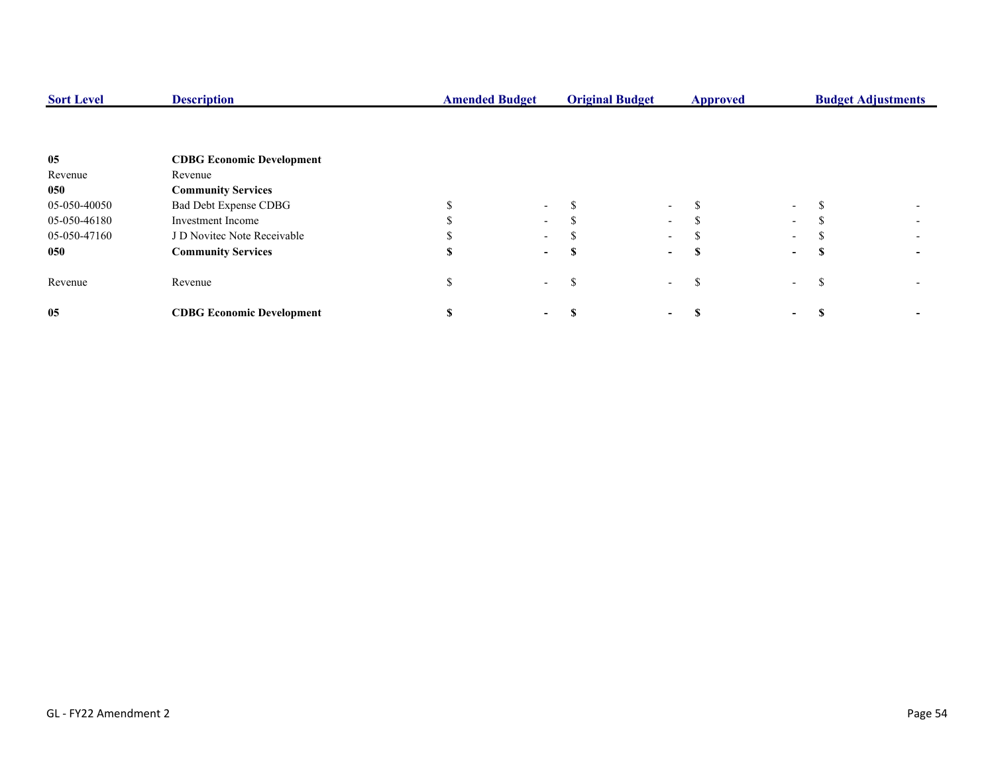| <b>Sort Level</b> | <b>Description</b>               | <b>Original Budget</b><br><b>Amended Budget</b> |        |   | <b>Approved</b>          |    | <b>Budget Adjustments</b> |   |  |
|-------------------|----------------------------------|-------------------------------------------------|--------|---|--------------------------|----|---------------------------|---|--|
|                   |                                  |                                                 |        |   |                          |    |                           |   |  |
| 05                | <b>CDBG Economic Development</b> |                                                 |        |   |                          |    |                           |   |  |
| Revenue           | Revenue                          |                                                 |        |   |                          |    |                           |   |  |
| 050               | <b>Community Services</b>        |                                                 |        |   |                          |    |                           |   |  |
| 05-050-40050      | Bad Debt Expense CDBG            |                                                 | $\sim$ |   | $\sim$                   |    | $\sim$                    |   |  |
| 05-050-46180      | <b>Investment Income</b>         |                                                 | $\sim$ |   | $\sim$                   |    | $\sim$                    |   |  |
| 05-050-47160      | J D Novitec Note Receivable      |                                                 | $\sim$ |   | $\sim$                   |    | $\sim$                    |   |  |
| 050               | <b>Community Services</b>        |                                                 | $\sim$ |   | $\sim$                   |    | $\sim$                    | э |  |
| Revenue           | Revenue                          |                                                 | $\sim$ | ъ | $\overline{\phantom{a}}$ | £. | $\overline{\phantom{a}}$  | ъ |  |
| 05                | <b>CDBG Economic Development</b> |                                                 |        |   |                          |    | $\sim$                    |   |  |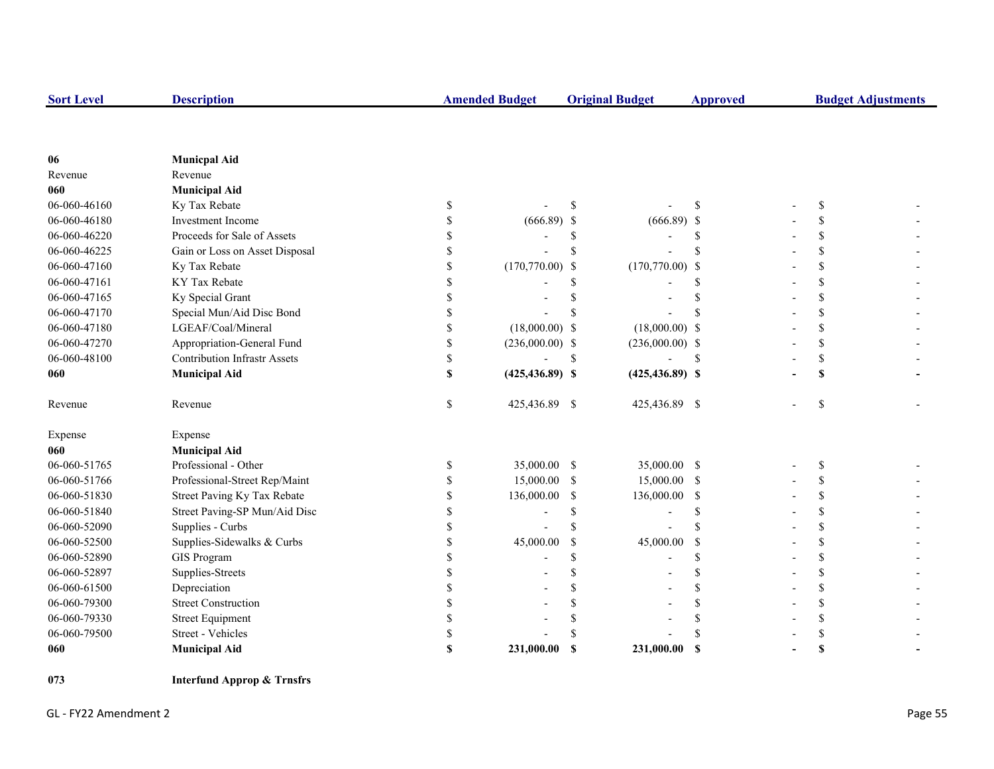| <b>Sort Level</b> | <b>Description</b>                  | <b>Amended Budget</b>   |               | <b>Original Budget</b> | <b>Approved</b> |               | <b>Budget Adjustments</b> |
|-------------------|-------------------------------------|-------------------------|---------------|------------------------|-----------------|---------------|---------------------------|
|                   |                                     |                         |               |                        |                 |               |                           |
|                   |                                     |                         |               |                        |                 |               |                           |
| 06<br>Revenue     | <b>Municpal Aid</b><br>Revenue      |                         |               |                        |                 |               |                           |
| 060               | <b>Municipal Aid</b>                |                         |               |                        |                 |               |                           |
| 06-060-46160      | Ky Tax Rebate                       | \$                      | <sup>\$</sup> |                        | \$              | <sup>\$</sup> |                           |
| 06-060-46180      | Investment Income                   | \$<br>$(666.89)$ \$     |               | $(666.89)$ \$          |                 | \$            |                           |
| 06-060-46220      | Proceeds for Sale of Assets         | \$                      | \$            |                        | S               | \$            |                           |
| 06-060-46225      | Gain or Loss on Asset Disposal      | \$                      | <sup>\$</sup> |                        | S               | \$            |                           |
| 06-060-47160      | Ky Tax Rebate                       | \$<br>$(170,770.00)$ \$ |               | $(170,770.00)$ \$      |                 | \$            |                           |
| 06-060-47161      | KY Tax Rebate                       | \$                      | \$            |                        | S               | \$            |                           |
| 06-060-47165      | Ky Special Grant                    | \$                      |               |                        | S               | \$            |                           |
| 06-060-47170      | Special Mun/Aid Disc Bond           | \$                      |               |                        |                 | \$            |                           |
| 06-060-47180      | LGEAF/Coal/Mineral                  | \$<br>$(18,000.00)$ \$  |               | $(18,000.00)$ \$       |                 | \$            |                           |
| 06-060-47270      | Appropriation-General Fund          | \$<br>$(236,000.00)$ \$ |               | $(236,000.00)$ \$      |                 | \$            |                           |
| 06-060-48100      | <b>Contribution Infrastr Assets</b> | \$                      | \$            |                        | <sup>\$</sup>   | \$            |                           |
| 060               |                                     | \$                      |               |                        |                 |               |                           |
|                   | <b>Municipal Aid</b>                | $(425, 436.89)$ \$      |               | $(425, 436.89)$ \$     |                 | \$            |                           |
| Revenue           | Revenue                             | \$<br>425,436.89 \$     |               | 425,436.89 \$          |                 | \$            |                           |
| Expense           | Expense                             |                         |               |                        |                 |               |                           |
| 060               | <b>Municipal Aid</b>                |                         |               |                        |                 |               |                           |
| 06-060-51765      | Professional - Other                | \$<br>35,000.00 \$      |               | 35,000.00 \$           |                 | \$            |                           |
| 06-060-51766      | Professional-Street Rep/Maint       | \$<br>15,000.00         | <sup>\$</sup> | 15,000.00 \$           |                 | \$            |                           |
| 06-060-51830      | Street Paving Ky Tax Rebate         | \$<br>136,000.00        | \$            | 136,000.00 \$          |                 | \$            |                           |
| 06-060-51840      | Street Paving-SP Mun/Aid Disc       | \$                      | \$            | $\overline{a}$         | \$              | \$            |                           |
| 06-060-52090      | Supplies - Curbs                    | \$                      | \$            |                        | S               | \$            |                           |
| 06-060-52500      | Supplies-Sidewalks & Curbs          | \$<br>45,000.00         | <sup>\$</sup> | 45,000.00              | \$              | \$            |                           |
| 06-060-52890      | <b>GIS Program</b>                  | \$                      | \$            |                        | \$              | \$            |                           |
| 06-060-52897      | Supplies-Streets                    | \$                      | \$            |                        | \$              | \$            |                           |
| 06-060-61500      | Depreciation                        | \$                      | \$            |                        | \$              | \$            |                           |
| 06-060-79300      | <b>Street Construction</b>          | \$                      | \$            |                        | \$              | \$            |                           |
| 06-060-79330      | <b>Street Equipment</b>             | \$                      |               |                        | S               | \$            |                           |
| 06-060-79500      | Street - Vehicles                   | \$                      |               |                        | \$              | \$            |                           |
| 060               | <b>Municipal Aid</b>                | \$<br>231,000.00        | <b>S</b>      | 231,000.00             | - \$            | S             |                           |

**073 Interfund Approp & Trnsfrs**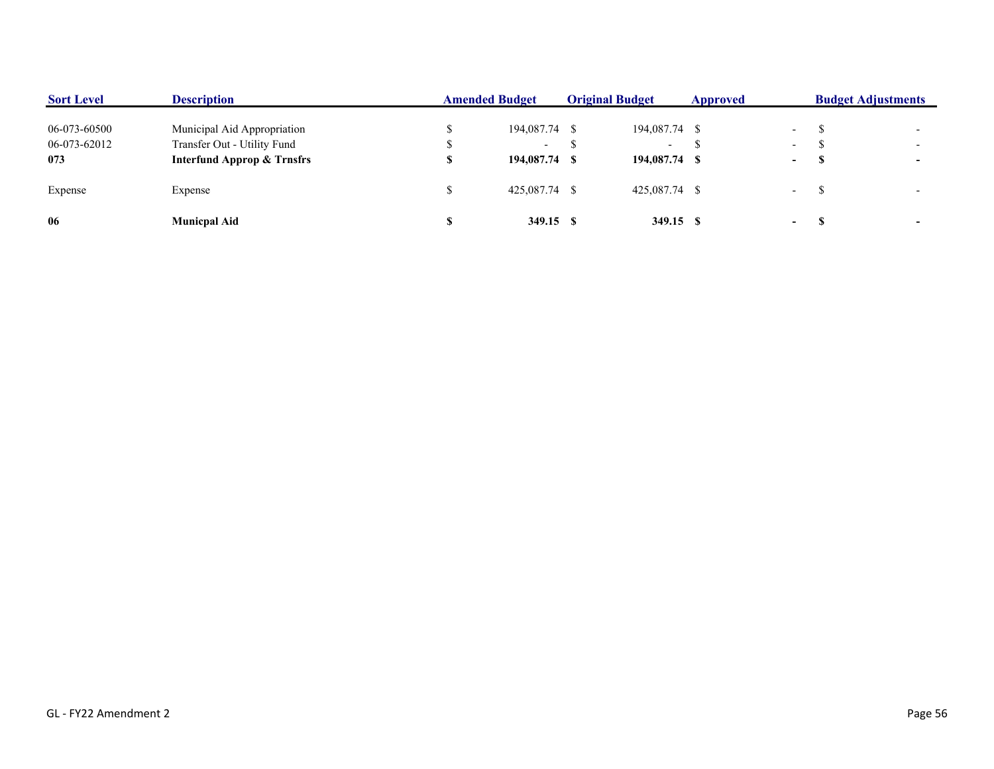| <b>Sort Level</b> | <b>Description</b>                    | <b>Amended Budget</b> |               | <b>Original Budget</b> |                          | Approved |                          | <b>Budget Adjustments</b> |  |
|-------------------|---------------------------------------|-----------------------|---------------|------------------------|--------------------------|----------|--------------------------|---------------------------|--|
| 06-073-60500      | Municipal Aid Appropriation           |                       | 194,087.74 \$ |                        | 194,087.74 \$            |          | $\overline{\phantom{0}}$ |                           |  |
| 06-073-62012      | Transfer Out - Utility Fund           |                       | $\sim$        |                        | $\overline{\phantom{0}}$ |          | $\overline{\phantom{0}}$ |                           |  |
| 073               | <b>Interfund Approp &amp; Trnsfrs</b> |                       | 194,087.74 \$ |                        | 194,087.74 \$            |          | $\sim$                   |                           |  |
| Expense           | Expense                               |                       | 425,087.74 \$ |                        | 425,087.74 \$            |          | $\overline{a}$           |                           |  |
| 06                | <b>Municpal Aid</b>                   |                       | 349.15 \$     |                        | 349.15 \$                |          | $\sim$                   |                           |  |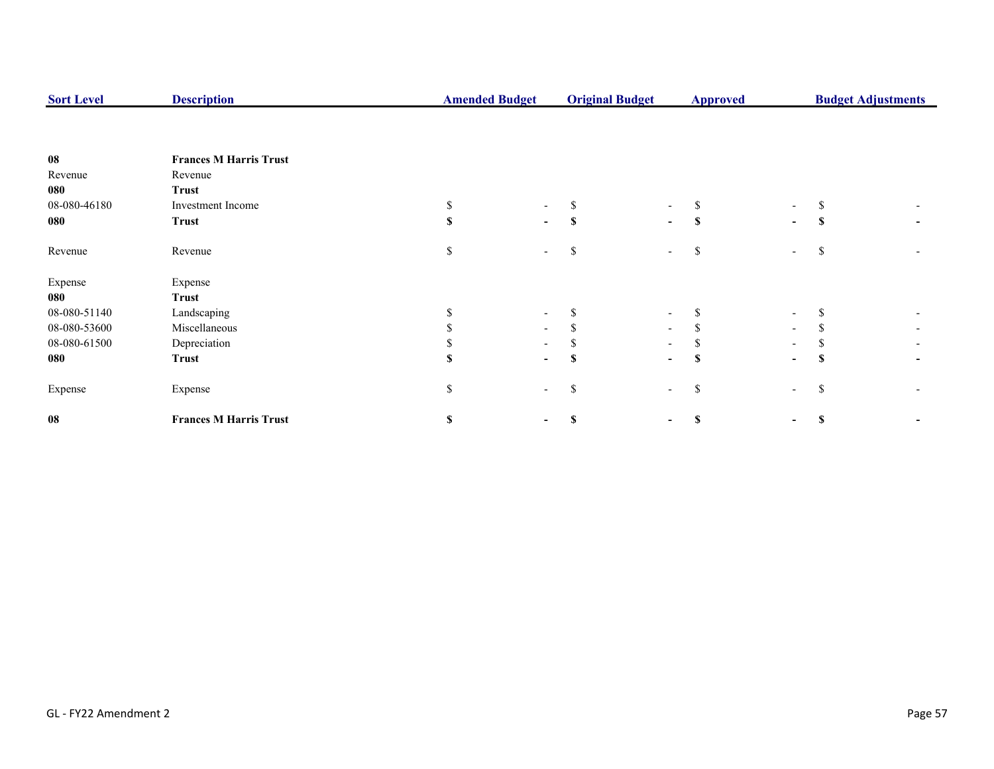| <b>Sort Level</b> | <b>Description</b>            | <b>Amended Budget</b> |                          | <b>Original Budget</b> |                          | <b>Budget Adjustments</b><br><b>Approved</b> |                          |               |  |
|-------------------|-------------------------------|-----------------------|--------------------------|------------------------|--------------------------|----------------------------------------------|--------------------------|---------------|--|
|                   |                               |                       |                          |                        |                          |                                              |                          |               |  |
| ${\bf 08}$        | <b>Frances M Harris Trust</b> |                       |                          |                        |                          |                                              |                          |               |  |
| Revenue           | Revenue                       |                       |                          |                        |                          |                                              |                          |               |  |
| 080               | <b>Trust</b>                  |                       |                          |                        |                          |                                              |                          |               |  |
| 08-080-46180      | Investment Income             | S.                    |                          |                        |                          |                                              | $\overline{\phantom{a}}$ |               |  |
| 080               | <b>Trust</b>                  | $\mathbf{s}$          | -                        | S                      | $\sim$                   | \$                                           | $\blacksquare$           | -S            |  |
| Revenue           | Revenue                       | \$                    | $\overline{\phantom{0}}$ | \$                     | $\overline{\phantom{a}}$ | <sup>\$</sup>                                | $\overline{a}$           | -S            |  |
| Expense           | Expense                       |                       |                          |                        |                          |                                              |                          |               |  |
| 080               | <b>Trust</b>                  |                       |                          |                        |                          |                                              |                          |               |  |
| 08-080-51140      | Landscaping                   |                       | $\overline{\phantom{a}}$ |                        | $\overline{\phantom{a}}$ |                                              | $\overline{\phantom{a}}$ |               |  |
| 08-080-53600      | Miscellaneous                 |                       | $\overline{\phantom{0}}$ |                        | $\sim$                   |                                              | $\overline{\phantom{a}}$ |               |  |
| 08-080-61500      | Depreciation                  |                       |                          |                        | $\overline{\phantom{a}}$ |                                              |                          |               |  |
| 080               | <b>Trust</b>                  | \$.                   | $\overline{\phantom{0}}$ | S                      | $\blacksquare$           | S                                            | $\overline{\phantom{0}}$ | -S            |  |
| Expense           | Expense                       | \$                    | $\overline{\phantom{0}}$ | \$                     | $\overline{\phantom{a}}$ | \$                                           | $\overline{\phantom{a}}$ | <sup>\$</sup> |  |
| 08                | <b>Frances M Harris Trust</b> | \$                    |                          | \$                     |                          | S                                            | $\blacksquare$           | <b>S</b>      |  |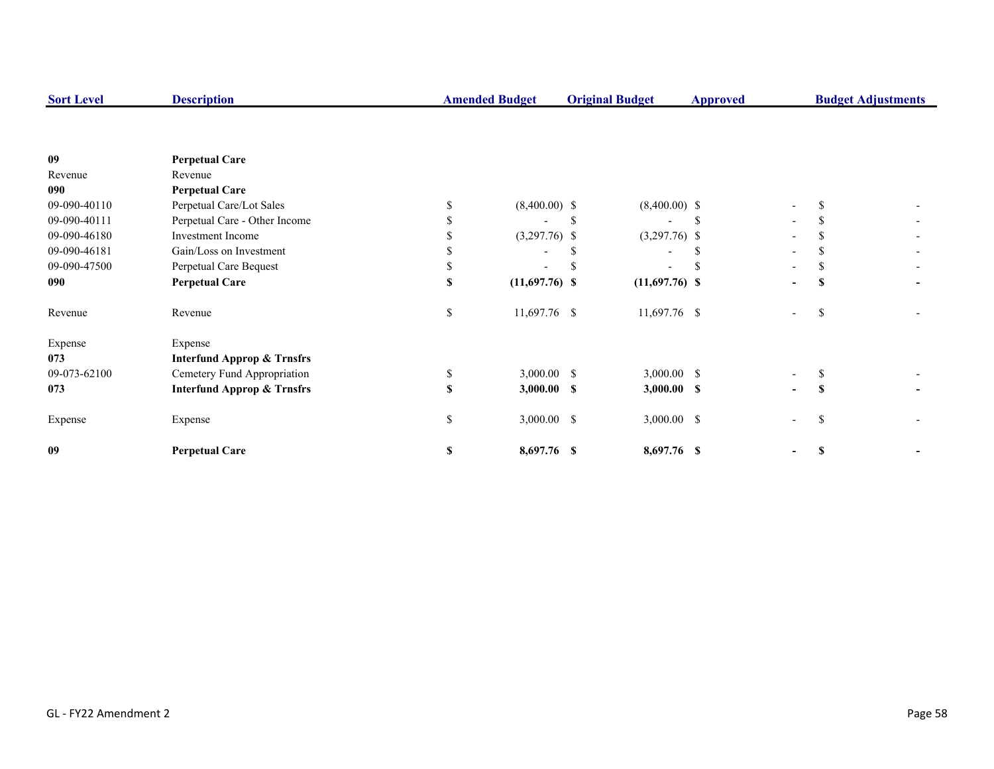| <b>Sort Level</b> | <b>Description</b>                    |     | <b>Amended Budget</b> |    | <b>Original Budget</b>   | <b>Budget Adjustments</b><br><b>Approved</b> |                          |     |  |
|-------------------|---------------------------------------|-----|-----------------------|----|--------------------------|----------------------------------------------|--------------------------|-----|--|
|                   |                                       |     |                       |    |                          |                                              |                          |     |  |
| 09                | <b>Perpetual Care</b>                 |     |                       |    |                          |                                              |                          |     |  |
| Revenue           | Revenue                               |     |                       |    |                          |                                              |                          |     |  |
| 090               | <b>Perpetual Care</b>                 |     |                       |    |                          |                                              |                          |     |  |
| 09-090-40110      | Perpetual Care/Lot Sales              | \$. | $(8,400.00)$ \$       |    | $(8,400.00)$ \$          |                                              | $\overline{\phantom{a}}$ |     |  |
| 09-090-40111      | Perpetual Care - Other Income         |     |                       | S. |                          |                                              |                          |     |  |
| 09-090-46180      | Investment Income                     |     | $(3,297.76)$ \$       |    | $(3,297.76)$ \$          |                                              |                          |     |  |
| 09-090-46181      | Gain/Loss on Investment               |     |                       |    | $\overline{\phantom{a}}$ |                                              |                          |     |  |
| 09-090-47500      | Perpetual Care Bequest                |     |                       |    |                          |                                              |                          |     |  |
| 090               | <b>Perpetual Care</b>                 | S   | $(11,697.76)$ \$      |    | $(11,697.76)$ \$         |                                              | $\overline{\phantom{a}}$ |     |  |
| Revenue           | Revenue                               | \$  | 11,697.76 \$          |    | 11,697.76 \$             |                                              | $\overline{\phantom{a}}$ | S.  |  |
| Expense           | Expense                               |     |                       |    |                          |                                              |                          |     |  |
| 073               | <b>Interfund Approp &amp; Trnsfrs</b> |     |                       |    |                          |                                              |                          |     |  |
| 09-073-62100      | Cemetery Fund Appropriation           | \$  | $3,000.00$ \$         |    | $3,000.00$ \$            |                                              |                          |     |  |
| 073               | <b>Interfund Approp &amp; Trnsfrs</b> | \$  | $3,000.00$ \$         |    | $3,000.00$ \$            |                                              | $\blacksquare$           | S   |  |
| Expense           | Expense                               | \$  | $3,000.00$ \$         |    | $3,000.00$ \$            |                                              | $\overline{\phantom{a}}$ | \$. |  |
| 09                | <b>Perpetual Care</b>                 | S   | 8,697.76 \$           |    | 8,697.76 \$              |                                              |                          | S   |  |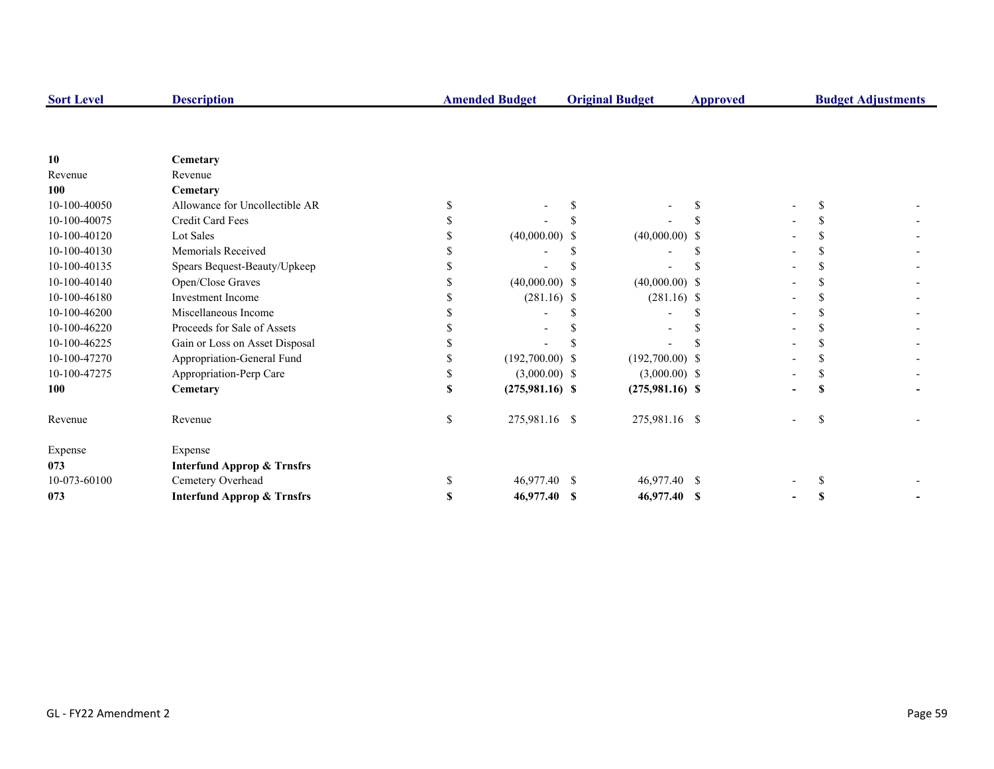| <b>Sort Level</b> | <b>Description</b>                    | <b>Amended Budget</b> |                   | <b>Original Budget</b> |                   | <b>Approved</b> |  | <b>Budget Adjustments</b> |  |
|-------------------|---------------------------------------|-----------------------|-------------------|------------------------|-------------------|-----------------|--|---------------------------|--|
|                   |                                       |                       |                   |                        |                   |                 |  |                           |  |
| 10                | Cemetary                              |                       |                   |                        |                   |                 |  |                           |  |
| Revenue           | Revenue                               |                       |                   |                        |                   |                 |  |                           |  |
| <b>100</b>        | Cemetary                              |                       |                   |                        |                   |                 |  |                           |  |
| 10-100-40050      | Allowance for Uncollectible AR        |                       |                   |                        |                   |                 |  |                           |  |
| 10-100-40075      | Credit Card Fees                      |                       |                   |                        |                   |                 |  |                           |  |
| 10-100-40120      | Lot Sales                             |                       | $(40,000.00)$ \$  |                        | $(40,000.00)$ \$  |                 |  |                           |  |
| 10-100-40130      | Memorials Received                    |                       |                   |                        |                   |                 |  |                           |  |
| 10-100-40135      | Spears Bequest-Beauty/Upkeep          |                       |                   |                        |                   |                 |  |                           |  |
| 10-100-40140      | Open/Close Graves                     |                       | $(40,000.00)$ \$  |                        | $(40,000.00)$ \$  |                 |  |                           |  |
| 10-100-46180      | <b>Investment Income</b>              |                       | $(281.16)$ \$     |                        | $(281.16)$ \$     |                 |  |                           |  |
| 10-100-46200      | Miscellaneous Income                  |                       |                   |                        |                   |                 |  |                           |  |
| 10-100-46220      | Proceeds for Sale of Assets           |                       |                   |                        |                   |                 |  |                           |  |
| 10-100-46225      | Gain or Loss on Asset Disposal        |                       |                   |                        |                   |                 |  |                           |  |
| 10-100-47270      | Appropriation-General Fund            |                       | $(192,700.00)$ \$ |                        | $(192,700.00)$ \$ |                 |  |                           |  |
| 10-100-47275      | Appropriation-Perp Care               | S                     | $(3,000.00)$ \$   |                        | $(3,000.00)$ \$   |                 |  |                           |  |
| <b>100</b>        | Cemetary                              | \$                    | $(275,981.16)$ \$ |                        | $(275,981.16)$ \$ |                 |  |                           |  |
| Revenue           | Revenue                               | \$                    | 275,981.16 \$     |                        | 275,981.16 \$     |                 |  | \$.                       |  |
| Expense           | Expense                               |                       |                   |                        |                   |                 |  |                           |  |
| 073               | <b>Interfund Approp &amp; Trnsfrs</b> |                       |                   |                        |                   |                 |  |                           |  |
| 10-073-60100      | Cemetery Overhead                     | \$                    | 46,977.40         | -S                     | 46,977.40 \$      |                 |  |                           |  |
| 073               | <b>Interfund Approp &amp; Trnsfrs</b> | \$                    | 46,977.40 \$      |                        | 46,977.40 \$      |                 |  |                           |  |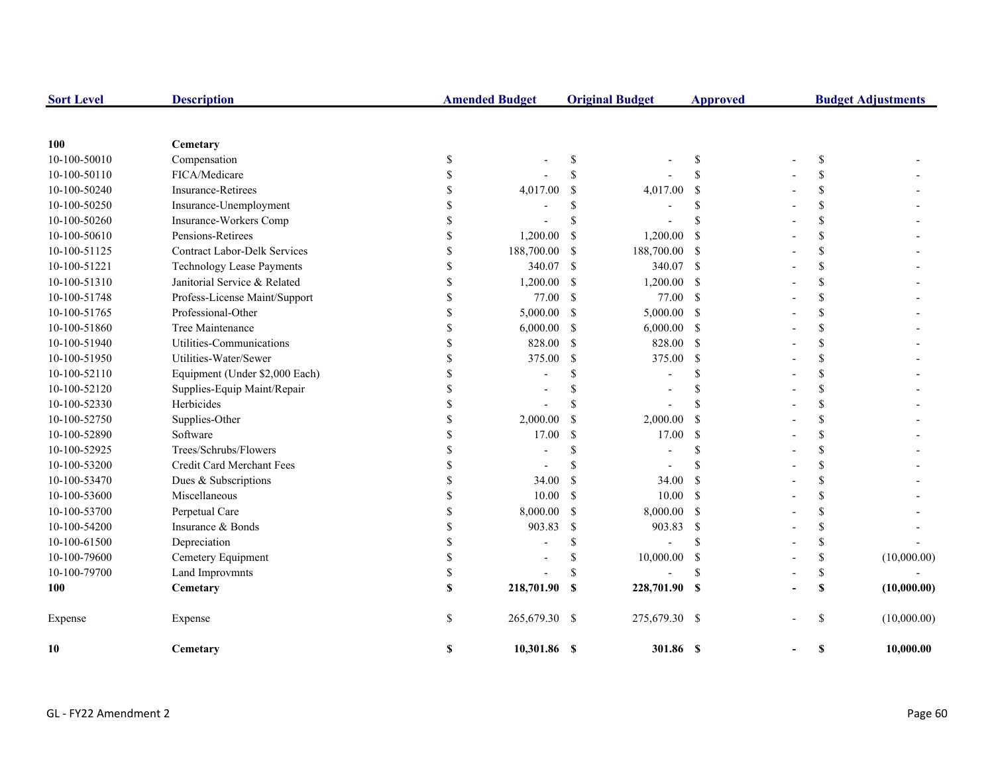| <b>Sort Level</b> | <b>Description</b>                  |              | <b>Amended Budget</b> |               | <b>Original Budget</b> | <b>Approved</b> |  |               | <b>Budget Adjustments</b> |
|-------------------|-------------------------------------|--------------|-----------------------|---------------|------------------------|-----------------|--|---------------|---------------------------|
|                   |                                     |              |                       |               |                        |                 |  |               |                           |
| 100               | Cemetary                            |              |                       |               |                        |                 |  |               |                           |
| 10-100-50010      | Compensation                        | \$           |                       | \$            |                        | \$              |  | \$            |                           |
| 10-100-50110      | FICA/Medicare                       | $\mathbf S$  |                       | $\mathcal{S}$ |                        | \$              |  | \$.           |                           |
| 10-100-50240      | Insurance-Retirees                  | S            | 4,017.00              | \$            | 4,017.00               | -S              |  | \$            |                           |
| 10-100-50250      | Insurance-Unemployment              | S            |                       | \$.           |                        | \$              |  | \$            |                           |
| 10-100-50260      | Insurance-Workers Comp              | S            |                       | \$            |                        | \$              |  | \$            |                           |
| 10-100-50610      | Pensions-Retirees                   | S            | 1,200.00              | <sup>\$</sup> | 1,200.00               | $\mathcal{S}$   |  | \$            |                           |
| 10-100-51125      | <b>Contract Labor-Delk Services</b> | $\mathbf S$  | 188,700.00            | \$            | 188,700.00             | $\mathcal{S}$   |  | \$            |                           |
| 10-100-51221      | <b>Technology Lease Payments</b>    | $\mathbf S$  | 340.07                | -S            | 340.07                 | -S              |  | \$            |                           |
| 10-100-51310      | Janitorial Service & Related        | \$           | 1,200.00              | $\mathcal{S}$ | 1,200.00               | $\mathcal{S}$   |  | \$            |                           |
| 10-100-51748      | Profess-License Maint/Support       | $\mathbf S$  | 77.00                 | - \$          | 77.00                  | -S              |  | \$            |                           |
| 10-100-51765      | Professional-Other                  | \$           | 5,000.00              | $\mathcal{S}$ | 5,000.00               | $\mathcal{S}$   |  | \$            |                           |
| 10-100-51860      | Tree Maintenance                    | $\mathbf S$  | 6,000.00              | -\$           | 6,000.00               | -S              |  | \$            |                           |
| 10-100-51940      | Utilities-Communications            | \$           | 828.00                | $\mathcal{S}$ | 828.00                 | $\mathcal{S}$   |  | \$            |                           |
| 10-100-51950      | Utilities-Water/Sewer               | $\mathbf S$  | 375.00                | \$            | 375.00                 | <sup>S</sup>    |  | \$            |                           |
| 10-100-52110      | Equipment (Under \$2,000 Each)      | S            |                       | \$            |                        | \$              |  | \$            |                           |
| 10-100-52120      | Supplies-Equip Maint/Repair         | S            |                       | \$            |                        | \$              |  | \$            |                           |
| 10-100-52330      | Herbicides                          | S            |                       | \$            |                        | \$              |  | \$            |                           |
| 10-100-52750      | Supplies-Other                      | $\mathbf S$  | 2,000.00              | <sup>\$</sup> | 2,000.00               | <sup>\$</sup>   |  | \$            |                           |
| 10-100-52890      | Software                            | \$           | 17.00                 | \$            | 17.00                  | \$              |  | \$            |                           |
| 10-100-52925      | Trees/Schrubs/Flowers               | S            |                       | \$            |                        | \$              |  | \$            |                           |
| 10-100-53200      | Credit Card Merchant Fees           | S            |                       | \$            |                        | \$              |  | \$            |                           |
| 10-100-53470      | Dues & Subscriptions                | S            | 34.00                 | <sup>\$</sup> | 34.00                  | -\$             |  | \$            |                           |
| 10-100-53600      | Miscellaneous                       | S            | 10.00                 | <sup>\$</sup> | 10.00                  | $\mathcal{S}$   |  | \$            |                           |
| 10-100-53700      | Perpetual Care                      | S            | 8,000.00              | $\mathcal{S}$ | 8,000.00               | -\$             |  | \$            |                           |
| 10-100-54200      | Insurance & Bonds                   | S            | 903.83                | \$            | 903.83                 | <sup>S</sup>    |  | \$            |                           |
| 10-100-61500      | Depreciation                        | S            |                       | \$            |                        | <sup>\$</sup>   |  | \$            |                           |
| 10-100-79600      | Cemetery Equipment                  | S            |                       | \$            | 10,000.00              | -S              |  | \$            | (10,000.00)               |
| 10-100-79700      | Land Improvmnts                     | \$           |                       | \$            |                        | \$              |  | \$            |                           |
| 100               | Cemetary                            | $\mathbf{s}$ | 218,701.90 \$         |               | 228,701.90 \$          |                 |  | \$            | (10,000.00)               |
| Expense           | Expense                             | $\mathbf S$  | 265,679.30 \$         |               | 275,679.30 \$          |                 |  | <sup>\$</sup> | (10,000.00)               |
| 10                | Cemetary                            | S            | 10,301.86 \$          |               | 301.86 \$              |                 |  | \$            | 10,000.00                 |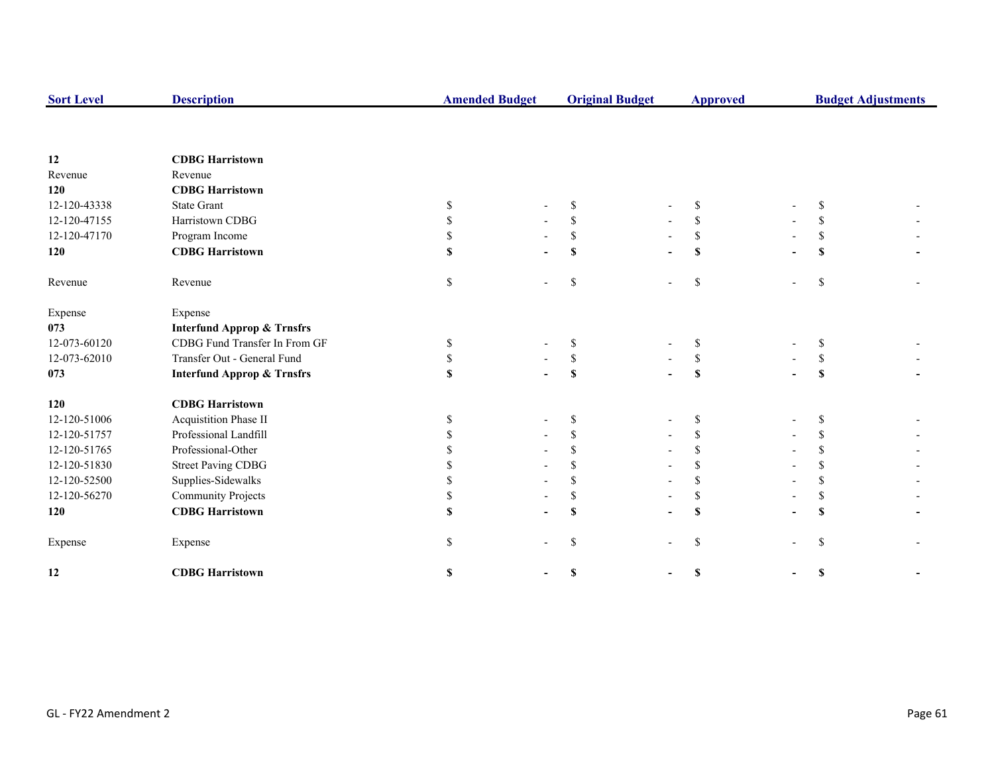| <b>Sort Level</b> | <b>Description</b>                    |    | <b>Amended Budget</b> |              | <b>Original Budget</b> | <b>Approved</b> |  | <b>Budget Adjustments</b> |  |
|-------------------|---------------------------------------|----|-----------------------|--------------|------------------------|-----------------|--|---------------------------|--|
|                   |                                       |    |                       |              |                        |                 |  |                           |  |
| 12                | <b>CDBG Harristown</b>                |    |                       |              |                        |                 |  |                           |  |
| Revenue           | Revenue                               |    |                       |              |                        |                 |  |                           |  |
| 120               | <b>CDBG Harristown</b>                |    |                       |              |                        |                 |  |                           |  |
| 12-120-43338      | <b>State Grant</b>                    | S  |                       | S            |                        | \$              |  | <sup>\$</sup>             |  |
| 12-120-47155      | Harristown CDBG                       | \$ |                       | \$           |                        | \$              |  | <sup>\$</sup>             |  |
| 12-120-47170      | Program Income                        | \$ |                       | \$           |                        | S.              |  | S                         |  |
| 120               | <b>CDBG Harristown</b>                | \$ |                       | S            |                        | $\mathbf S$     |  | \$                        |  |
| Revenue           | Revenue                               | \$ |                       | \$           |                        | $\mathbb{S}$    |  | \$                        |  |
| Expense           | Expense                               |    |                       |              |                        |                 |  |                           |  |
| 073               | <b>Interfund Approp &amp; Trnsfrs</b> |    |                       |              |                        |                 |  |                           |  |
| 12-073-60120      | CDBG Fund Transfer In From GF         | S  |                       | \$           |                        | S               |  | S                         |  |
| 12-073-62010      | Transfer Out - General Fund           | S  |                       | $\mathbb{S}$ |                        | S               |  | \$                        |  |
| 073               | <b>Interfund Approp &amp; Trnsfrs</b> | \$ |                       | S            |                        | S               |  | S                         |  |
| 120               | <b>CDBG</b> Harristown                |    |                       |              |                        |                 |  |                           |  |
| 12-120-51006      | Acquistition Phase II                 | S  |                       | \$           |                        | <sup>\$</sup>   |  | S                         |  |
| 12-120-51757      | Professional Landfill                 |    |                       | \$           |                        |                 |  | S                         |  |
| 12-120-51765      | Professional-Other                    |    |                       | \$.          |                        | <sup>\$</sup>   |  | \$                        |  |
| 12-120-51830      | <b>Street Paving CDBG</b>             |    |                       |              |                        | <sup>\$</sup>   |  | <sup>\$</sup>             |  |
| 12-120-52500      | Supplies-Sidewalks                    |    |                       | \$           |                        | \$              |  | \$                        |  |
| 12-120-56270      | <b>Community Projects</b>             | \$ |                       | S            |                        | \$              |  | \$                        |  |
| 120               | <b>CDBG</b> Harristown                |    |                       | S            |                        | S               |  | $\mathbf S$               |  |
| Expense           | Expense                               | S. |                       | \$           |                        | \$              |  | \$                        |  |
| 12                | <b>CDBG Harristown</b>                | \$ |                       | \$           |                        | \$              |  | \$                        |  |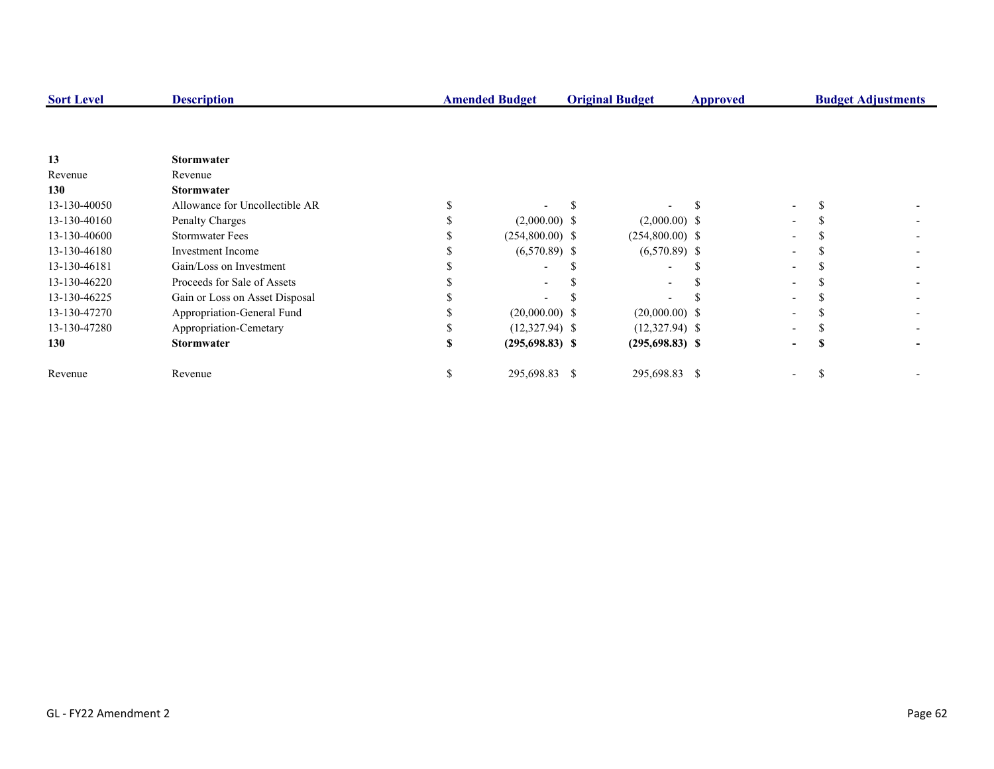| <b>Sort Level</b> | <b>Description</b>             | <b>Amended Budget</b> |  | <b>Original Budget</b> | Approved |                          | <b>Budget Adjustments</b> |  |
|-------------------|--------------------------------|-----------------------|--|------------------------|----------|--------------------------|---------------------------|--|
|                   |                                |                       |  |                        |          |                          |                           |  |
| 13                | <b>Stormwater</b>              |                       |  |                        |          |                          |                           |  |
| Revenue           | Revenue                        |                       |  |                        |          |                          |                           |  |
| 130               | <b>Stormwater</b>              |                       |  |                        |          |                          |                           |  |
| 13-130-40050      | Allowance for Uncollectible AR |                       |  |                        |          | $\overline{\phantom{0}}$ |                           |  |
| 13-130-40160      | Penalty Charges                | $(2,000.00)$ \$       |  | $(2,000.00)$ \$        |          | $\overline{\phantom{0}}$ |                           |  |
| 13-130-40600      | <b>Stormwater Fees</b>         | $(254,800.00)$ \$     |  | $(254,800.00)$ \$      |          |                          |                           |  |
| 13-130-46180      | Investment Income              | $(6,570.89)$ \$       |  | $(6,570.89)$ \$        |          |                          |                           |  |
| 13-130-46181      | Gain/Loss on Investment        |                       |  |                        |          |                          |                           |  |
| 13-130-46220      | Proceeds for Sale of Assets    |                       |  |                        |          |                          |                           |  |
| 13-130-46225      | Gain or Loss on Asset Disposal |                       |  |                        |          |                          |                           |  |
| 13-130-47270      | Appropriation-General Fund     | $(20,000.00)$ \$      |  | $(20,000.00)$ \$       |          |                          |                           |  |
| 13-130-47280      | Appropriation-Cemetary         | $(12,327.94)$ \$      |  | $(12,327.94)$ \$       |          |                          |                           |  |
| 130               | <b>Stormwater</b>              | $(295,698.83)$ \$     |  | $(295, 698.83)$ \$     |          | -                        |                           |  |
| Revenue           | Revenue                        | 295,698.83 \$         |  | 295,698.83 \$          |          |                          |                           |  |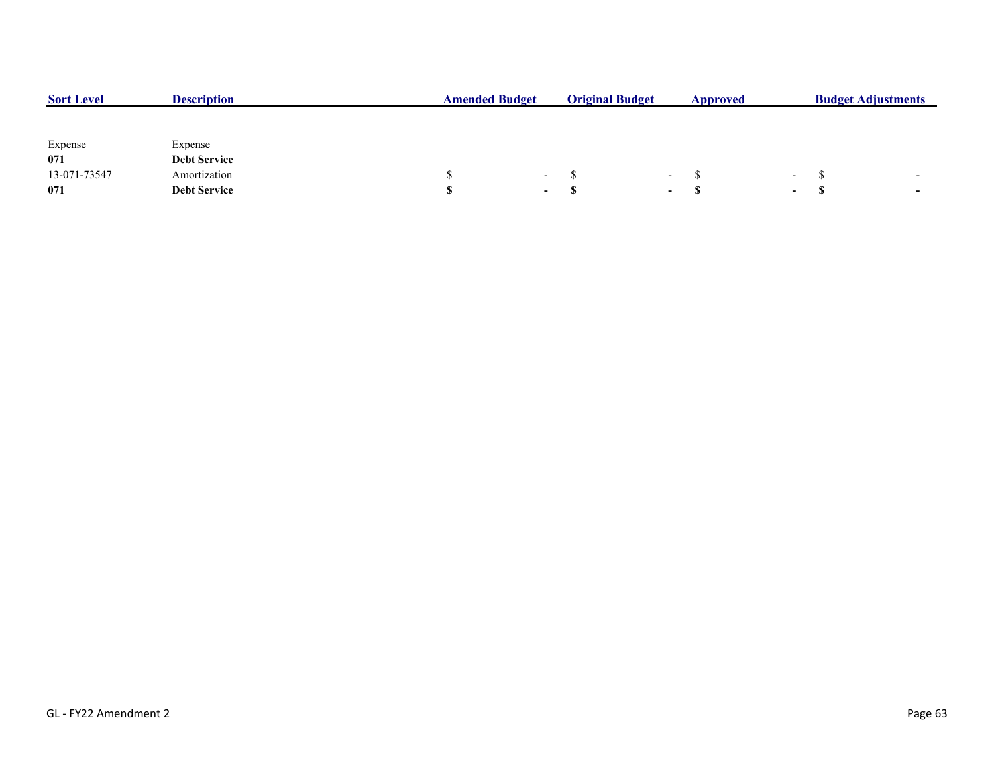| <b>Sort Level</b> | <b>Description</b>  | <b>Amended Budget</b> |                  | <b>Original Budget</b> |        | Approved |                          | <b>Budget Adjustments</b> |  |  |
|-------------------|---------------------|-----------------------|------------------|------------------------|--------|----------|--------------------------|---------------------------|--|--|
|                   |                     |                       |                  |                        |        |          |                          |                           |  |  |
| Expense           | Expense             |                       |                  |                        |        |          |                          |                           |  |  |
| 071               | <b>Debt Service</b> |                       |                  |                        |        |          |                          |                           |  |  |
| 13-071-73547      | Amortization        |                       | $\sim$ $-$       |                        | $\sim$ |          | $\overline{\phantom{0}}$ |                           |  |  |
| 071               | <b>Debt Service</b> |                       | $\sim$ 100 $\mu$ |                        | $\sim$ |          | $\sim$                   |                           |  |  |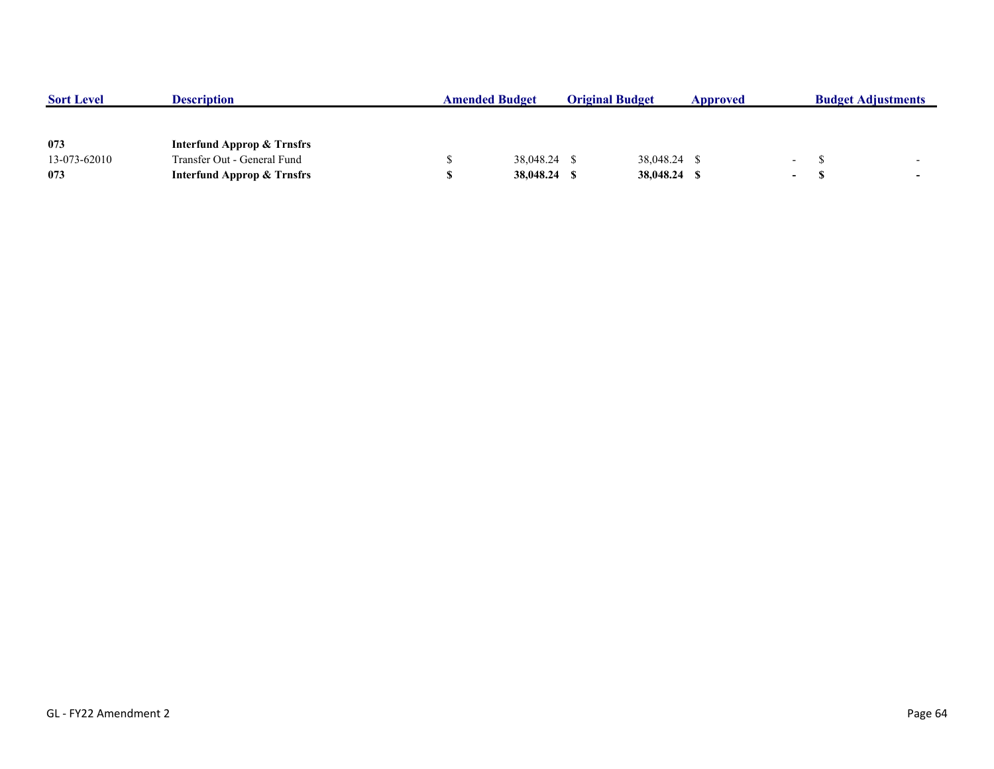| <b>Sort Level</b> | <b>Description</b>                    | <b>Amended Budget</b> |              | <b>Original Budget</b> |              | Approved |                  | <b>Budget Adjustments</b> |                          |
|-------------------|---------------------------------------|-----------------------|--------------|------------------------|--------------|----------|------------------|---------------------------|--------------------------|
|                   |                                       |                       |              |                        |              |          |                  |                           |                          |
|                   |                                       |                       |              |                        |              |          |                  |                           |                          |
| 073               | <b>Interfund Approp &amp; Trnsfrs</b> |                       |              |                        |              |          |                  |                           |                          |
| 13-073-62010      | Transfer Out - General Fund           |                       | 38,048.24 \$ |                        | 38,048.24 \$ |          | <b>Contract</b>  |                           |                          |
| 073               | <b>Interfund Approp &amp; Trnsfrs</b> |                       | 38,048.24    |                        | 38,048.24 \$ |          | $\sim$ 100 $\mu$ |                           | $\overline{\phantom{0}}$ |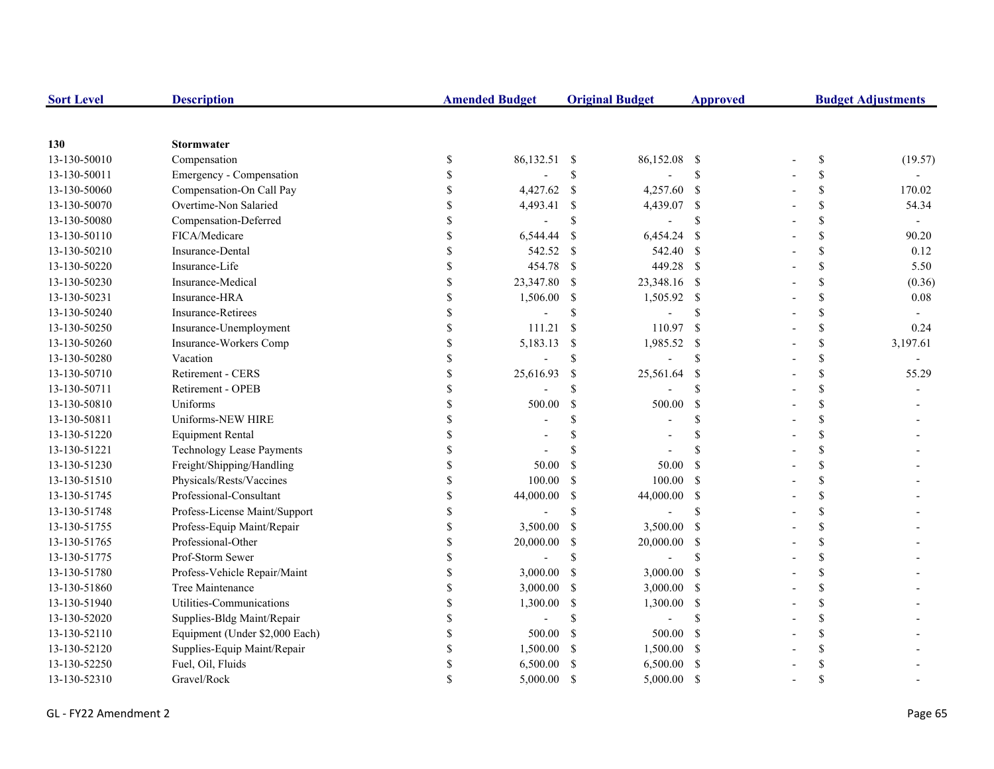| <b>Sort Level</b> | <b>Description</b>               |               | <b>Amended Budget</b> |               | <b>Original Budget</b> | <b>Approved</b>    | <b>Budget Adjustments</b> |                          |  |
|-------------------|----------------------------------|---------------|-----------------------|---------------|------------------------|--------------------|---------------------------|--------------------------|--|
|                   |                                  |               |                       |               |                        |                    |                           |                          |  |
| 130               | <b>Stormwater</b>                |               |                       |               |                        |                    |                           |                          |  |
| 13-130-50010      | Compensation                     | \$            | 86,132.51 \$          |               | 86,152.08              | - \$               | \$                        | (19.57)                  |  |
| 13-130-50011      | Emergency - Compensation         | \$            |                       | $\mathbb{S}$  |                        | \$                 | \$                        |                          |  |
| 13-130-50060      | Compensation-On Call Pay         | \$            | 4,427.62              | $\mathcal{S}$ | 4,257.60 \$            |                    | \$                        | 170.02                   |  |
| 13-130-50070      | Overtime-Non Salaried            |               | 4,493.41              | \$            | 4,439.07 \$            |                    | \$                        | 54.34                    |  |
| 13-130-50080      | Compensation-Deferred            |               | $\overline{a}$        | $\mathcal{S}$ |                        | \$                 | \$                        | $\overline{\phantom{a}}$ |  |
| 13-130-50110      | FICA/Medicare                    | \$            | 6,544.44              | \$            | 6,454.24               | - \$               | \$                        | 90.20                    |  |
| 13-130-50210      | Insurance-Dental                 | \$            | 542.52                | -\$           | 542.40 \$              |                    | \$                        | 0.12                     |  |
| 13-130-50220      | Insurance-Life                   | $\mathbf S$   | 454.78                | $\mathcal{S}$ | 449.28 \$              |                    | \$                        | 5.50                     |  |
| 13-130-50230      | Insurance-Medical                | \$            | 23,347.80             | <sup>\$</sup> | 23,348.16 \$           |                    | \$                        | (0.36)                   |  |
| 13-130-50231      | Insurance-HRA                    | \$            | 1,506.00              | \$            | 1,505.92 \$            |                    | \$                        | 0.08                     |  |
| 13-130-50240      | <b>Insurance-Retirees</b>        | \$            |                       | \$            |                        | <sup>\$</sup>      | \$                        |                          |  |
| 13-130-50250      | Insurance-Unemployment           | \$            | 111.21                | $\mathbb{S}$  | 110.97                 | - \$               | \$                        | 0.24                     |  |
| 13-130-50260      | Insurance-Workers Comp           | <sup>\$</sup> | 5,183.13              | \$            | 1,985.52               | $\mathbf{\hat{s}}$ | \$                        | 3,197.61                 |  |
| 13-130-50280      | Vacation                         |               | $\overline{a}$        | $\mathcal{S}$ |                        | \$                 | \$                        |                          |  |
| 13-130-50710      | Retirement - CERS                |               | 25,616.93             | $\mathcal{S}$ | 25,561.64              | -S                 | \$                        | 55.29                    |  |
| 13-130-50711      | Retirement - OPEB                |               |                       | $\mathbf S$   |                        | <sup>\$</sup>      | \$                        |                          |  |
| 13-130-50810      | Uniforms                         |               | 500.00                | \$            | 500.00                 | -S                 | \$                        |                          |  |
| 13-130-50811      | Uniforms-NEW HIRE                |               |                       | \$            |                        | <sup>\$</sup>      | \$                        |                          |  |
| 13-130-51220      | <b>Equipment Rental</b>          | \$            |                       | \$            |                        | \$                 | \$                        |                          |  |
| 13-130-51221      | <b>Technology Lease Payments</b> | \$.           |                       | $\mathcal{S}$ |                        | \$.                | \$                        |                          |  |
| 13-130-51230      | Freight/Shipping/Handling        | \$            | 50.00                 | $\mathcal{S}$ | 50.00                  | $\mathcal{S}$      | \$                        |                          |  |
| 13-130-51510      | Physicals/Rests/Vaccines         | \$            | 100.00                | <sup>\$</sup> | 100.00                 | - \$               | \$                        |                          |  |
| 13-130-51745      | Professional-Consultant          | <sup>\$</sup> | 44,000.00             | \$            | 44,000.00              | $\mathbf{s}$       | \$                        |                          |  |
| 13-130-51748      | Profess-License Maint/Support    | <sup>\$</sup> |                       | $\mathbf S$   |                        | \$                 | \$                        |                          |  |
| 13-130-51755      | Profess-Equip Maint/Repair       | <sup>\$</sup> | 3,500.00              | $\mathcal{S}$ | 3,500.00 \$            |                    | \$                        |                          |  |
| 13-130-51765      | Professional-Other               | <sup>\$</sup> | 20,000.00             | \$            | 20,000.00              | - \$               | \$                        |                          |  |
| 13-130-51775      | Prof-Storm Sewer                 |               | $\overline{a}$        | $\mathcal{S}$ |                        | $\mathbf S$        | \$                        |                          |  |
| 13-130-51780      | Profess-Vehicle Repair/Maint     | \$            | 3,000.00              | <sup>\$</sup> | $3,000.00$ \$          |                    | \$                        |                          |  |
| 13-130-51860      | Tree Maintenance                 |               | 3,000.00              | <sup>\$</sup> | $3,000.00$ \$          |                    | \$                        |                          |  |
| 13-130-51940      | Utilities-Communications         |               | 1,300.00              | \$            | 1,300.00               | - \$               | \$                        |                          |  |
| 13-130-52020      | Supplies-Bldg Maint/Repair       | \$            |                       | \$            |                        | \$                 | \$                        |                          |  |
| 13-130-52110      | Equipment (Under \$2,000 Each)   | \$            | 500.00                | <sup>\$</sup> | 500.00                 | - \$               | \$                        |                          |  |
| 13-130-52120      | Supplies-Equip Maint/Repair      | \$            | 1,500.00              | <sup>\$</sup> | 1,500.00 \$            |                    | \$                        |                          |  |
| 13-130-52250      | Fuel, Oil, Fluids                | \$            | 6,500.00              | <sup>\$</sup> | $6,500.00$ \$          |                    | \$                        |                          |  |
| 13-130-52310      | Gravel/Rock                      |               | 5,000.00              | <sup>\$</sup> | 5,000.00               | - \$               | \$                        |                          |  |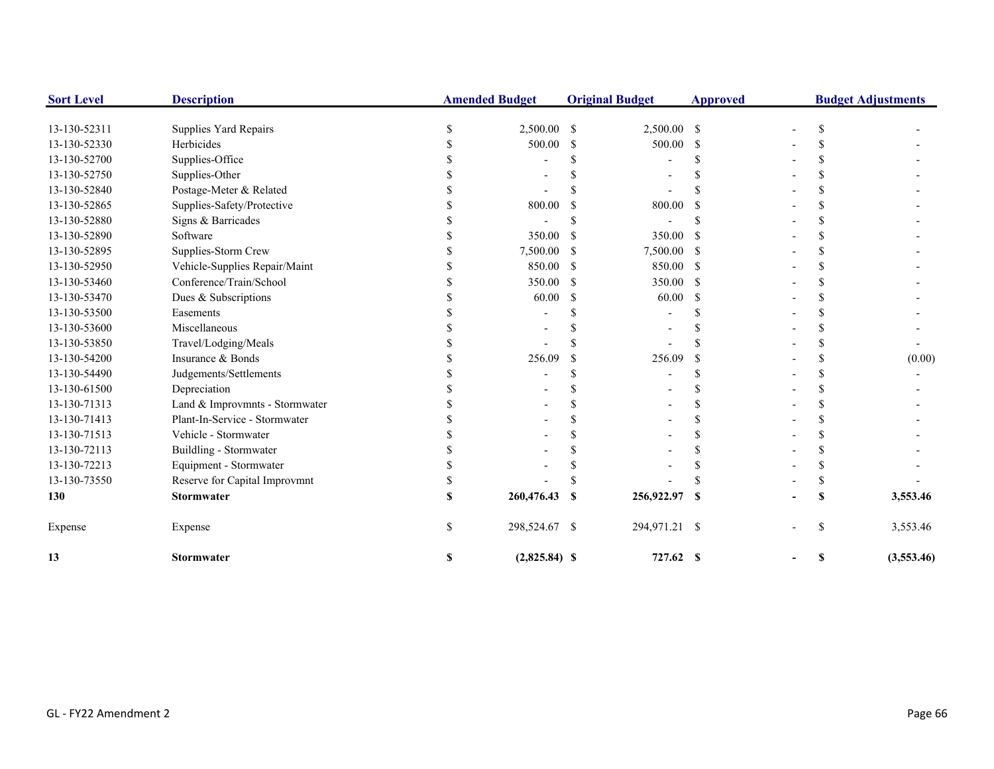| <b>Sort Level</b> | <b>Description</b>             |   | <b>Amended Budget</b> |               | <b>Original Budget</b> | <b>Approved</b> | <b>Budget Adjustments</b> |            |  |
|-------------------|--------------------------------|---|-----------------------|---------------|------------------------|-----------------|---------------------------|------------|--|
| 13-130-52311      | Supplies Yard Repairs          |   | 2,500.00              | <sup>\$</sup> | 2,500.00 \$            |                 | \$                        |            |  |
| 13-130-52330      | Herbicides                     |   | 500.00                | S             | 500.00                 | \$.             |                           |            |  |
| 13-130-52700      | Supplies-Office                |   |                       |               |                        |                 |                           |            |  |
| 13-130-52750      | Supplies-Other                 |   |                       |               |                        |                 |                           |            |  |
| 13-130-52840      | Postage-Meter & Related        |   |                       |               |                        |                 |                           |            |  |
| 13-130-52865      | Supplies-Safety/Protective     |   | 800.00                |               | 800.00                 |                 |                           |            |  |
| 13-130-52880      | Signs & Barricades             |   |                       |               |                        |                 |                           |            |  |
| 13-130-52890      | Software                       |   | 350.00                | -S            | 350.00                 | <sup>\$</sup>   |                           |            |  |
| 13-130-52895      | Supplies-Storm Crew            |   | 7,500.00              |               | 7,500.00               | -S              |                           |            |  |
| 13-130-52950      | Vehicle-Supplies Repair/Maint  |   | 850.00                | -S            | 850.00                 | -S              |                           |            |  |
| 13-130-53460      | Conference/Train/School        |   | 350.00                | -S            | 350.00                 | -S              | S                         |            |  |
| 13-130-53470      | Dues & Subscriptions           |   | 60.00                 | -S            | 60.00                  | S               |                           |            |  |
| 13-130-53500      | Easements                      |   |                       |               |                        |                 |                           |            |  |
| 13-130-53600      | Miscellaneous                  |   |                       |               |                        |                 |                           |            |  |
| 13-130-53850      | Travel/Lodging/Meals           |   |                       |               |                        |                 |                           |            |  |
| 13-130-54200      | Insurance & Bonds              |   | 256.09                | -S            | 256.09                 | <b>S</b>        | S                         | (0.00)     |  |
| 13-130-54490      | Judgements/Settlements         |   |                       |               |                        |                 |                           |            |  |
| 13-130-61500      | Depreciation                   |   |                       |               |                        |                 |                           |            |  |
| 13-130-71313      | Land & Improvmnts - Stormwater |   |                       |               |                        |                 |                           |            |  |
| 13-130-71413      | Plant-In-Service - Stormwater  |   |                       |               |                        |                 |                           |            |  |
| 13-130-71513      | Vehicle - Stormwater           |   |                       |               |                        |                 |                           |            |  |
| 13-130-72113      | Buildling - Stormwater         |   |                       |               |                        |                 |                           |            |  |
| 13-130-72213      | Equipment - Stormwater         |   |                       |               |                        |                 |                           |            |  |
| 13-130-73550      | Reserve for Capital Improvmnt  |   |                       |               |                        |                 |                           |            |  |
| 130               | <b>Stormwater</b>              |   | 260,476.43            | -S            | 256,922.97             | <b>S</b>        |                           | 3,553.46   |  |
| Expense           | Expense                        |   | 298,524.67 \$         |               | 294,971.21 \$          |                 | S                         | 3,553.46   |  |
| 13                | <b>Stormwater</b>              | S | $(2,825.84)$ \$       |               | 727.62 \$              |                 | S                         | (3,553.46) |  |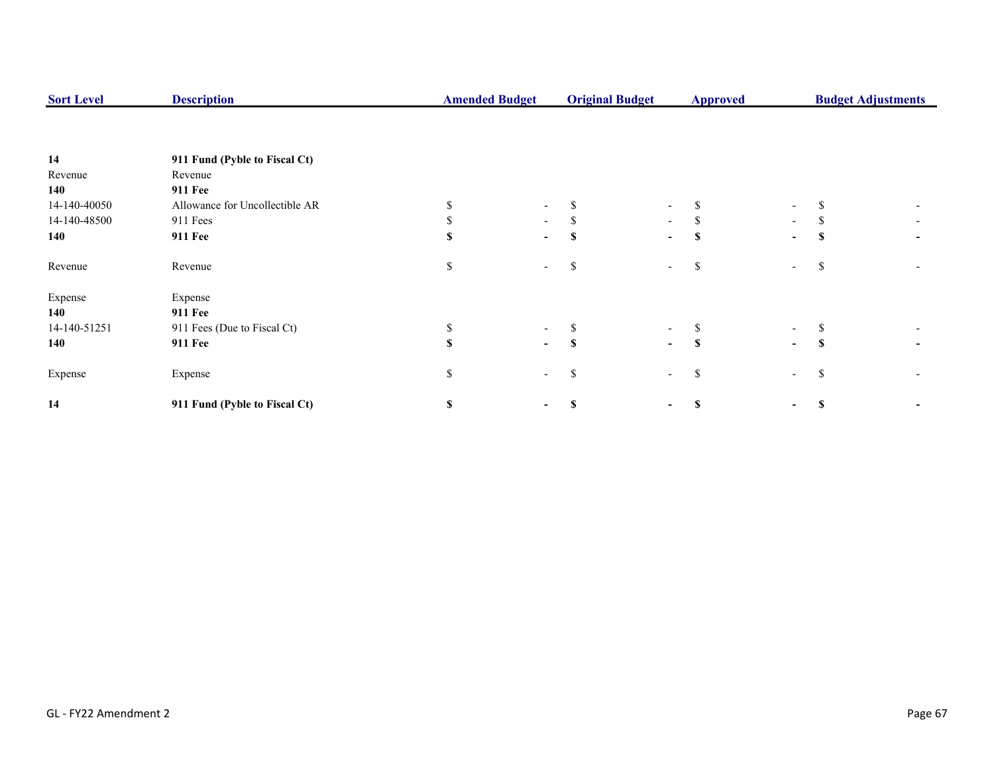| <b>Sort Level</b> | <b>Description</b>             | <b>Amended Budget</b> |                          | <b>Original Budget</b> |                          | <b>Approved</b> |                          | <b>Budget Adjustments</b> |  |  |
|-------------------|--------------------------------|-----------------------|--------------------------|------------------------|--------------------------|-----------------|--------------------------|---------------------------|--|--|
|                   |                                |                       |                          |                        |                          |                 |                          |                           |  |  |
| 14                | 911 Fund (Pyble to Fiscal Ct)  |                       |                          |                        |                          |                 |                          |                           |  |  |
| Revenue           | Revenue                        |                       |                          |                        |                          |                 |                          |                           |  |  |
| 140               | <b>911 Fee</b>                 |                       |                          |                        |                          |                 |                          |                           |  |  |
| 14-140-40050      | Allowance for Uncollectible AR |                       |                          |                        | -                        | \$              | $\overline{\phantom{a}}$ |                           |  |  |
| 14-140-48500      | 911 Fees                       |                       | $\sim$                   | Ж,                     | $\sim$                   | S.              | $\overline{\phantom{a}}$ | ъ                         |  |  |
| 140               | <b>911 Fee</b>                 |                       | $\overline{\phantom{0}}$ |                        | $\overline{\phantom{0}}$ | \$              | $\blacksquare$           |                           |  |  |
| Revenue           | Revenue                        | \$                    |                          | ъ                      | $\overline{\phantom{a}}$ | \$              | $\overline{\phantom{a}}$ | S                         |  |  |
| Expense           | Expense                        |                       |                          |                        |                          |                 |                          |                           |  |  |
| 140               | <b>911 Fee</b>                 |                       |                          |                        |                          |                 |                          |                           |  |  |
| 14-140-51251      | 911 Fees (Due to Fiscal Ct)    |                       |                          |                        | $\overline{\phantom{0}}$ | S               | $\sim$                   |                           |  |  |
| 140               | <b>911 Fee</b>                 |                       | $\sim$                   | <b>S</b>               | $\blacksquare$           | S               | $\overline{\phantom{0}}$ | S                         |  |  |
| Expense           | Expense                        | \$                    |                          | S                      | $\sim$                   | \$              | $\overline{\phantom{a}}$ | S                         |  |  |
| 14                | 911 Fund (Pyble to Fiscal Ct)  | S                     |                          |                        | -                        | \$              | ۰.                       |                           |  |  |